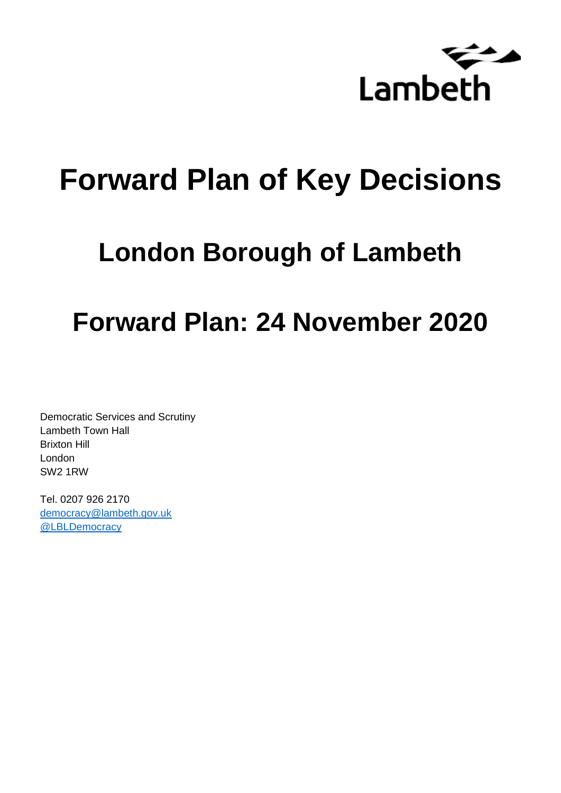

# **Forward Plan of Key Decisions**

# **London Borough of Lambeth**

## **Forward Plan: 24 November 2020**

Democratic Services and Scrutiny Lambeth Town Hall Brixton Hill London SW2 1RW

Tel. 0207 926 2170 [democracy@lambeth.gov.uk](mailto:democracy@lambeth.gov.uk) [@LBLDemocracy](https://twitter.com/LBLDemocracy?lang=en)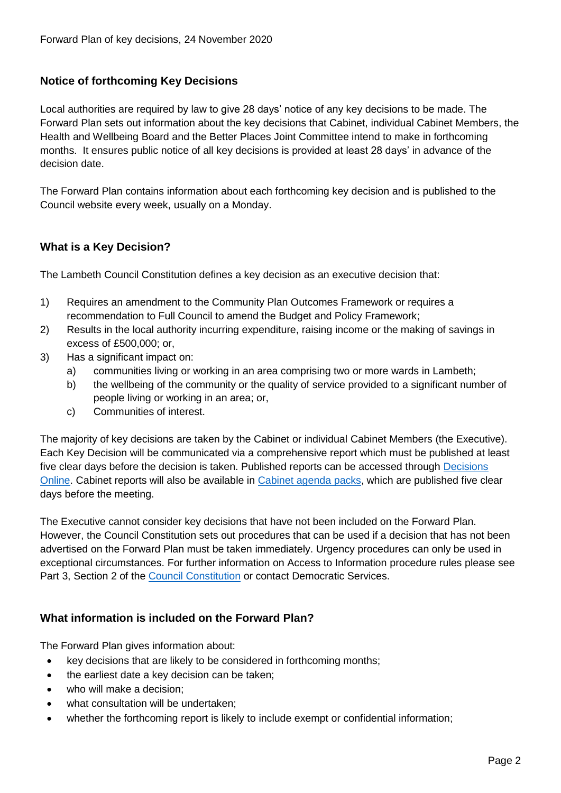## **Notice of forthcoming Key Decisions**

Local authorities are required by law to give 28 days' notice of any key decisions to be made. The Forward Plan sets out information about the key decisions that Cabinet, individual Cabinet Members, the Health and Wellbeing Board and the Better Places Joint Committee intend to make in forthcoming months. It ensures public notice of all key decisions is provided at least 28 days' in advance of the decision date.

The Forward Plan contains information about each forthcoming key decision and is published to the Council website every week, usually on a Monday.

## **What is a Key Decision?**

The Lambeth Council Constitution defines a key decision as an executive decision that:

- 1) Requires an amendment to the Community Plan Outcomes Framework or requires a recommendation to Full Council to amend the Budget and Policy Framework;
- 2) Results in the local authority incurring expenditure, raising income or the making of savings in excess of £500,000; or,
- 3) Has a significant impact on:
	- a) communities living or working in an area comprising two or more wards in Lambeth;
	- b) the wellbeing of the community or the quality of service provided to a significant number of people living or working in an area; or,
	- c) Communities of interest.

The majority of key decisions are taken by the Cabinet or individual Cabinet Members (the Executive). Each Key Decision will be communicated via a comprehensive report which must be published at least five clear days before the decision is taken. Published reports can be accessed through Decisions [Online.](http://moderngov.lambeth.gov.uk/mgDelegatedDecisions.aspx?bcr=1&DM=0&DS=2&K=0&DR=&V=0) Cabinet reports will also be available in [Cabinet agenda packs,](https://moderngov.lambeth.gov.uk/ieListMeetings.aspx?CommitteeId=225) which are published five clear days before the meeting.

The Executive cannot consider key decisions that have not been included on the Forward Plan. However, the Council Constitution sets out procedures that can be used if a decision that has not been advertised on the Forward Plan must be taken immediately. Urgency procedures can only be used in exceptional circumstances. For further information on Access to Information procedure rules please see Part 3, Section 2 of the [Council Constitution](http://moderngov.lambeth.gov.uk/ieListMeetings.aspx?CId=738&info=1&MD=Constitution) or contact Democratic Services.

## **What information is included on the Forward Plan?**

The Forward Plan gives information about:

- key decisions that are likely to be considered in forthcoming months;
- the earliest date a key decision can be taken;
- who will make a decision;
- what consultation will be undertaken;
- whether the forthcoming report is likely to include exempt or confidential information;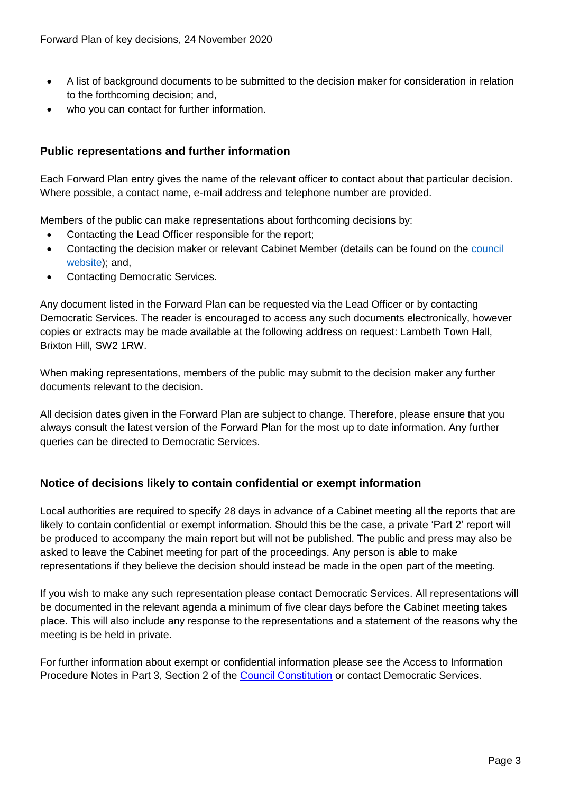- A list of background documents to be submitted to the decision maker for consideration in relation to the forthcoming decision; and,
- who you can contact for further information.

## **Public representations and further information**

Each Forward Plan entry gives the name of the relevant officer to contact about that particular decision. Where possible, a contact name, e-mail address and telephone number are provided.

Members of the public can make representations about forthcoming decisions by:

- Contacting the Lead Officer responsible for the report;
- Contacting the decision maker or relevant Cabinet Member (details can be found on the council [website\)](http://moderngov.lambeth.gov.uk/mgMemberIndex.aspx?bcr=1); and,
- Contacting Democratic Services.

Any document listed in the Forward Plan can be requested via the Lead Officer or by contacting Democratic Services. The reader is encouraged to access any such documents electronically, however copies or extracts may be made available at the following address on request: Lambeth Town Hall, Brixton Hill, SW2 1RW.

When making representations, members of the public may submit to the decision maker any further documents relevant to the decision.

All decision dates given in the Forward Plan are subject to change. Therefore, please ensure that you always consult the latest version of the Forward Plan for the most up to date information. Any further queries can be directed to Democratic Services.

## **Notice of decisions likely to contain confidential or exempt information**

Local authorities are required to specify 28 days in advance of a Cabinet meeting all the reports that are likely to contain confidential or exempt information. Should this be the case, a private 'Part 2' report will be produced to accompany the main report but will not be published. The public and press may also be asked to leave the Cabinet meeting for part of the proceedings. Any person is able to make representations if they believe the decision should instead be made in the open part of the meeting.

If you wish to make any such representation please contact Democratic Services. All representations will be documented in the relevant agenda a minimum of five clear days before the Cabinet meeting takes place. This will also include any response to the representations and a statement of the reasons why the meeting is be held in private.

For further information about exempt or confidential information please see the Access to Information Procedure Notes in Part 3, Section 2 of the [Council Constitution](http://moderngov.lambeth.gov.uk/ieListMeetings.aspx?CId=738&info=1&MD=Constitution) or contact Democratic Services.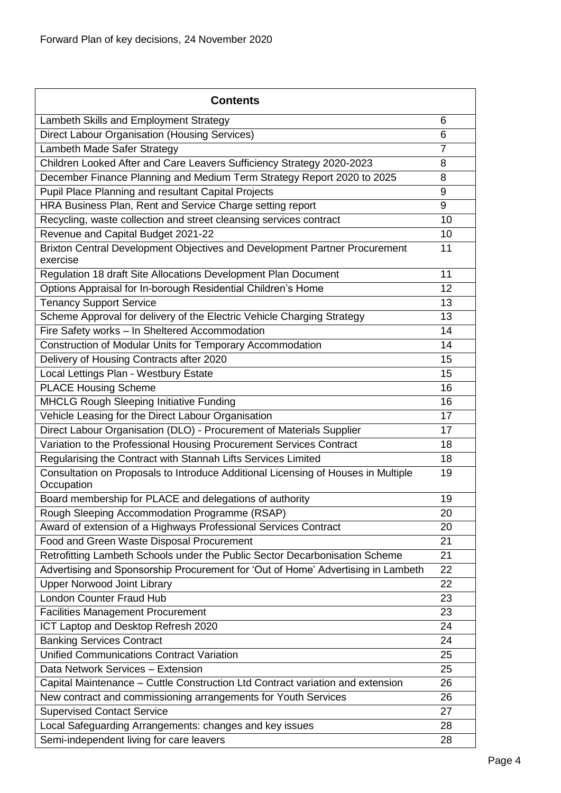| <b>Contents</b>                                                                                 |                |
|-------------------------------------------------------------------------------------------------|----------------|
| Lambeth Skills and Employment Strategy                                                          | 6              |
| Direct Labour Organisation (Housing Services)                                                   | 6              |
| Lambeth Made Safer Strategy                                                                     | $\overline{7}$ |
| Children Looked After and Care Leavers Sufficiency Strategy 2020-2023                           | 8              |
| December Finance Planning and Medium Term Strategy Report 2020 to 2025                          | 8              |
| Pupil Place Planning and resultant Capital Projects                                             | 9              |
| HRA Business Plan, Rent and Service Charge setting report                                       | 9              |
| Recycling, waste collection and street cleansing services contract                              | 10             |
| Revenue and Capital Budget 2021-22                                                              | 10             |
| Brixton Central Development Objectives and Development Partner Procurement<br>exercise          | 11             |
| Regulation 18 draft Site Allocations Development Plan Document                                  | 11             |
| Options Appraisal for In-borough Residential Children's Home                                    | 12             |
| <b>Tenancy Support Service</b>                                                                  | 13             |
| Scheme Approval for delivery of the Electric Vehicle Charging Strategy                          | 13             |
| Fire Safety works - In Sheltered Accommodation                                                  | 14             |
| Construction of Modular Units for Temporary Accommodation                                       | 14             |
| Delivery of Housing Contracts after 2020                                                        | 15             |
| Local Lettings Plan - Westbury Estate                                                           | 15             |
| <b>PLACE Housing Scheme</b>                                                                     | 16             |
| <b>MHCLG Rough Sleeping Initiative Funding</b>                                                  | 16             |
| Vehicle Leasing for the Direct Labour Organisation                                              | 17             |
| Direct Labour Organisation (DLO) - Procurement of Materials Supplier                            | 17             |
| Variation to the Professional Housing Procurement Services Contract                             | 18             |
| Regularising the Contract with Stannah Lifts Services Limited                                   | 18             |
| Consultation on Proposals to Introduce Additional Licensing of Houses in Multiple<br>Occupation | 19             |
| Board membership for PLACE and delegations of authority                                         | 19             |
| Rough Sleeping Accommodation Programme (RSAP)                                                   | 20             |
| Award of extension of a Highways Professional Services Contract                                 | 20             |
| Food and Green Waste Disposal Procurement                                                       | 21             |
| Retrofitting Lambeth Schools under the Public Sector Decarbonisation Scheme                     | 21             |
| Advertising and Sponsorship Procurement for 'Out of Home' Advertising in Lambeth                | 22             |
| <b>Upper Norwood Joint Library</b>                                                              | 22             |
| <b>London Counter Fraud Hub</b>                                                                 | 23             |
| <b>Facilities Management Procurement</b>                                                        | 23             |
| ICT Laptop and Desktop Refresh 2020                                                             | 24             |
| <b>Banking Services Contract</b>                                                                | 24             |
| <b>Unified Communications Contract Variation</b>                                                | 25             |
| Data Network Services - Extension                                                               | 25             |
| Capital Maintenance - Cuttle Construction Ltd Contract variation and extension                  | 26             |
| New contract and commissioning arrangements for Youth Services                                  | 26             |
| <b>Supervised Contact Service</b>                                                               | 27             |
| Local Safeguarding Arrangements: changes and key issues                                         | 28             |
| Semi-independent living for care leavers                                                        | 28             |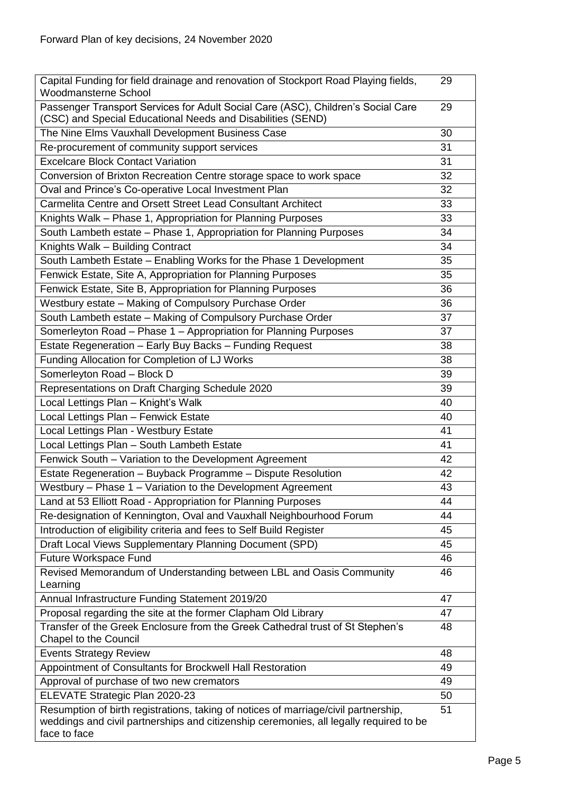| Capital Funding for field drainage and renovation of Stockport Road Playing fields,<br>Woodmansterne School                                                                                   |    |  |
|-----------------------------------------------------------------------------------------------------------------------------------------------------------------------------------------------|----|--|
| Passenger Transport Services for Adult Social Care (ASC), Children's Social Care<br>(CSC) and Special Educational Needs and Disabilities (SEND)                                               | 29 |  |
| The Nine Elms Vauxhall Development Business Case                                                                                                                                              | 30 |  |
| Re-procurement of community support services                                                                                                                                                  | 31 |  |
| <b>Excelcare Block Contact Variation</b>                                                                                                                                                      | 31 |  |
| Conversion of Brixton Recreation Centre storage space to work space                                                                                                                           | 32 |  |
| Oval and Prince's Co-operative Local Investment Plan                                                                                                                                          | 32 |  |
| Carmelita Centre and Orsett Street Lead Consultant Architect                                                                                                                                  | 33 |  |
| Knights Walk - Phase 1, Appropriation for Planning Purposes                                                                                                                                   | 33 |  |
| South Lambeth estate - Phase 1, Appropriation for Planning Purposes                                                                                                                           | 34 |  |
| Knights Walk - Building Contract                                                                                                                                                              | 34 |  |
| South Lambeth Estate - Enabling Works for the Phase 1 Development                                                                                                                             | 35 |  |
| Fenwick Estate, Site A, Appropriation for Planning Purposes                                                                                                                                   | 35 |  |
| Fenwick Estate, Site B, Appropriation for Planning Purposes                                                                                                                                   | 36 |  |
| Westbury estate - Making of Compulsory Purchase Order                                                                                                                                         | 36 |  |
| South Lambeth estate - Making of Compulsory Purchase Order                                                                                                                                    | 37 |  |
| Somerleyton Road - Phase 1 - Appropriation for Planning Purposes                                                                                                                              | 37 |  |
| Estate Regeneration - Early Buy Backs - Funding Request                                                                                                                                       | 38 |  |
| Funding Allocation for Completion of LJ Works                                                                                                                                                 | 38 |  |
| Somerleyton Road - Block D                                                                                                                                                                    | 39 |  |
| Representations on Draft Charging Schedule 2020                                                                                                                                               | 39 |  |
| Local Lettings Plan - Knight's Walk                                                                                                                                                           | 40 |  |
| Local Lettings Plan - Fenwick Estate                                                                                                                                                          | 40 |  |
| Local Lettings Plan - Westbury Estate                                                                                                                                                         | 41 |  |
| Local Lettings Plan - South Lambeth Estate                                                                                                                                                    | 41 |  |
| Fenwick South - Variation to the Development Agreement                                                                                                                                        | 42 |  |
| Estate Regeneration - Buyback Programme - Dispute Resolution                                                                                                                                  | 42 |  |
| Westbury - Phase 1 - Variation to the Development Agreement<br>43                                                                                                                             |    |  |
| Land at 53 Elliott Road - Appropriation for Planning Purposes<br>44                                                                                                                           |    |  |
| Re-designation of Kennington, Oval and Vauxhall Neighbourhood Forum<br>44                                                                                                                     |    |  |
| Introduction of eligibility criteria and fees to Self Build Register<br>45                                                                                                                    |    |  |
| Draft Local Views Supplementary Planning Document (SPD)                                                                                                                                       |    |  |
| Future Workspace Fund                                                                                                                                                                         |    |  |
| Revised Memorandum of Understanding between LBL and Oasis Community<br>Learning                                                                                                               | 46 |  |
| Annual Infrastructure Funding Statement 2019/20                                                                                                                                               | 47 |  |
| Proposal regarding the site at the former Clapham Old Library                                                                                                                                 | 47 |  |
| Transfer of the Greek Enclosure from the Greek Cathedral trust of St Stephen's<br><b>Chapel to the Council</b>                                                                                | 48 |  |
| <b>Events Strategy Review</b>                                                                                                                                                                 | 48 |  |
| Appointment of Consultants for Brockwell Hall Restoration                                                                                                                                     | 49 |  |
| Approval of purchase of two new cremators                                                                                                                                                     | 49 |  |
| ELEVATE Strategic Plan 2020-23                                                                                                                                                                | 50 |  |
| Resumption of birth registrations, taking of notices of marriage/civil partnership,<br>weddings and civil partnerships and citizenship ceremonies, all legally required to be<br>face to face | 51 |  |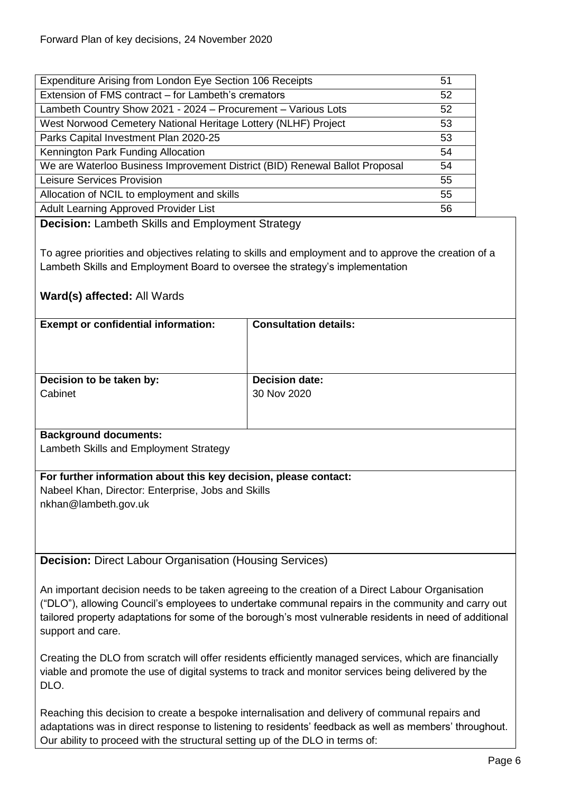| Expenditure Arising from London Eye Section 106 Receipts                    | 51 |
|-----------------------------------------------------------------------------|----|
| Extension of FMS contract - for Lambeth's cremators                         | 52 |
| Lambeth Country Show 2021 - 2024 - Procurement - Various Lots               | 52 |
| West Norwood Cemetery National Heritage Lottery (NLHF) Project              | 53 |
| Parks Capital Investment Plan 2020-25                                       | 53 |
| Kennington Park Funding Allocation                                          | 54 |
| We are Waterloo Business Improvement District (BID) Renewal Ballot Proposal | 54 |
| Leisure Services Provision                                                  | 55 |
| Allocation of NCIL to employment and skills                                 | 55 |
| Adult Learning Approved Provider List                                       | 56 |

<span id="page-5-0"></span>**Decision:** Lambeth Skills and Employment Strategy

To agree priorities and objectives relating to skills and employment and to approve the creation of a Lambeth Skills and Employment Board to oversee the strategy's implementation

## **Ward(s) affected:** All Wards

| <b>Exempt or confidential information:</b> | <b>Consultation details:</b> |
|--------------------------------------------|------------------------------|
| Decision to be taken by:                   | <b>Decision date:</b>        |
| Cabinet                                    | 30 Nov 2020                  |
| Basilian come de de come contro            |                              |

#### **Background documents:**

Lambeth Skills and Employment Strategy

**For further information about this key decision, please contact:** Nabeel Khan, Director: Enterprise, Jobs and Skills nkhan@lambeth.gov.uk

<span id="page-5-1"></span>**Decision:** Direct Labour Organisation (Housing Services)

An important decision needs to be taken agreeing to the creation of a Direct Labour Organisation ("DLO"), allowing Council's employees to undertake communal repairs in the community and carry out tailored property adaptations for some of the borough's most vulnerable residents in need of additional support and care.

Creating the DLO from scratch will offer residents efficiently managed services, which are financially viable and promote the use of digital systems to track and monitor services being delivered by the DLO.

Reaching this decision to create a bespoke internalisation and delivery of communal repairs and adaptations was in direct response to listening to residents' feedback as well as members' throughout. Our ability to proceed with the structural setting up of the DLO in terms of: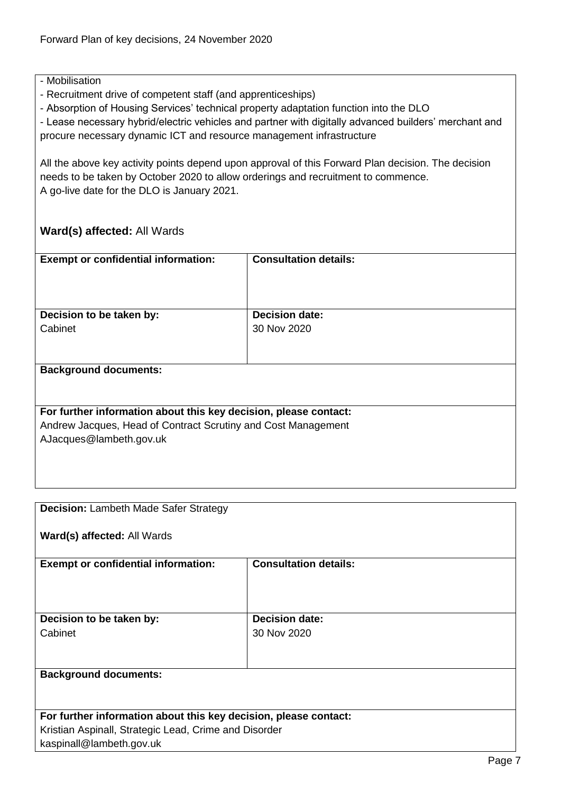## - Mobilisation

- Recruitment drive of competent staff (and apprenticeships)

- Absorption of Housing Services' technical property adaptation function into the DLO

- Lease necessary hybrid/electric vehicles and partner with digitally advanced builders' merchant and procure necessary dynamic ICT and resource management infrastructure

All the above key activity points depend upon approval of this Forward Plan decision. The decision needs to be taken by October 2020 to allow orderings and recruitment to commence. A go-live date for the DLO is January 2021.

## **Ward(s) affected:** All Wards

| <b>Exempt or confidential information:</b>                       | <b>Consultation details:</b> |
|------------------------------------------------------------------|------------------------------|
|                                                                  |                              |
| Decision to be taken by:                                         | <b>Decision date:</b>        |
| Cabinet                                                          | 30 Nov 2020                  |
|                                                                  |                              |
| <b>Background documents:</b>                                     |                              |
|                                                                  |                              |
|                                                                  |                              |
| For further information about this key decision, please contact: |                              |
| Andrew Jacques, Head of Contract Scrutiny and Cost Management    |                              |
| AJacques@lambeth.gov.uk                                          |                              |
|                                                                  |                              |
|                                                                  |                              |
|                                                                  |                              |

<span id="page-6-0"></span>

| <b>Decision: Lambeth Made Safer Strategy</b>                     |                              |
|------------------------------------------------------------------|------------------------------|
| Ward(s) affected: All Wards                                      |                              |
| <b>Exempt or confidential information:</b>                       | <b>Consultation details:</b> |
|                                                                  |                              |
|                                                                  |                              |
| Decision to be taken by:                                         | <b>Decision date:</b>        |
| Cabinet                                                          | 30 Nov 2020                  |
|                                                                  |                              |
|                                                                  |                              |
| <b>Background documents:</b>                                     |                              |
|                                                                  |                              |
|                                                                  |                              |
| For further information about this key decision, please contact: |                              |
| Kristian Aspinall, Strategic Lead, Crime and Disorder            |                              |
| kaspinall@lambeth.gov.uk                                         |                              |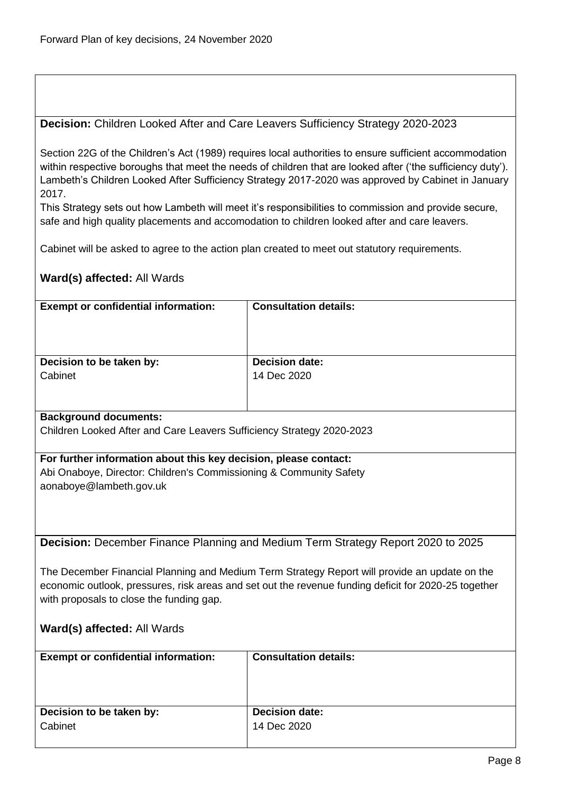## <span id="page-7-0"></span>**Decision:** Children Looked After and Care Leavers Sufficiency Strategy 2020-2023

Section 22G of the Children's Act (1989) requires local authorities to ensure sufficient accommodation within respective boroughs that meet the needs of children that are looked after ('the sufficiency duty'). Lambeth's Children Looked After Sufficiency Strategy 2017-2020 was approved by Cabinet in January 2017.

This Strategy sets out how Lambeth will meet it's responsibilities to commission and provide secure, safe and high quality placements and accomodation to children looked after and care leavers.

Cabinet will be asked to agree to the action plan created to meet out statutory requirements.

## **Ward(s) affected:** All Wards

<span id="page-7-1"></span>

| <b>Exempt or confidential information:</b>                            | <b>Consultation details:</b>                                                                         |
|-----------------------------------------------------------------------|------------------------------------------------------------------------------------------------------|
|                                                                       |                                                                                                      |
|                                                                       |                                                                                                      |
|                                                                       |                                                                                                      |
| Decision to be taken by:                                              | <b>Decision date:</b>                                                                                |
| Cabinet                                                               | 14 Dec 2020                                                                                          |
|                                                                       |                                                                                                      |
|                                                                       |                                                                                                      |
| <b>Background documents:</b>                                          |                                                                                                      |
| Children Looked After and Care Leavers Sufficiency Strategy 2020-2023 |                                                                                                      |
|                                                                       |                                                                                                      |
| For further information about this key decision, please contact:      |                                                                                                      |
| Abi Onaboye, Director: Children's Commissioning & Community Safety    |                                                                                                      |
| aonaboye@lambeth.gov.uk                                               |                                                                                                      |
|                                                                       |                                                                                                      |
|                                                                       |                                                                                                      |
|                                                                       |                                                                                                      |
|                                                                       | Decision: December Finance Planning and Medium Term Strategy Report 2020 to 2025                     |
|                                                                       |                                                                                                      |
|                                                                       | The December Financial Planning and Medium Term Strategy Report will provide an update on the        |
|                                                                       | economic outlook, pressures, risk areas and set out the revenue funding deficit for 2020-25 together |
| with proposals to close the funding gap.                              |                                                                                                      |
|                                                                       |                                                                                                      |
| Ward(s) affected: All Wards                                           |                                                                                                      |
|                                                                       |                                                                                                      |
| <b>Exempt or confidential information:</b>                            | <b>Consultation details:</b>                                                                         |
|                                                                       |                                                                                                      |
|                                                                       |                                                                                                      |
|                                                                       |                                                                                                      |
| Decision to be taken by:                                              | <b>Decision date:</b>                                                                                |
| Cabinet                                                               | 14 Dec 2020                                                                                          |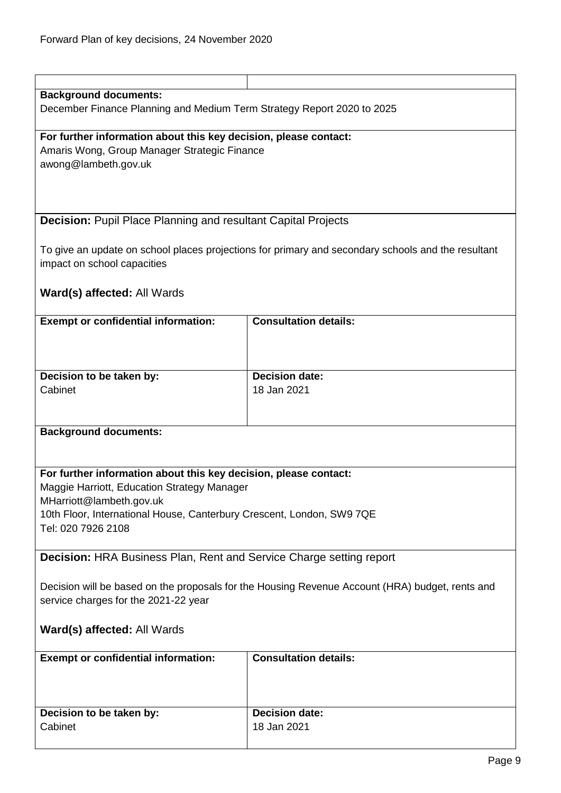<span id="page-8-1"></span><span id="page-8-0"></span>

| <b>Background documents:</b><br>December Finance Planning and Medium Term Strategy Report 2020 to 2025                                                                                                                                     |                              |  |
|--------------------------------------------------------------------------------------------------------------------------------------------------------------------------------------------------------------------------------------------|------------------------------|--|
| For further information about this key decision, please contact:<br>Amaris Wong, Group Manager Strategic Finance<br>awong@lambeth.gov.uk                                                                                                   |                              |  |
| <b>Decision:</b> Pupil Place Planning and resultant Capital Projects                                                                                                                                                                       |                              |  |
| To give an update on school places projections for primary and secondary schools and the resultant<br>impact on school capacities                                                                                                          |                              |  |
| Ward(s) affected: All Wards                                                                                                                                                                                                                |                              |  |
| <b>Exempt or confidential information:</b>                                                                                                                                                                                                 | <b>Consultation details:</b> |  |
| Decision to be taken by:                                                                                                                                                                                                                   | <b>Decision date:</b>        |  |
| Cabinet                                                                                                                                                                                                                                    | 18 Jan 2021                  |  |
|                                                                                                                                                                                                                                            |                              |  |
| <b>Background documents:</b>                                                                                                                                                                                                               |                              |  |
| For further information about this key decision, please contact:<br>Maggie Harriott, Education Strategy Manager<br>MHarriott@lambeth.gov.uk<br>10th Floor, International House, Canterbury Crescent, London, SW9 7QE<br>Tel: 020 7926 2108 |                              |  |
| <b>Decision: HRA Business Plan, Rent and Service Charge setting report</b>                                                                                                                                                                 |                              |  |
| Decision will be based on the proposals for the Housing Revenue Account (HRA) budget, rents and<br>service charges for the 2021-22 year                                                                                                    |                              |  |
| Ward(s) affected: All Wards                                                                                                                                                                                                                |                              |  |
| <b>Exempt or confidential information:</b>                                                                                                                                                                                                 | <b>Consultation details:</b> |  |
| Decision to be taken by:                                                                                                                                                                                                                   | <b>Decision date:</b>        |  |
| Cabinet                                                                                                                                                                                                                                    | 18 Jan 2021                  |  |
|                                                                                                                                                                                                                                            |                              |  |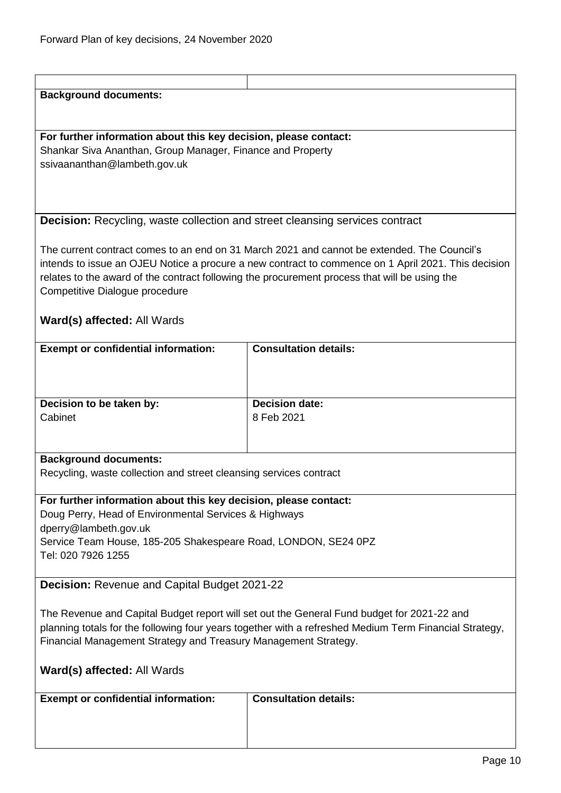<span id="page-9-1"></span><span id="page-9-0"></span>

| <b>Background documents:</b>                                                                           |                                                                                                     |
|--------------------------------------------------------------------------------------------------------|-----------------------------------------------------------------------------------------------------|
|                                                                                                        |                                                                                                     |
|                                                                                                        |                                                                                                     |
| For further information about this key decision, please contact:                                       |                                                                                                     |
| Shankar Siva Ananthan, Group Manager, Finance and Property                                             |                                                                                                     |
| ssivaananthan@lambeth.gov.uk                                                                           |                                                                                                     |
|                                                                                                        |                                                                                                     |
|                                                                                                        |                                                                                                     |
|                                                                                                        |                                                                                                     |
| <b>Decision:</b> Recycling, waste collection and street cleansing services contract                    |                                                                                                     |
|                                                                                                        |                                                                                                     |
|                                                                                                        |                                                                                                     |
|                                                                                                        | The current contract comes to an end on 31 March 2021 and cannot be extended. The Council's         |
|                                                                                                        | intends to issue an OJEU Notice a procure a new contract to commence on 1 April 2021. This decision |
|                                                                                                        | relates to the award of the contract following the procurement process that will be using the       |
| Competitive Dialogue procedure                                                                         |                                                                                                     |
|                                                                                                        |                                                                                                     |
| Ward(s) affected: All Wards                                                                            |                                                                                                     |
|                                                                                                        |                                                                                                     |
| <b>Exempt or confidential information:</b>                                                             | <b>Consultation details:</b>                                                                        |
|                                                                                                        |                                                                                                     |
|                                                                                                        |                                                                                                     |
|                                                                                                        |                                                                                                     |
| Decision to be taken by:                                                                               | <b>Decision date:</b>                                                                               |
| Cabinet                                                                                                | 8 Feb 2021                                                                                          |
|                                                                                                        |                                                                                                     |
|                                                                                                        |                                                                                                     |
| <b>Background documents:</b>                                                                           |                                                                                                     |
|                                                                                                        |                                                                                                     |
| Recycling, waste collection and street cleansing services contract                                     |                                                                                                     |
|                                                                                                        |                                                                                                     |
| For further information about this key decision, please contact:                                       |                                                                                                     |
| Doug Perry, Head of Environmental Services & Highways                                                  |                                                                                                     |
| dperry@lambeth.gov.uk                                                                                  |                                                                                                     |
| Service Team House, 185-205 Shakespeare Road, LONDON, SE24 0PZ                                         |                                                                                                     |
| Tel: 020 7926 1255                                                                                     |                                                                                                     |
|                                                                                                        |                                                                                                     |
| Decision: Revenue and Capital Budget 2021-22                                                           |                                                                                                     |
|                                                                                                        |                                                                                                     |
|                                                                                                        | The Revenue and Capital Budget report will set out the General Fund budget for 2021-22 and          |
| planning totals for the following four years together with a refreshed Medium Term Financial Strategy, |                                                                                                     |
| Financial Management Strategy and Treasury Management Strategy.                                        |                                                                                                     |
|                                                                                                        |                                                                                                     |
|                                                                                                        |                                                                                                     |
| Ward(s) affected: All Wards                                                                            |                                                                                                     |
|                                                                                                        |                                                                                                     |
| <b>Exempt or confidential information:</b>                                                             | <b>Consultation details:</b>                                                                        |
|                                                                                                        |                                                                                                     |
|                                                                                                        |                                                                                                     |
|                                                                                                        |                                                                                                     |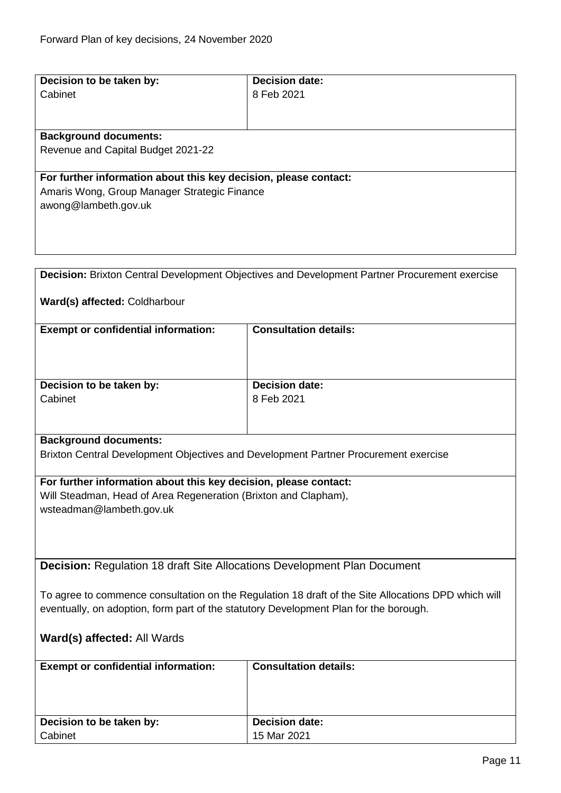<span id="page-10-1"></span><span id="page-10-0"></span>

| Decision to be taken by:                                                                            | <b>Decision date:</b>                                                                         |
|-----------------------------------------------------------------------------------------------------|-----------------------------------------------------------------------------------------------|
| Cabinet                                                                                             | 8 Feb 2021                                                                                    |
|                                                                                                     |                                                                                               |
|                                                                                                     |                                                                                               |
| <b>Background documents:</b>                                                                        |                                                                                               |
| Revenue and Capital Budget 2021-22                                                                  |                                                                                               |
|                                                                                                     |                                                                                               |
| For further information about this key decision, please contact:                                    |                                                                                               |
| Amaris Wong, Group Manager Strategic Finance                                                        |                                                                                               |
| awong@lambeth.gov.uk                                                                                |                                                                                               |
|                                                                                                     |                                                                                               |
|                                                                                                     |                                                                                               |
|                                                                                                     |                                                                                               |
|                                                                                                     |                                                                                               |
|                                                                                                     |                                                                                               |
|                                                                                                     | Decision: Brixton Central Development Objectives and Development Partner Procurement exercise |
|                                                                                                     |                                                                                               |
| Ward(s) affected: Coldharbour                                                                       |                                                                                               |
|                                                                                                     |                                                                                               |
| <b>Exempt or confidential information:</b>                                                          | <b>Consultation details:</b>                                                                  |
|                                                                                                     |                                                                                               |
|                                                                                                     |                                                                                               |
|                                                                                                     |                                                                                               |
| Decision to be taken by:                                                                            | <b>Decision date:</b>                                                                         |
| Cabinet                                                                                             | 8 Feb 2021                                                                                    |
|                                                                                                     |                                                                                               |
|                                                                                                     |                                                                                               |
| <b>Background documents:</b>                                                                        |                                                                                               |
| Brixton Central Development Objectives and Development Partner Procurement exercise                 |                                                                                               |
|                                                                                                     |                                                                                               |
| For further information about this key decision, please contact:                                    |                                                                                               |
|                                                                                                     |                                                                                               |
| Will Steadman, Head of Area Regeneration (Brixton and Clapham),                                     |                                                                                               |
| wsteadman@lambeth.gov.uk                                                                            |                                                                                               |
|                                                                                                     |                                                                                               |
|                                                                                                     |                                                                                               |
|                                                                                                     |                                                                                               |
| <b>Decision: Regulation 18 draft Site Allocations Development Plan Document</b>                     |                                                                                               |
|                                                                                                     |                                                                                               |
| To agree to commence consultation on the Regulation 18 draft of the Site Allocations DPD which will |                                                                                               |
| eventually, on adoption, form part of the statutory Development Plan for the borough.               |                                                                                               |
|                                                                                                     |                                                                                               |
| Ward(s) affected: All Wards                                                                         |                                                                                               |
|                                                                                                     |                                                                                               |
| <b>Exempt or confidential information:</b>                                                          | <b>Consultation details:</b>                                                                  |
|                                                                                                     |                                                                                               |
|                                                                                                     |                                                                                               |
|                                                                                                     |                                                                                               |
|                                                                                                     |                                                                                               |
| Decision to be taken by:                                                                            | <b>Decision date:</b>                                                                         |
| Cabinet                                                                                             | 15 Mar 2021                                                                                   |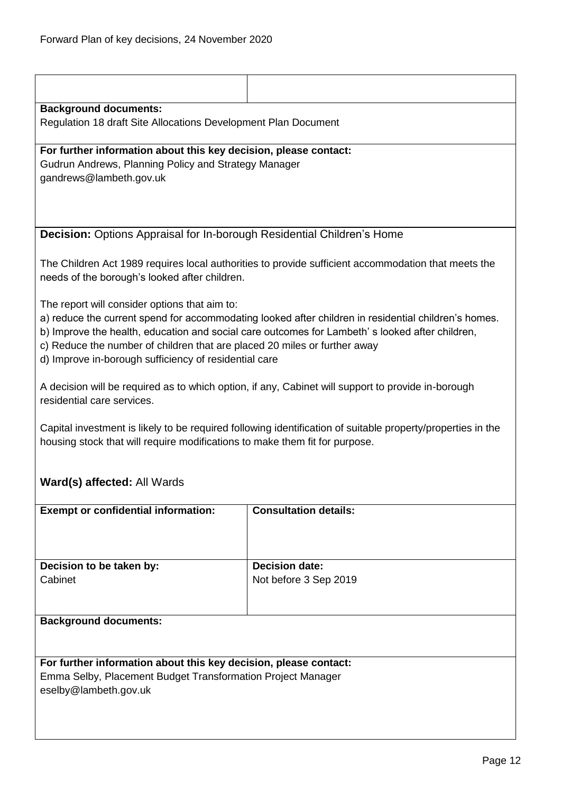| <b>Background documents:</b>                                                                                                                                                                                                                                                                                                                                                                  |                                                                                                     |  |
|-----------------------------------------------------------------------------------------------------------------------------------------------------------------------------------------------------------------------------------------------------------------------------------------------------------------------------------------------------------------------------------------------|-----------------------------------------------------------------------------------------------------|--|
| Regulation 18 draft Site Allocations Development Plan Document                                                                                                                                                                                                                                                                                                                                |                                                                                                     |  |
| For further information about this key decision, please contact:                                                                                                                                                                                                                                                                                                                              |                                                                                                     |  |
| Gudrun Andrews, Planning Policy and Strategy Manager<br>gandrews@lambeth.gov.uk                                                                                                                                                                                                                                                                                                               |                                                                                                     |  |
|                                                                                                                                                                                                                                                                                                                                                                                               |                                                                                                     |  |
|                                                                                                                                                                                                                                                                                                                                                                                               |                                                                                                     |  |
| Decision: Options Appraisal for In-borough Residential Children's Home                                                                                                                                                                                                                                                                                                                        |                                                                                                     |  |
| needs of the borough's looked after children.                                                                                                                                                                                                                                                                                                                                                 | The Children Act 1989 requires local authorities to provide sufficient accommodation that meets the |  |
| The report will consider options that aim to:<br>a) reduce the current spend for accommodating looked after children in residential children's homes.<br>b) Improve the health, education and social care outcomes for Lambeth's looked after children,<br>c) Reduce the number of children that are placed 20 miles or further away<br>d) Improve in-borough sufficiency of residential care |                                                                                                     |  |
| A decision will be required as to which option, if any, Cabinet will support to provide in-borough<br>residential care services.                                                                                                                                                                                                                                                              |                                                                                                     |  |
| Capital investment is likely to be required following identification of suitable property/properties in the<br>housing stock that will require modifications to make them fit for purpose.                                                                                                                                                                                                    |                                                                                                     |  |
| Ward(s) affected: All Wards                                                                                                                                                                                                                                                                                                                                                                   |                                                                                                     |  |
| <b>Exempt or confidential information:</b>                                                                                                                                                                                                                                                                                                                                                    | <b>Consultation details:</b>                                                                        |  |
|                                                                                                                                                                                                                                                                                                                                                                                               |                                                                                                     |  |
| Decision to be taken by:                                                                                                                                                                                                                                                                                                                                                                      | <b>Decision date:</b>                                                                               |  |
| Cabinet                                                                                                                                                                                                                                                                                                                                                                                       | Not before 3 Sep 2019                                                                               |  |
| <b>Background documents:</b>                                                                                                                                                                                                                                                                                                                                                                  |                                                                                                     |  |
|                                                                                                                                                                                                                                                                                                                                                                                               |                                                                                                     |  |
| For further information about this key decision, please contact:                                                                                                                                                                                                                                                                                                                              |                                                                                                     |  |
| Emma Selby, Placement Budget Transformation Project Manager<br>eselby@lambeth.gov.uk                                                                                                                                                                                                                                                                                                          |                                                                                                     |  |
|                                                                                                                                                                                                                                                                                                                                                                                               |                                                                                                     |  |
|                                                                                                                                                                                                                                                                                                                                                                                               |                                                                                                     |  |

<span id="page-11-0"></span>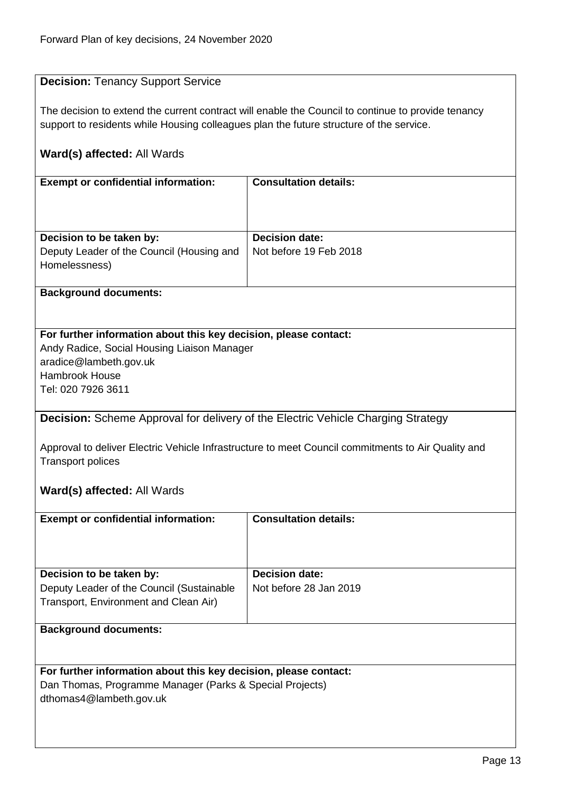## <span id="page-12-0"></span>**Decision:** Tenancy Support Service

The decision to extend the current contract will enable the Council to continue to provide tenancy support to residents while Housing colleagues plan the future structure of the service.

## **Ward(s) affected:** All Wards

| <b>Exempt or confidential information:</b>                                             | <b>Consultation details:</b>                    |
|----------------------------------------------------------------------------------------|-------------------------------------------------|
| Decision to be taken by:<br>Deputy Leader of the Council (Housing and<br>Homelessness) | <b>Decision date:</b><br>Not before 19 Feb 2018 |

#### **Background documents:**

#### **For further information about this key decision, please contact:**

Andy Radice, Social Housing Liaison Manager aradice@lambeth.gov.uk Hambrook House Tel: 020 7926 3611

## <span id="page-12-1"></span>**Decision:** Scheme Approval for delivery of the Electric Vehicle Charging Strategy

Approval to deliver Electric Vehicle Infrastructure to meet Council commitments to Air Quality and Transport polices

#### **Ward(s) affected:** All Wards

| <b>Exempt or confidential information:</b> | <b>Consultation details:</b> |
|--------------------------------------------|------------------------------|
| Decision to be taken by:                   | <b>Decision date:</b>        |
| Deputy Leader of the Council (Sustainable  | Not before 28 Jan 2019       |
| Transport, Environment and Clean Air)      |                              |
|                                            |                              |
| <b>Background documents:</b>               |                              |

## **For further information about this key decision, please contact:**

Dan Thomas, Programme Manager (Parks & Special Projects) dthomas4@lambeth.gov.uk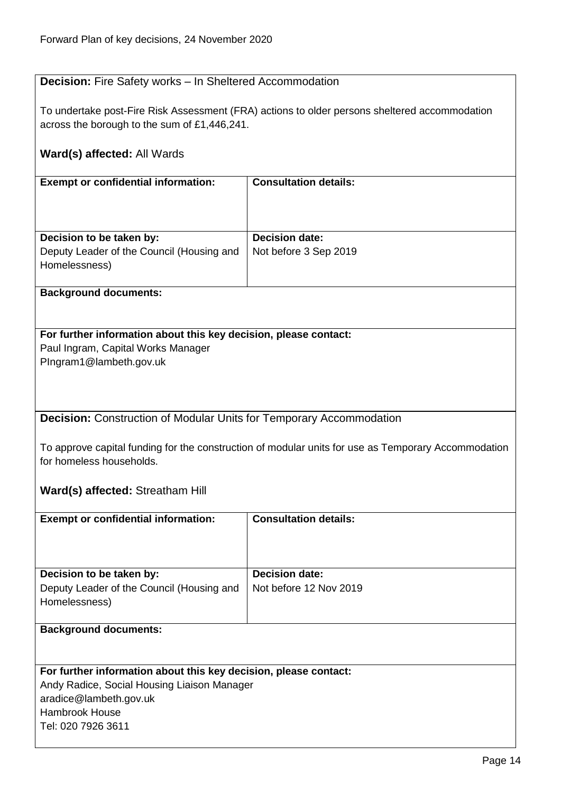## <span id="page-13-0"></span>**Decision:** Fire Safety works – In Sheltered Accommodation

To undertake post-Fire Risk Assessment (FRA) actions to older persons sheltered accommodation across the borough to the sum of £1,446,241.

## **Ward(s) affected:** All Wards

| <b>Exempt or confidential information:</b> | <b>Consultation details:</b> |
|--------------------------------------------|------------------------------|
|                                            |                              |
|                                            |                              |
| Decision to be taken by:                   | <b>Decision date:</b>        |
| Deputy Leader of the Council (Housing and  | Not before 3 Sep 2019        |
| Homelessness)                              |                              |
|                                            |                              |

#### **Background documents:**

## **For further information about this key decision, please contact:**

Paul Ingram, Capital Works Manager PIngram1@lambeth.gov.uk

<span id="page-13-1"></span>**Decision:** Construction of Modular Units for Temporary Accommodation

To approve capital funding for the construction of modular units for use as Temporary Accommodation for homeless households.

## **Ward(s) affected:** Streatham Hill

| <b>Exempt or confidential information:</b> | <b>Consultation details:</b> |
|--------------------------------------------|------------------------------|
| Decision to be taken by:                   | <b>Decision date:</b>        |
| Deputy Leader of the Council (Housing and  | Not before 12 Nov 2019       |
| Homelessness)                              |                              |
|                                            |                              |

#### **Background documents:**

#### **For further information about this key decision, please contact:**

Andy Radice, Social Housing Liaison Manager aradice@lambeth.gov.uk Hambrook House Tel: 020 7926 3611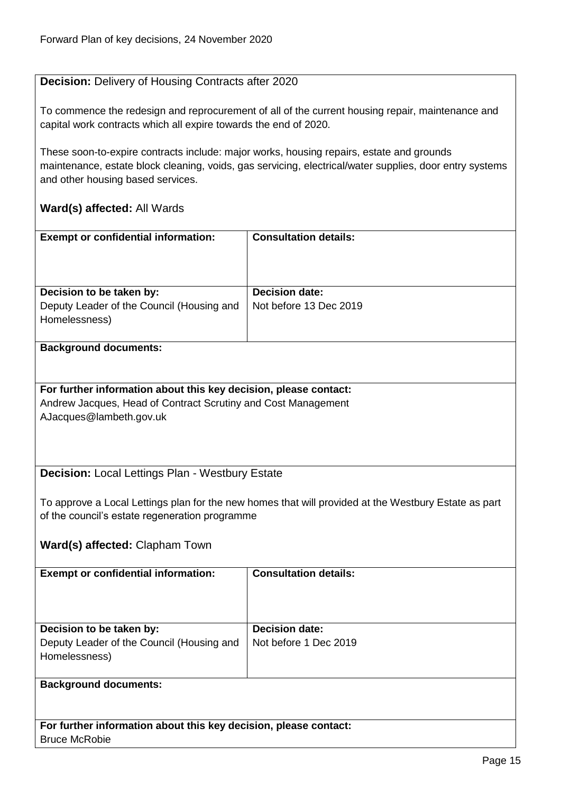## <span id="page-14-0"></span>**Decision:** Delivery of Housing Contracts after 2020

To commence the redesign and reprocurement of all of the current housing repair, maintenance and capital work contracts which all expire towards the end of 2020.

These soon-to-expire contracts include: major works, housing repairs, estate and grounds maintenance, estate block cleaning, voids, gas servicing, electrical/water supplies, door entry systems and other housing based services.

## **Ward(s) affected:** All Wards

| <b>Exempt or confidential information:</b>                 | <b>Consultation details:</b> |
|------------------------------------------------------------|------------------------------|
| Decision to be taken by:                                   | <b>Decision date:</b>        |
| Deputy Leader of the Council (Housing and<br>Homelessness) | Not before 13 Dec 2019       |

#### **Background documents:**

**For further information about this key decision, please contact:** Andrew Jacques, Head of Contract Scrutiny and Cost Management AJacques@lambeth.gov.uk

## <span id="page-14-1"></span>**Decision:** Local Lettings Plan - Westbury Estate

To approve a Local Lettings plan for the new homes that will provided at the Westbury Estate as part of the council's estate regeneration programme

## **Ward(s) affected:** Clapham Town

| <b>Exempt or confidential information:</b>                                             | <b>Consultation details:</b>                   |
|----------------------------------------------------------------------------------------|------------------------------------------------|
| Decision to be taken by:<br>Deputy Leader of the Council (Housing and<br>Homelessness) | <b>Decision date:</b><br>Not before 1 Dec 2019 |
| <b>Background documents:</b>                                                           |                                                |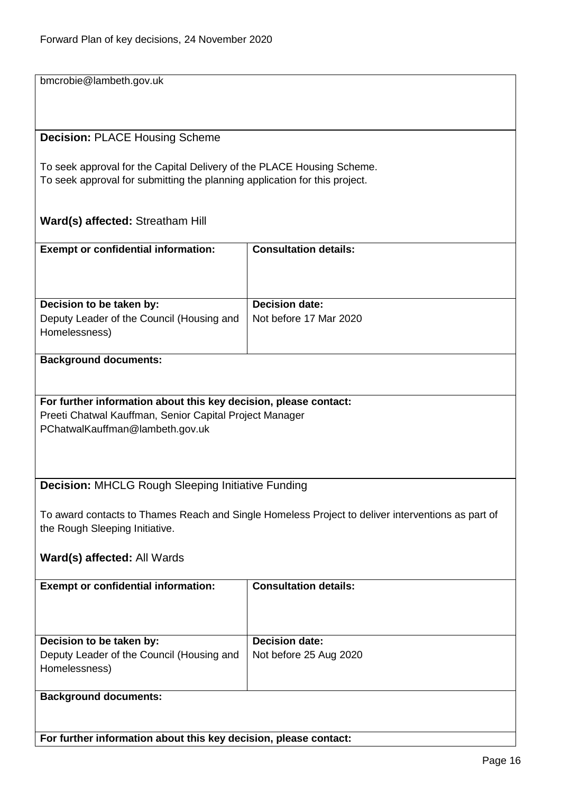bmcrobie@lambeth.gov.uk

### <span id="page-15-0"></span>**Decision:** PLACE Housing Scheme

To seek approval for the Capital Delivery of the PLACE Housing Scheme. To seek approval for submitting the planning application for this project.

#### **Ward(s) affected:** Streatham Hill

| <b>Exempt or confidential information:</b>                 | <b>Consultation details:</b> |
|------------------------------------------------------------|------------------------------|
| Decision to be taken by:                                   | <b>Decision date:</b>        |
| Deputy Leader of the Council (Housing and<br>Homelessness) | Not before 17 Mar 2020       |

#### **Background documents:**

#### **For further information about this key decision, please contact:**

Preeti Chatwal Kauffman, Senior Capital Project Manager PChatwalKauffman@lambeth.gov.uk

## <span id="page-15-1"></span>**Decision:** MHCLG Rough Sleeping Initiative Funding

To award contacts to Thames Reach and Single Homeless Project to deliver interventions as part of the Rough Sleeping Initiative.

## **Ward(s) affected:** All Wards

| <b>Exempt or confidential information:</b>                                             | <b>Consultation details:</b>                    |
|----------------------------------------------------------------------------------------|-------------------------------------------------|
| Decision to be taken by:<br>Deputy Leader of the Council (Housing and<br>Homelessness) | <b>Decision date:</b><br>Not before 25 Aug 2020 |
| <b>Background documents:</b>                                                           |                                                 |

**For further information about this key decision, please contact:**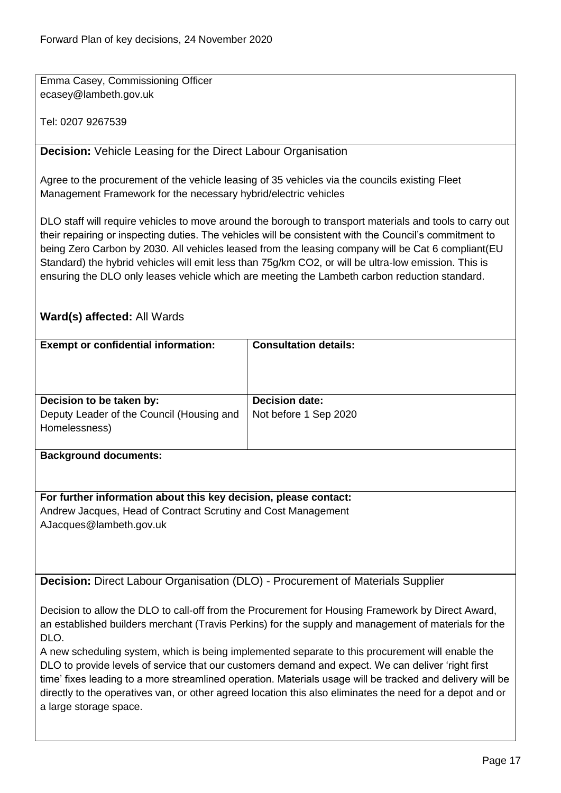Emma Casey, Commissioning Officer ecasey@lambeth.gov.uk

Tel: 0207 9267539

<span id="page-16-0"></span>**Decision:** Vehicle Leasing for the Direct Labour Organisation

Agree to the procurement of the vehicle leasing of 35 vehicles via the councils existing Fleet Management Framework for the necessary hybrid/electric vehicles

DLO staff will require vehicles to move around the borough to transport materials and tools to carry out their repairing or inspecting duties. The vehicles will be consistent with the Council's commitment to being Zero Carbon by 2030. All vehicles leased from the leasing company will be Cat 6 compliant(EU Standard) the hybrid vehicles will emit less than 75g/km CO2, or will be ultra-low emission. This is ensuring the DLO only leases vehicle which are meeting the Lambeth carbon reduction standard.

## **Ward(s) affected:** All Wards

| <b>Exempt or confidential information:</b>                       | <b>Consultation details:</b> |  |
|------------------------------------------------------------------|------------------------------|--|
|                                                                  |                              |  |
| Decision to be taken by:                                         | <b>Decision date:</b>        |  |
| Deputy Leader of the Council (Housing and                        | Not before 1 Sep 2020        |  |
| Homelessness)                                                    |                              |  |
| <b>Background documents:</b>                                     |                              |  |
| For further information about this key decision, please contact: |                              |  |
| Andrew Jacques, Head of Contract Scrutiny and Cost Management    |                              |  |
| AJacques@lambeth.gov.uk                                          |                              |  |

<span id="page-16-1"></span>**Decision:** Direct Labour Organisation (DLO) - Procurement of Materials Supplier

Decision to allow the DLO to call-off from the Procurement for Housing Framework by Direct Award, an established builders merchant (Travis Perkins) for the supply and management of materials for the DLO.

A new scheduling system, which is being implemented separate to this procurement will enable the DLO to provide levels of service that our customers demand and expect. We can deliver 'right first time' fixes leading to a more streamlined operation. Materials usage will be tracked and delivery will be directly to the operatives van, or other agreed location this also eliminates the need for a depot and or a large storage space.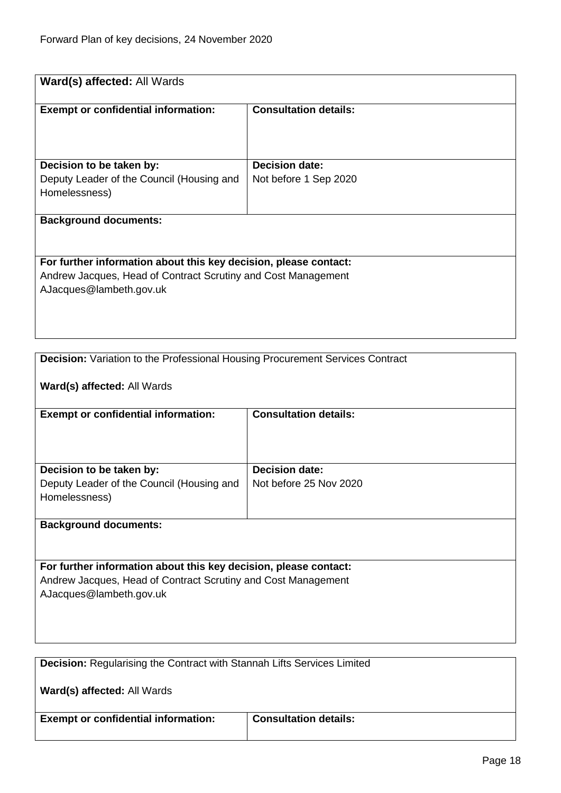| Ward(s) affected: All Wards                                                   |                              |  |
|-------------------------------------------------------------------------------|------------------------------|--|
|                                                                               |                              |  |
| <b>Exempt or confidential information:</b>                                    | <b>Consultation details:</b> |  |
|                                                                               |                              |  |
|                                                                               |                              |  |
|                                                                               |                              |  |
| Decision to be taken by:                                                      | <b>Decision date:</b>        |  |
| Deputy Leader of the Council (Housing and<br>Homelessness)                    | Not before 1 Sep 2020        |  |
|                                                                               |                              |  |
| <b>Background documents:</b>                                                  |                              |  |
|                                                                               |                              |  |
|                                                                               |                              |  |
| For further information about this key decision, please contact:              |                              |  |
| Andrew Jacques, Head of Contract Scrutiny and Cost Management                 |                              |  |
| AJacques@lambeth.gov.uk                                                       |                              |  |
|                                                                               |                              |  |
|                                                                               |                              |  |
|                                                                               |                              |  |
| Decision: Variation to the Professional Housing Procurement Services Contract |                              |  |
|                                                                               |                              |  |
| Ward(s) affected: All Wards                                                   |                              |  |
|                                                                               |                              |  |
| <b>Exempt or confidential information:</b>                                    | <b>Consultation details:</b> |  |
|                                                                               |                              |  |
|                                                                               |                              |  |
|                                                                               |                              |  |
| Decision to be taken by:                                                      | <b>Decision date:</b>        |  |
| Deputy Leader of the Council (Housing and                                     | Not before 25 Nov 2020       |  |
| Homelessness)                                                                 |                              |  |
| <b>Background documents:</b>                                                  |                              |  |
|                                                                               |                              |  |
|                                                                               |                              |  |
| For further information about this key decision, please contact:              |                              |  |

Andrew Jacques, Head of Contract Scrutiny and Cost Management AJacques@lambeth.gov.uk

| <b>Decision:</b> Regularising the Contract with Stannah Lifts Services Limited |  |
|--------------------------------------------------------------------------------|--|
| Ward(s) affected: All Wards                                                    |  |

**Exempt or confidential information:** Consultation details:

<span id="page-17-1"></span><span id="page-17-0"></span>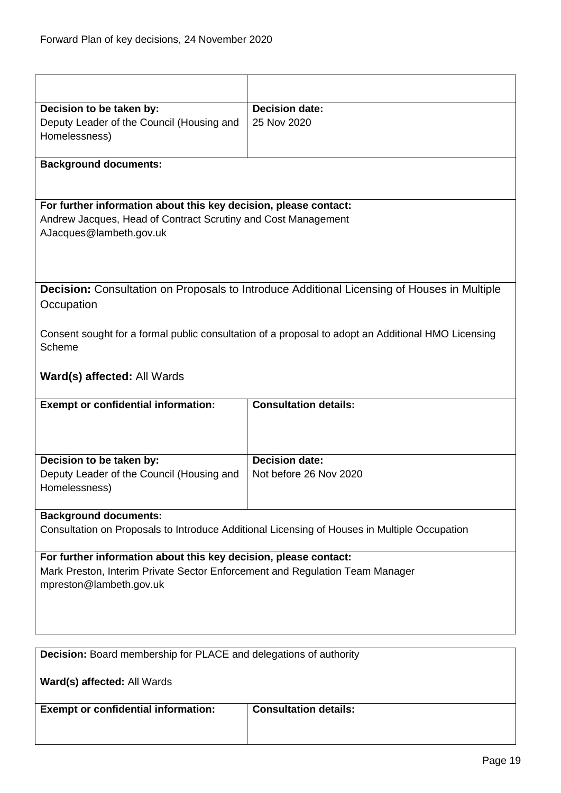<span id="page-18-1"></span><span id="page-18-0"></span>

| Decision to be taken by:<br>Deputy Leader of the Council (Housing and<br>Homelessness)                                                                                      | <b>Decision date:</b><br>25 Nov 2020                                                               |  |
|-----------------------------------------------------------------------------------------------------------------------------------------------------------------------------|----------------------------------------------------------------------------------------------------|--|
| <b>Background documents:</b>                                                                                                                                                |                                                                                                    |  |
| For further information about this key decision, please contact:<br>Andrew Jacques, Head of Contract Scrutiny and Cost Management<br>AJacques@lambeth.gov.uk                |                                                                                                    |  |
| <b>Decision:</b> Consultation on Proposals to Introduce Additional Licensing of Houses in Multiple<br>Occupation                                                            |                                                                                                    |  |
| Scheme                                                                                                                                                                      | Consent sought for a formal public consultation of a proposal to adopt an Additional HMO Licensing |  |
| Ward(s) affected: All Wards                                                                                                                                                 |                                                                                                    |  |
| <b>Exempt or confidential information:</b>                                                                                                                                  | <b>Consultation details:</b>                                                                       |  |
| Decision to be taken by:<br>Deputy Leader of the Council (Housing and<br>Homelessness)                                                                                      | <b>Decision date:</b><br>Not before 26 Nov 2020                                                    |  |
| <b>Background documents:</b><br>Consultation on Proposals to Introduce Additional Licensing of Houses in Multiple Occupation                                                |                                                                                                    |  |
| For further information about this key decision, please contact:<br>Mark Preston, Interim Private Sector Enforcement and Regulation Team Manager<br>mpreston@lambeth.gov.uk |                                                                                                    |  |
| <b>Decision:</b> Board membership for PLACE and delegations of authority                                                                                                    |                                                                                                    |  |
| Ward(s) affected: All Wards                                                                                                                                                 |                                                                                                    |  |
| <b>Exempt or confidential information:</b>                                                                                                                                  | <b>Consultation details:</b>                                                                       |  |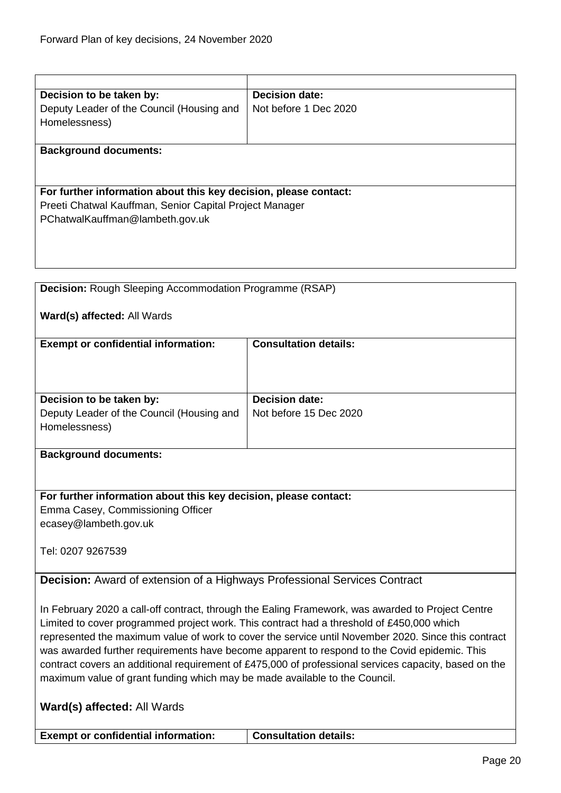<span id="page-19-1"></span><span id="page-19-0"></span>

| Decision to be taken by:                                                                              | <b>Decision date:</b>                                                                               |
|-------------------------------------------------------------------------------------------------------|-----------------------------------------------------------------------------------------------------|
| Deputy Leader of the Council (Housing and                                                             | Not before 1 Dec 2020                                                                               |
| Homelessness)                                                                                         |                                                                                                     |
|                                                                                                       |                                                                                                     |
| <b>Background documents:</b>                                                                          |                                                                                                     |
|                                                                                                       |                                                                                                     |
|                                                                                                       |                                                                                                     |
| For further information about this key decision, please contact:                                      |                                                                                                     |
|                                                                                                       |                                                                                                     |
| Preeti Chatwal Kauffman, Senior Capital Project Manager                                               |                                                                                                     |
| PChatwalKauffman@lambeth.gov.uk                                                                       |                                                                                                     |
|                                                                                                       |                                                                                                     |
|                                                                                                       |                                                                                                     |
|                                                                                                       |                                                                                                     |
|                                                                                                       |                                                                                                     |
| <b>Decision:</b> Rough Sleeping Accommodation Programme (RSAP)                                        |                                                                                                     |
|                                                                                                       |                                                                                                     |
|                                                                                                       |                                                                                                     |
| Ward(s) affected: All Wards                                                                           |                                                                                                     |
|                                                                                                       |                                                                                                     |
| <b>Exempt or confidential information:</b>                                                            | <b>Consultation details:</b>                                                                        |
|                                                                                                       |                                                                                                     |
|                                                                                                       |                                                                                                     |
|                                                                                                       |                                                                                                     |
| Decision to be taken by:                                                                              | <b>Decision date:</b>                                                                               |
|                                                                                                       |                                                                                                     |
| Deputy Leader of the Council (Housing and                                                             | Not before 15 Dec 2020                                                                              |
| Homelessness)                                                                                         |                                                                                                     |
|                                                                                                       |                                                                                                     |
| <b>Background documents:</b>                                                                          |                                                                                                     |
|                                                                                                       |                                                                                                     |
|                                                                                                       |                                                                                                     |
| For further information about this key decision, please contact:                                      |                                                                                                     |
| Emma Casey, Commissioning Officer                                                                     |                                                                                                     |
|                                                                                                       |                                                                                                     |
| ecasey@lambeth.gov.uk                                                                                 |                                                                                                     |
|                                                                                                       |                                                                                                     |
| Tel: 0207 9267539                                                                                     |                                                                                                     |
|                                                                                                       |                                                                                                     |
| <b>Decision:</b> Award of extension of a Highways Professional Services Contract                      |                                                                                                     |
|                                                                                                       |                                                                                                     |
|                                                                                                       |                                                                                                     |
| In February 2020 a call-off contract, through the Ealing Framework, was awarded to Project Centre     |                                                                                                     |
| Limited to cover programmed project work. This contract had a threshold of £450,000 which             |                                                                                                     |
|                                                                                                       | represented the maximum value of work to cover the service until November 2020. Since this contract |
| was awarded further requirements have become apparent to respond to the Covid epidemic. This          |                                                                                                     |
| contract covers an additional requirement of £475,000 of professional services capacity, based on the |                                                                                                     |
| maximum value of grant funding which may be made available to the Council.                            |                                                                                                     |
|                                                                                                       |                                                                                                     |
|                                                                                                       |                                                                                                     |
| Ward(s) affected: All Wards                                                                           |                                                                                                     |
|                                                                                                       |                                                                                                     |
| <b>Exempt or confidential information:</b>                                                            | <b>Consultation details:</b>                                                                        |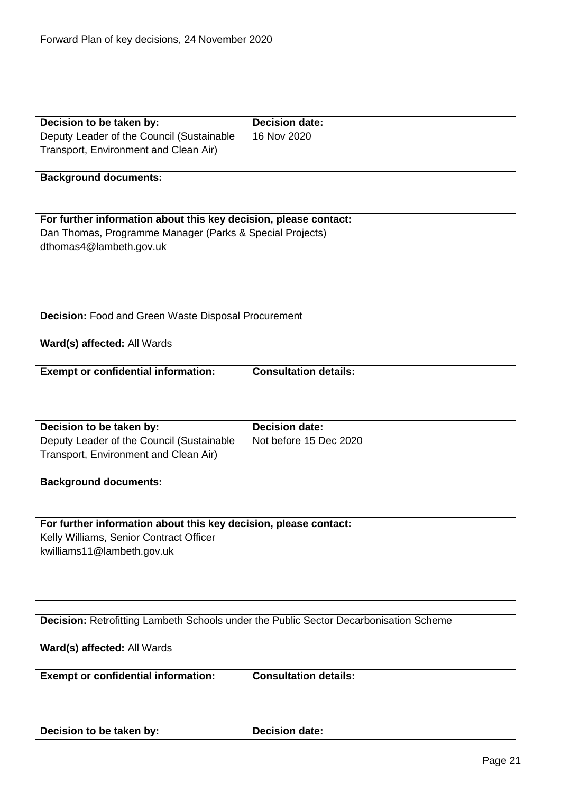| Decision to be taken by:                                         | <b>Decision date:</b> |
|------------------------------------------------------------------|-----------------------|
| Deputy Leader of the Council (Sustainable                        | 16 Nov 2020           |
| Transport, Environment and Clean Air)                            |                       |
|                                                                  |                       |
| <b>Background documents:</b>                                     |                       |
|                                                                  |                       |
| For further information about this key decision, please contact: |                       |
| Dan Thomas, Programme Manager (Parks & Special Projects)         |                       |
| dthomas4@lambeth.gov.uk                                          |                       |
|                                                                  |                       |
|                                                                  |                       |
|                                                                  |                       |

<span id="page-20-0"></span>

| <b>Decision:</b> Food and Green Waste Disposal Procurement       |                              |  |
|------------------------------------------------------------------|------------------------------|--|
| Ward(s) affected: All Wards                                      |                              |  |
| <b>Exempt or confidential information:</b>                       | <b>Consultation details:</b> |  |
|                                                                  |                              |  |
| Decision to be taken by:                                         | <b>Decision date:</b>        |  |
| Deputy Leader of the Council (Sustainable                        | Not before 15 Dec 2020       |  |
| Transport, Environment and Clean Air)                            |                              |  |
|                                                                  |                              |  |
| <b>Background documents:</b>                                     |                              |  |
|                                                                  |                              |  |
| For further information about this key decision, please contact: |                              |  |
| Kelly Williams, Senior Contract Officer                          |                              |  |
| kwilliams11@lambeth.gov.uk                                       |                              |  |
|                                                                  |                              |  |
|                                                                  |                              |  |
|                                                                  |                              |  |

<span id="page-20-1"></span>

| <b>Decision: Retrofitting Lambeth Schools under the Public Sector Decarbonisation Scheme</b> |                              |
|----------------------------------------------------------------------------------------------|------------------------------|
| Ward(s) affected: All Wards                                                                  |                              |
| <b>Exempt or confidential information:</b>                                                   | <b>Consultation details:</b> |
| Decision to be taken by:                                                                     | <b>Decision date:</b>        |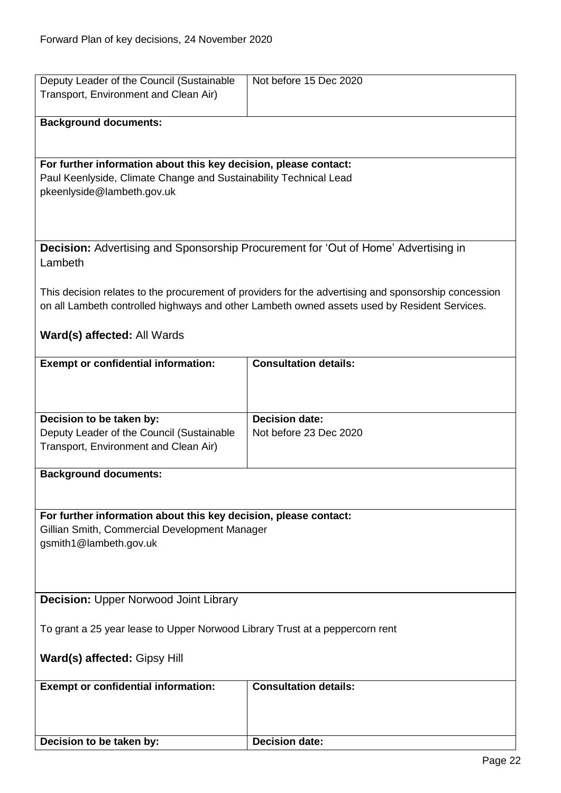<span id="page-21-1"></span><span id="page-21-0"></span>

| Deputy Leader of the Council (Sustainable                                    | Not before 15 Dec 2020                                                                               |
|------------------------------------------------------------------------------|------------------------------------------------------------------------------------------------------|
| Transport, Environment and Clean Air)                                        |                                                                                                      |
|                                                                              |                                                                                                      |
| <b>Background documents:</b>                                                 |                                                                                                      |
|                                                                              |                                                                                                      |
|                                                                              |                                                                                                      |
| For further information about this key decision, please contact:             |                                                                                                      |
| Paul Keenlyside, Climate Change and Sustainability Technical Lead            |                                                                                                      |
| pkeenlyside@lambeth.gov.uk                                                   |                                                                                                      |
|                                                                              |                                                                                                      |
|                                                                              |                                                                                                      |
|                                                                              |                                                                                                      |
|                                                                              | Decision: Advertising and Sponsorship Procurement for 'Out of Home' Advertising in                   |
| Lambeth                                                                      |                                                                                                      |
|                                                                              |                                                                                                      |
|                                                                              |                                                                                                      |
|                                                                              | This decision relates to the procurement of providers for the advertising and sponsorship concession |
|                                                                              | on all Lambeth controlled highways and other Lambeth owned assets used by Resident Services.         |
|                                                                              |                                                                                                      |
| Ward(s) affected: All Wards                                                  |                                                                                                      |
|                                                                              |                                                                                                      |
| <b>Exempt or confidential information:</b>                                   | <b>Consultation details:</b>                                                                         |
|                                                                              |                                                                                                      |
|                                                                              |                                                                                                      |
|                                                                              |                                                                                                      |
| Decision to be taken by:                                                     | Decision date:                                                                                       |
| Deputy Leader of the Council (Sustainable                                    | Not before 23 Dec 2020                                                                               |
| Transport, Environment and Clean Air)                                        |                                                                                                      |
|                                                                              |                                                                                                      |
| <b>Background documents:</b>                                                 |                                                                                                      |
|                                                                              |                                                                                                      |
|                                                                              |                                                                                                      |
| For further information about this key decision, please contact:             |                                                                                                      |
| Gillian Smith, Commercial Development Manager                                |                                                                                                      |
| gsmith1@lambeth.gov.uk                                                       |                                                                                                      |
|                                                                              |                                                                                                      |
|                                                                              |                                                                                                      |
|                                                                              |                                                                                                      |
| <b>Decision: Upper Norwood Joint Library</b>                                 |                                                                                                      |
|                                                                              |                                                                                                      |
| To grant a 25 year lease to Upper Norwood Library Trust at a peppercorn rent |                                                                                                      |
|                                                                              |                                                                                                      |
| Ward(s) affected: Gipsy Hill                                                 |                                                                                                      |
|                                                                              |                                                                                                      |
| <b>Exempt or confidential information:</b>                                   | <b>Consultation details:</b>                                                                         |
|                                                                              |                                                                                                      |
|                                                                              |                                                                                                      |
|                                                                              |                                                                                                      |
| Decision to be taken by:                                                     | <b>Decision date:</b>                                                                                |
|                                                                              |                                                                                                      |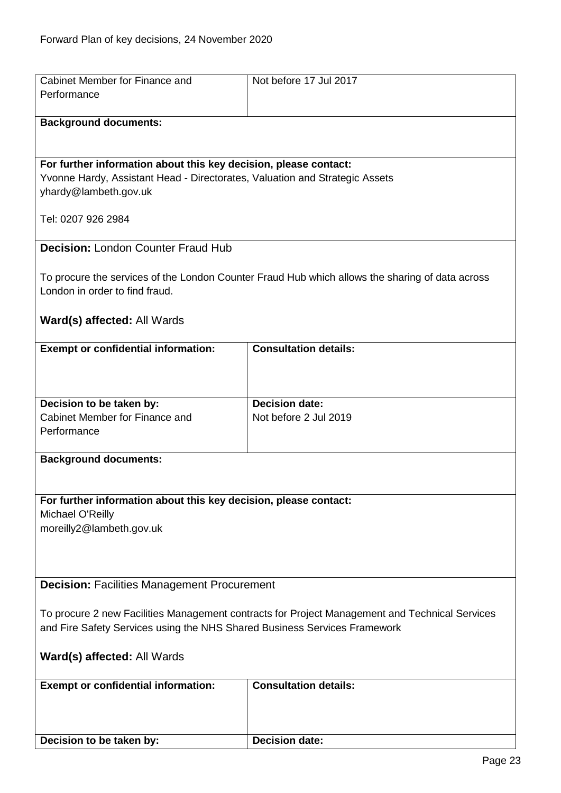<span id="page-22-1"></span><span id="page-22-0"></span>

| Cabinet Member for Finance and                                                                       | Not before 17 Jul 2017                                                                          |
|------------------------------------------------------------------------------------------------------|-------------------------------------------------------------------------------------------------|
| Performance                                                                                          |                                                                                                 |
| <b>Background documents:</b>                                                                         |                                                                                                 |
|                                                                                                      |                                                                                                 |
|                                                                                                      |                                                                                                 |
| For further information about this key decision, please contact:                                     |                                                                                                 |
| Yvonne Hardy, Assistant Head - Directorates, Valuation and Strategic Assets<br>yhardy@lambeth.gov.uk |                                                                                                 |
|                                                                                                      |                                                                                                 |
| Tel: 0207 926 2984                                                                                   |                                                                                                 |
| <b>Decision: London Counter Fraud Hub</b>                                                            |                                                                                                 |
|                                                                                                      |                                                                                                 |
|                                                                                                      | To procure the services of the London Counter Fraud Hub which allows the sharing of data across |
| London in order to find fraud.                                                                       |                                                                                                 |
|                                                                                                      |                                                                                                 |
| Ward(s) affected: All Wards                                                                          |                                                                                                 |
| <b>Exempt or confidential information:</b>                                                           | <b>Consultation details:</b>                                                                    |
|                                                                                                      |                                                                                                 |
|                                                                                                      |                                                                                                 |
| Decision to be taken by:                                                                             | <b>Decision date:</b>                                                                           |
| Cabinet Member for Finance and                                                                       | Not before 2 Jul 2019                                                                           |
| Performance                                                                                          |                                                                                                 |
| <b>Background documents:</b>                                                                         |                                                                                                 |
|                                                                                                      |                                                                                                 |
|                                                                                                      |                                                                                                 |
| For further information about this key decision, please contact:                                     |                                                                                                 |
| Michael O'Reilly<br>moreilly2@lambeth.gov.uk                                                         |                                                                                                 |
|                                                                                                      |                                                                                                 |
|                                                                                                      |                                                                                                 |
| <b>Decision: Facilities Management Procurement</b>                                                   |                                                                                                 |
|                                                                                                      |                                                                                                 |
| To procure 2 new Facilities Management contracts for Project Management and Technical Services       |                                                                                                 |
| and Fire Safety Services using the NHS Shared Business Services Framework                            |                                                                                                 |
| Ward(s) affected: All Wards                                                                          |                                                                                                 |
|                                                                                                      |                                                                                                 |
| <b>Exempt or confidential information:</b>                                                           | <b>Consultation details:</b>                                                                    |
|                                                                                                      |                                                                                                 |
|                                                                                                      |                                                                                                 |
| Decision to be taken by:                                                                             | <b>Decision date:</b>                                                                           |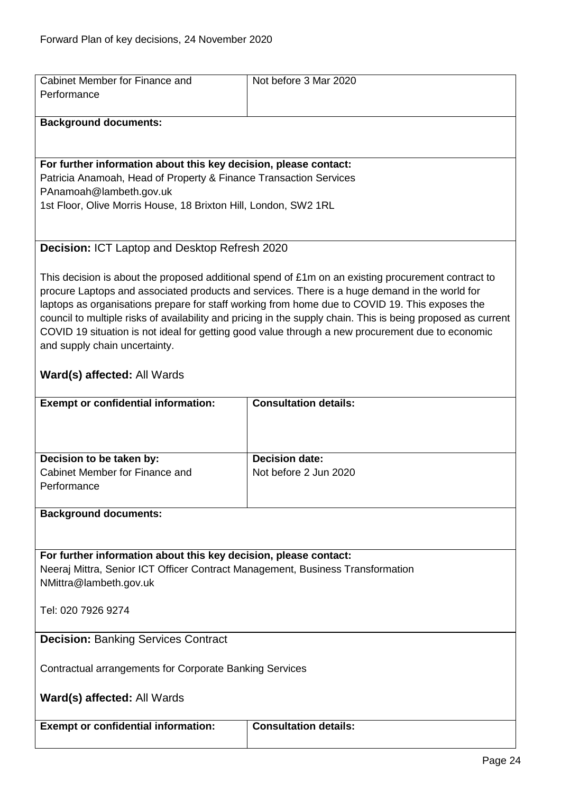<span id="page-23-1"></span>

| Cabinet Member for Finance and                                                 | Not before 3 Mar 2020                                                                                        |
|--------------------------------------------------------------------------------|--------------------------------------------------------------------------------------------------------------|
| Performance                                                                    |                                                                                                              |
|                                                                                |                                                                                                              |
| <b>Background documents:</b>                                                   |                                                                                                              |
|                                                                                |                                                                                                              |
|                                                                                |                                                                                                              |
| For further information about this key decision, please contact:               |                                                                                                              |
| Patricia Anamoah, Head of Property & Finance Transaction Services              |                                                                                                              |
| PAnamoah@lambeth.gov.uk                                                        |                                                                                                              |
|                                                                                |                                                                                                              |
| 1st Floor, Olive Morris House, 18 Brixton Hill, London, SW2 1RL                |                                                                                                              |
|                                                                                |                                                                                                              |
|                                                                                |                                                                                                              |
| Decision: ICT Laptop and Desktop Refresh 2020                                  |                                                                                                              |
|                                                                                |                                                                                                              |
|                                                                                | This decision is about the proposed additional spend of £1m on an existing procurement contract to           |
|                                                                                | procure Laptops and associated products and services. There is a huge demand in the world for                |
|                                                                                | laptops as organisations prepare for staff working from home due to COVID 19. This exposes the               |
|                                                                                | council to multiple risks of availability and pricing in the supply chain. This is being proposed as current |
|                                                                                | COVID 19 situation is not ideal for getting good value through a new procurement due to economic             |
| and supply chain uncertainty.                                                  |                                                                                                              |
|                                                                                |                                                                                                              |
|                                                                                |                                                                                                              |
| Ward(s) affected: All Wards                                                    |                                                                                                              |
|                                                                                |                                                                                                              |
| <b>Exempt or confidential information:</b>                                     | <b>Consultation details:</b>                                                                                 |
|                                                                                |                                                                                                              |
|                                                                                |                                                                                                              |
|                                                                                |                                                                                                              |
| Decision to be taken by:                                                       | <b>Decision date:</b>                                                                                        |
| Cabinet Member for Finance and                                                 | Not before 2 Jun 2020                                                                                        |
| Performance                                                                    |                                                                                                              |
|                                                                                |                                                                                                              |
| <b>Background documents:</b>                                                   |                                                                                                              |
|                                                                                |                                                                                                              |
|                                                                                |                                                                                                              |
| For further information about this key decision, please contact:               |                                                                                                              |
|                                                                                |                                                                                                              |
| Neeraj Mittra, Senior ICT Officer Contract Management, Business Transformation |                                                                                                              |
| NMittra@lambeth.gov.uk                                                         |                                                                                                              |
|                                                                                |                                                                                                              |
| Tel: 020 7926 9274                                                             |                                                                                                              |
|                                                                                |                                                                                                              |
| <b>Decision: Banking Services Contract</b>                                     |                                                                                                              |
|                                                                                |                                                                                                              |
| Contractual arrangements for Corporate Banking Services                        |                                                                                                              |
|                                                                                |                                                                                                              |
|                                                                                |                                                                                                              |
| Ward(s) affected: All Wards                                                    |                                                                                                              |
|                                                                                |                                                                                                              |
| <b>Exempt or confidential information:</b>                                     | <b>Consultation details:</b>                                                                                 |
|                                                                                |                                                                                                              |

<span id="page-23-0"></span> $\overline{\phantom{a}}$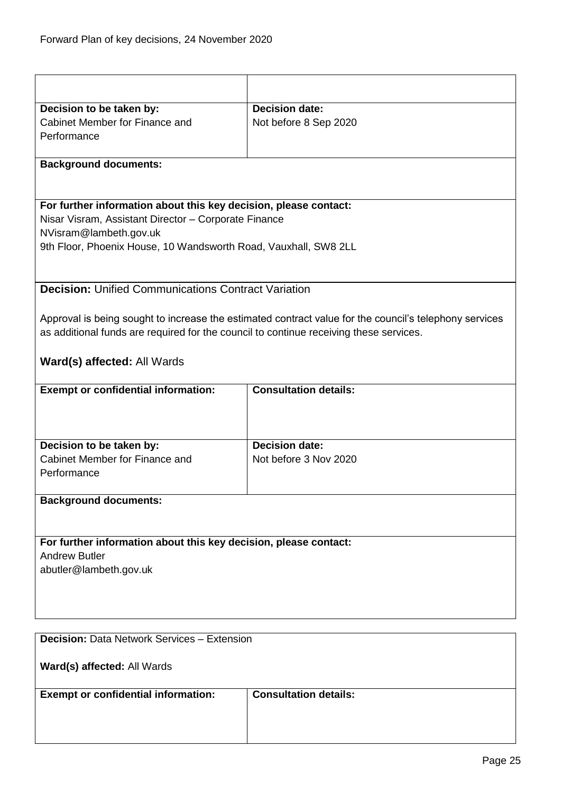<span id="page-24-1"></span><span id="page-24-0"></span>

| Decision to be taken by:                                                               | <b>Decision date:</b>                                                                                  |
|----------------------------------------------------------------------------------------|--------------------------------------------------------------------------------------------------------|
| Cabinet Member for Finance and                                                         | Not before 8 Sep 2020                                                                                  |
| Performance                                                                            |                                                                                                        |
|                                                                                        |                                                                                                        |
| <b>Background documents:</b>                                                           |                                                                                                        |
|                                                                                        |                                                                                                        |
| For further information about this key decision, please contact:                       |                                                                                                        |
| Nisar Visram, Assistant Director - Corporate Finance                                   |                                                                                                        |
| NVisram@lambeth.gov.uk                                                                 |                                                                                                        |
| 9th Floor, Phoenix House, 10 Wandsworth Road, Vauxhall, SW8 2LL                        |                                                                                                        |
|                                                                                        |                                                                                                        |
| <b>Decision: Unified Communications Contract Variation</b>                             |                                                                                                        |
|                                                                                        |                                                                                                        |
|                                                                                        | Approval is being sought to increase the estimated contract value for the council's telephony services |
| as additional funds are required for the council to continue receiving these services. |                                                                                                        |
| Ward(s) affected: All Wards                                                            |                                                                                                        |
|                                                                                        | <b>Consultation details:</b>                                                                           |
| <b>Exempt or confidential information:</b>                                             |                                                                                                        |
|                                                                                        |                                                                                                        |
|                                                                                        |                                                                                                        |
| Decision to be taken by:                                                               | <b>Decision date:</b>                                                                                  |
| Cabinet Member for Finance and                                                         | Not before 3 Nov 2020                                                                                  |
| Performance                                                                            |                                                                                                        |
|                                                                                        |                                                                                                        |
| <b>Background documents:</b>                                                           |                                                                                                        |
|                                                                                        |                                                                                                        |
|                                                                                        |                                                                                                        |
| For further information about this key decision, please contact:                       |                                                                                                        |
| <b>Andrew Butler</b>                                                                   |                                                                                                        |
| abutler@lambeth.gov.uk                                                                 |                                                                                                        |
|                                                                                        |                                                                                                        |
|                                                                                        |                                                                                                        |
|                                                                                        |                                                                                                        |
| <b>Decision: Data Network Services - Extension</b>                                     |                                                                                                        |
| Ward(s) affected: All Wards                                                            |                                                                                                        |
|                                                                                        |                                                                                                        |
| <b>Exempt or confidential information:</b>                                             | <b>Consultation details:</b>                                                                           |
|                                                                                        |                                                                                                        |
|                                                                                        |                                                                                                        |
|                                                                                        |                                                                                                        |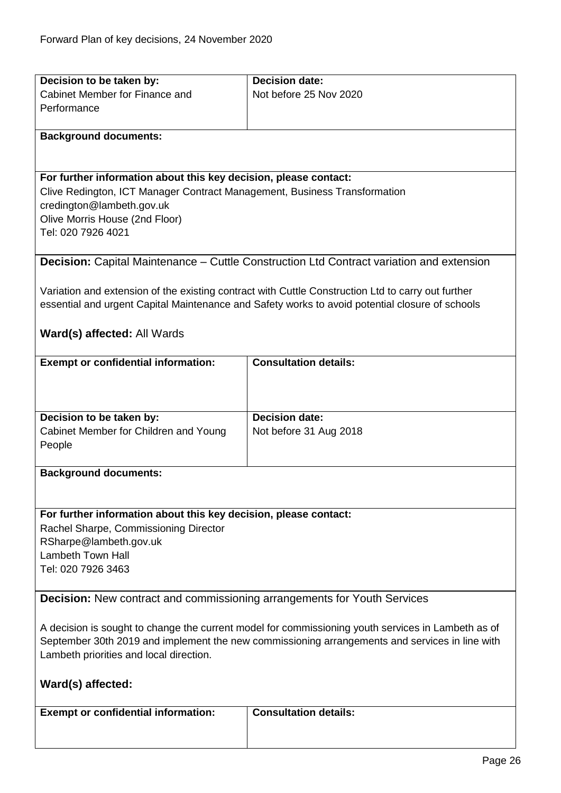<span id="page-25-1"></span><span id="page-25-0"></span>

| Decision to be taken by:                                                                           | <b>Decision date:</b>                                                                              |
|----------------------------------------------------------------------------------------------------|----------------------------------------------------------------------------------------------------|
| Cabinet Member for Finance and                                                                     | Not before 25 Nov 2020                                                                             |
| Performance                                                                                        |                                                                                                    |
|                                                                                                    |                                                                                                    |
| <b>Background documents:</b>                                                                       |                                                                                                    |
|                                                                                                    |                                                                                                    |
|                                                                                                    |                                                                                                    |
| For further information about this key decision, please contact:                                   |                                                                                                    |
| Clive Redington, ICT Manager Contract Management, Business Transformation                          |                                                                                                    |
| credington@lambeth.gov.uk                                                                          |                                                                                                    |
| Olive Morris House (2nd Floor)                                                                     |                                                                                                    |
| Tel: 020 7926 4021                                                                                 |                                                                                                    |
|                                                                                                    |                                                                                                    |
|                                                                                                    | <b>Decision:</b> Capital Maintenance – Cuttle Construction Ltd Contract variation and extension    |
|                                                                                                    |                                                                                                    |
|                                                                                                    | Variation and extension of the existing contract with Cuttle Construction Ltd to carry out further |
|                                                                                                    | essential and urgent Capital Maintenance and Safety works to avoid potential closure of schools    |
|                                                                                                    |                                                                                                    |
| Ward(s) affected: All Wards                                                                        |                                                                                                    |
| <b>Exempt or confidential information:</b>                                                         | <b>Consultation details:</b>                                                                       |
|                                                                                                    |                                                                                                    |
|                                                                                                    |                                                                                                    |
|                                                                                                    |                                                                                                    |
| Decision to be taken by:                                                                           | <b>Decision date:</b>                                                                              |
| Cabinet Member for Children and Young                                                              | Not before 31 Aug 2018                                                                             |
| People                                                                                             |                                                                                                    |
|                                                                                                    |                                                                                                    |
| <b>Background documents:</b>                                                                       |                                                                                                    |
|                                                                                                    |                                                                                                    |
|                                                                                                    |                                                                                                    |
| For further information about this key decision, please contact:                                   |                                                                                                    |
| Rachel Sharpe, Commissioning Director                                                              |                                                                                                    |
| RSharpe@lambeth.gov.uk<br><b>Lambeth Town Hall</b>                                                 |                                                                                                    |
|                                                                                                    |                                                                                                    |
| Tel: 020 7926 3463                                                                                 |                                                                                                    |
| <b>Decision:</b> New contract and commissioning arrangements for Youth Services                    |                                                                                                    |
|                                                                                                    |                                                                                                    |
| A decision is sought to change the current model for commissioning youth services in Lambeth as of |                                                                                                    |
| September 30th 2019 and implement the new commissioning arrangements and services in line with     |                                                                                                    |
| Lambeth priorities and local direction.                                                            |                                                                                                    |
|                                                                                                    |                                                                                                    |
| Ward(s) affected:                                                                                  |                                                                                                    |
|                                                                                                    |                                                                                                    |
| <b>Exempt or confidential information:</b>                                                         | <b>Consultation details:</b>                                                                       |
|                                                                                                    |                                                                                                    |
|                                                                                                    |                                                                                                    |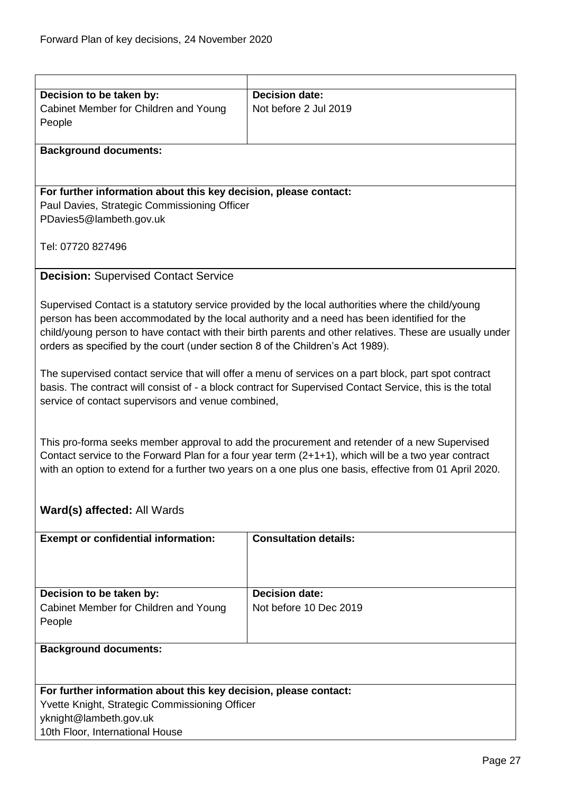<span id="page-26-0"></span>

| Decision to be taken by:                                                                                | <b>Decision date:</b>                                                                                    |  |
|---------------------------------------------------------------------------------------------------------|----------------------------------------------------------------------------------------------------------|--|
| Cabinet Member for Children and Young                                                                   | Not before 2 Jul 2019                                                                                    |  |
| People                                                                                                  |                                                                                                          |  |
|                                                                                                         |                                                                                                          |  |
| <b>Background documents:</b>                                                                            |                                                                                                          |  |
|                                                                                                         |                                                                                                          |  |
|                                                                                                         |                                                                                                          |  |
| For further information about this key decision, please contact:                                        |                                                                                                          |  |
| Paul Davies, Strategic Commissioning Officer                                                            |                                                                                                          |  |
| PDavies5@lambeth.gov.uk                                                                                 |                                                                                                          |  |
|                                                                                                         |                                                                                                          |  |
| Tel: 07720 827496                                                                                       |                                                                                                          |  |
|                                                                                                         |                                                                                                          |  |
| <b>Decision: Supervised Contact Service</b>                                                             |                                                                                                          |  |
|                                                                                                         |                                                                                                          |  |
|                                                                                                         | Supervised Contact is a statutory service provided by the local authorities where the child/young        |  |
|                                                                                                         | person has been accommodated by the local authority and a need has been identified for the               |  |
|                                                                                                         | child/young person to have contact with their birth parents and other relatives. These are usually under |  |
| orders as specified by the court (under section 8 of the Children's Act 1989).                          |                                                                                                          |  |
|                                                                                                         |                                                                                                          |  |
|                                                                                                         | The supervised contact service that will offer a menu of services on a part block, part spot contract    |  |
|                                                                                                         | basis. The contract will consist of - a block contract for Supervised Contact Service, this is the total |  |
| service of contact supervisors and venue combined,                                                      |                                                                                                          |  |
|                                                                                                         |                                                                                                          |  |
|                                                                                                         |                                                                                                          |  |
|                                                                                                         | This pro-forma seeks member approval to add the procurement and retender of a new Supervised             |  |
|                                                                                                         | Contact service to the Forward Plan for a four year term $(2+1+1)$ , which will be a two year contract   |  |
| with an option to extend for a further two years on a one plus one basis, effective from 01 April 2020. |                                                                                                          |  |
|                                                                                                         |                                                                                                          |  |
|                                                                                                         |                                                                                                          |  |
| Ward(s) affected: All Wards                                                                             |                                                                                                          |  |
| <b>Exempt or confidential information:</b>                                                              | <b>Consultation details:</b>                                                                             |  |
|                                                                                                         |                                                                                                          |  |
|                                                                                                         |                                                                                                          |  |
|                                                                                                         |                                                                                                          |  |
| Decision to be taken by:                                                                                | <b>Decision date:</b>                                                                                    |  |
| Cabinet Member for Children and Young                                                                   | Not before 10 Dec 2019                                                                                   |  |
| People                                                                                                  |                                                                                                          |  |
|                                                                                                         |                                                                                                          |  |
| <b>Background documents:</b>                                                                            |                                                                                                          |  |
|                                                                                                         |                                                                                                          |  |
|                                                                                                         |                                                                                                          |  |
| For further information about this key decision, please contact:                                        |                                                                                                          |  |
| Yvette Knight, Strategic Commissioning Officer                                                          |                                                                                                          |  |
| yknight@lambeth.gov.uk                                                                                  |                                                                                                          |  |
| 10th Floor, International House                                                                         |                                                                                                          |  |
|                                                                                                         |                                                                                                          |  |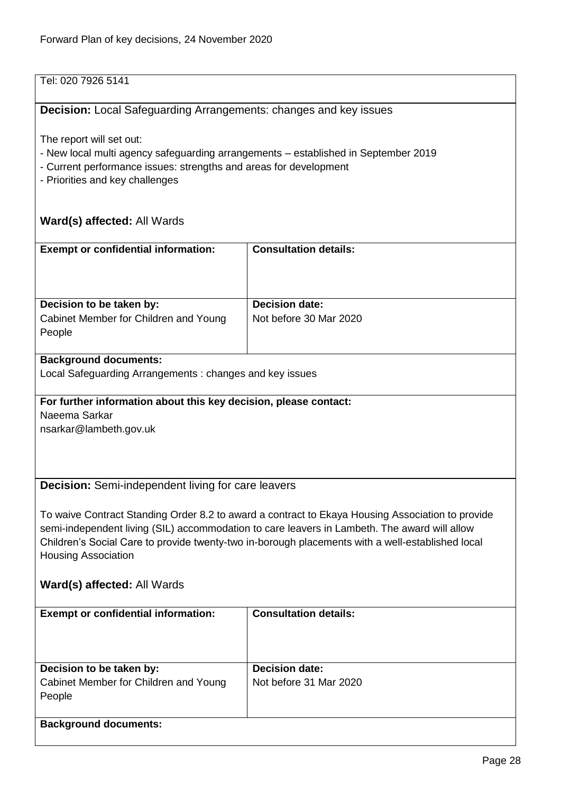## Tel: 020 7926 5141

## <span id="page-27-0"></span>**Decision:** Local Safeguarding Arrangements: changes and key issues

The report will set out:

- New local multi agency safeguarding arrangements established in September 2019
- Current performance issues: strengths and areas for development
- Priorities and key challenges

## **Ward(s) affected:** All Wards

<span id="page-27-1"></span>

| <b>Exempt or confidential information:</b>                       | <b>Consultation details:</b>                                                                     |  |
|------------------------------------------------------------------|--------------------------------------------------------------------------------------------------|--|
|                                                                  |                                                                                                  |  |
|                                                                  |                                                                                                  |  |
|                                                                  |                                                                                                  |  |
| Decision to be taken by:                                         | <b>Decision date:</b>                                                                            |  |
| Cabinet Member for Children and Young                            | Not before 30 Mar 2020                                                                           |  |
| People                                                           |                                                                                                  |  |
|                                                                  |                                                                                                  |  |
| <b>Background documents:</b>                                     |                                                                                                  |  |
| Local Safeguarding Arrangements: changes and key issues          |                                                                                                  |  |
|                                                                  |                                                                                                  |  |
| For further information about this key decision, please contact: |                                                                                                  |  |
| Naeema Sarkar                                                    |                                                                                                  |  |
| nsarkar@lambeth.gov.uk                                           |                                                                                                  |  |
|                                                                  |                                                                                                  |  |
|                                                                  |                                                                                                  |  |
|                                                                  |                                                                                                  |  |
| <b>Decision:</b> Semi-independent living for care leavers        |                                                                                                  |  |
|                                                                  |                                                                                                  |  |
|                                                                  | To waive Contract Standing Order 8.2 to award a contract to Ekaya Housing Association to provide |  |
|                                                                  | semi-independent living (SIL) accommodation to care leavers in Lambeth. The award will allow     |  |
|                                                                  | Children's Social Care to provide twenty-two in-borough placements with a well-established local |  |
| <b>Housing Association</b>                                       |                                                                                                  |  |
|                                                                  |                                                                                                  |  |
| <b>Ward(s) affected: All Wards</b>                               |                                                                                                  |  |
|                                                                  |                                                                                                  |  |
| <b>Exempt or confidential information:</b>                       | <b>Consultation details:</b>                                                                     |  |
|                                                                  |                                                                                                  |  |
|                                                                  |                                                                                                  |  |
|                                                                  |                                                                                                  |  |
| Decision to be taken by:                                         | <b>Decision date:</b>                                                                            |  |
| Cabinet Member for Children and Young                            | Not before 31 Mar 2020                                                                           |  |
| People                                                           |                                                                                                  |  |
|                                                                  |                                                                                                  |  |
| <b>Background documents:</b>                                     |                                                                                                  |  |
|                                                                  |                                                                                                  |  |
|                                                                  |                                                                                                  |  |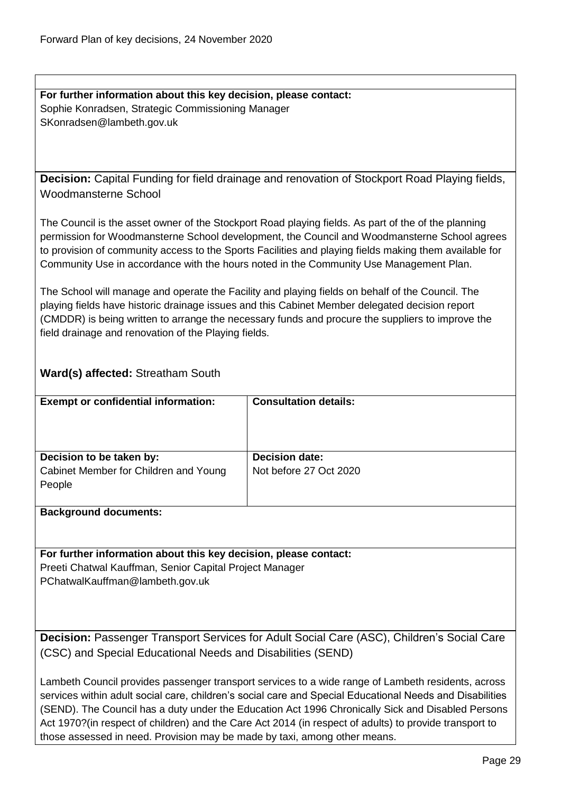**For further information about this key decision, please contact:** Sophie Konradsen, Strategic Commissioning Manager SKonradsen@lambeth.gov.uk

<span id="page-28-0"></span>**Decision:** Capital Funding for field drainage and renovation of Stockport Road Playing fields, Woodmansterne School

The Council is the asset owner of the Stockport Road playing fields. As part of the of the planning permission for Woodmansterne School development, the Council and Woodmansterne School agrees to provision of community access to the Sports Facilities and playing fields making them available for Community Use in accordance with the hours noted in the Community Use Management Plan.

The School will manage and operate the Facility and playing fields on behalf of the Council. The playing fields have historic drainage issues and this Cabinet Member delegated decision report (CMDDR) is being written to arrange the necessary funds and procure the suppliers to improve the field drainage and renovation of the Playing fields.

## **Ward(s) affected:** Streatham South

| <b>Exempt or confidential information:</b> | <b>Consultation details:</b> |
|--------------------------------------------|------------------------------|
| Decision to be taken by:                   | <b>Decision date:</b>        |
| Cabinet Member for Children and Young      | Not before 27 Oct 2020       |
| People                                     |                              |
|                                            |                              |
|                                            |                              |

**Background documents:**

**For further information about this key decision, please contact:** Preeti Chatwal Kauffman, Senior Capital Project Manager PChatwalKauffman@lambeth.gov.uk

<span id="page-28-1"></span>**Decision:** Passenger Transport Services for Adult Social Care (ASC), Children's Social Care (CSC) and Special Educational Needs and Disabilities (SEND)

Lambeth Council provides passenger transport services to a wide range of Lambeth residents, across services within adult social care, children's social care and Special Educational Needs and Disabilities (SEND). The Council has a duty under the Education Act 1996 Chronically Sick and Disabled Persons Act 1970?(in respect of children) and the Care Act 2014 (in respect of adults) to provide transport to those assessed in need. Provision may be made by taxi, among other means.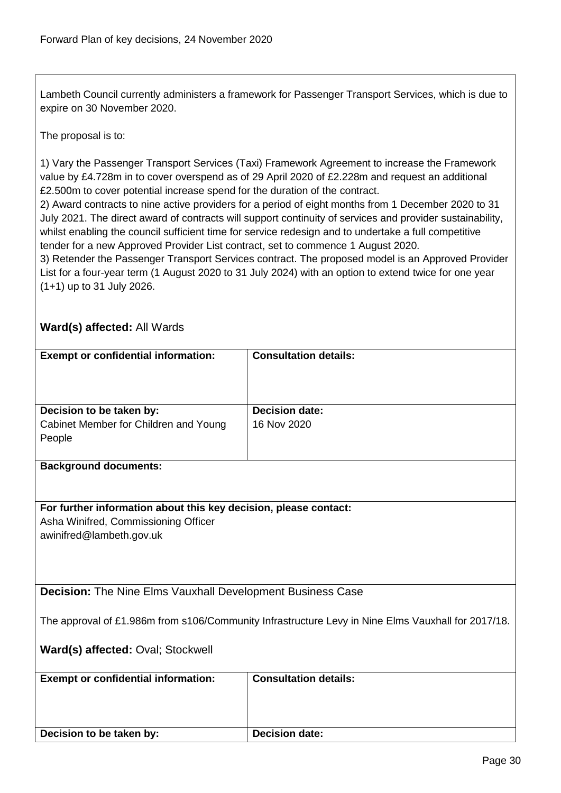Lambeth Council currently administers a framework for Passenger Transport Services, which is due to expire on 30 November 2020.

The proposal is to:

1) Vary the Passenger Transport Services (Taxi) Framework Agreement to increase the Framework value by £4.728m in to cover overspend as of 29 April 2020 of £2.228m and request an additional £2.500m to cover potential increase spend for the duration of the contract.

2) Award contracts to nine active providers for a period of eight months from 1 December 2020 to 31 July 2021. The direct award of contracts will support continuity of services and provider sustainability, whilst enabling the council sufficient time for service redesign and to undertake a full competitive tender for a new Approved Provider List contract, set to commence 1 August 2020.

3) Retender the Passenger Transport Services contract. The proposed model is an Approved Provider List for a four-year term (1 August 2020 to 31 July 2024) with an option to extend twice for one year (1+1) up to 31 July 2026.

## **Ward(s) affected:** All Wards

<span id="page-29-0"></span>

| <b>Exempt or confidential information:</b>                        | <b>Consultation details:</b>                                                                       |
|-------------------------------------------------------------------|----------------------------------------------------------------------------------------------------|
|                                                                   |                                                                                                    |
|                                                                   |                                                                                                    |
|                                                                   |                                                                                                    |
| Decision to be taken by:                                          | <b>Decision date:</b>                                                                              |
| Cabinet Member for Children and Young                             | 16 Nov 2020                                                                                        |
| People                                                            |                                                                                                    |
|                                                                   |                                                                                                    |
| <b>Background documents:</b>                                      |                                                                                                    |
|                                                                   |                                                                                                    |
|                                                                   |                                                                                                    |
| For further information about this key decision, please contact:  |                                                                                                    |
| Asha Winifred, Commissioning Officer                              |                                                                                                    |
| awinifred@lambeth.gov.uk                                          |                                                                                                    |
|                                                                   |                                                                                                    |
|                                                                   |                                                                                                    |
|                                                                   |                                                                                                    |
| <b>Decision:</b> The Nine Elms Vauxhall Development Business Case |                                                                                                    |
|                                                                   |                                                                                                    |
|                                                                   | The approval of £1.986m from s106/Community Infrastructure Levy in Nine Elms Vauxhall for 2017/18. |
|                                                                   |                                                                                                    |
| Ward(s) affected: Oval; Stockwell                                 |                                                                                                    |
|                                                                   |                                                                                                    |
| <b>Exempt or confidential information:</b>                        | <b>Consultation details:</b>                                                                       |
|                                                                   |                                                                                                    |
|                                                                   |                                                                                                    |
|                                                                   |                                                                                                    |
| Decision to be taken by:                                          | <b>Decision date:</b>                                                                              |
|                                                                   |                                                                                                    |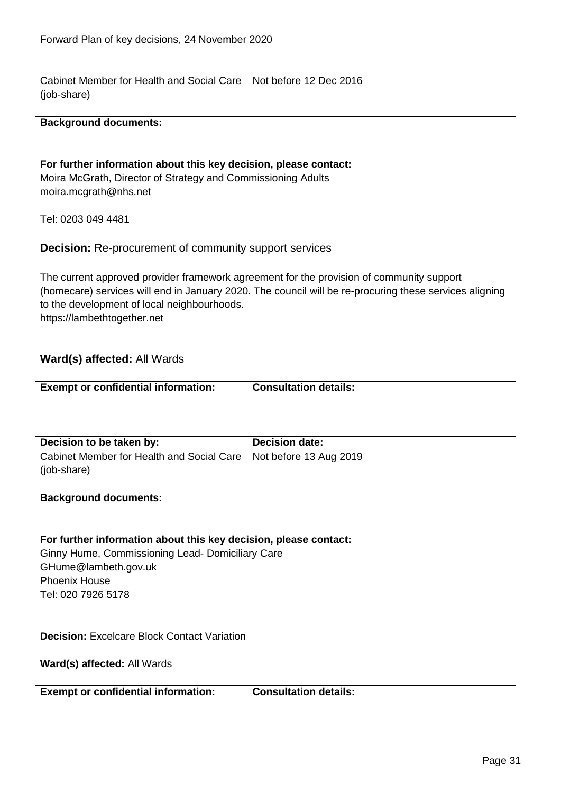<span id="page-30-0"></span>Cabinet Member for Health and Social Care | Not before 12 Dec 2016

<span id="page-30-1"></span>

| (job-share)                                                      |                                                                                                        |
|------------------------------------------------------------------|--------------------------------------------------------------------------------------------------------|
| <b>Background documents:</b>                                     |                                                                                                        |
|                                                                  |                                                                                                        |
| For further information about this key decision, please contact: |                                                                                                        |
| Moira McGrath, Director of Strategy and Commissioning Adults     |                                                                                                        |
| moira.mcgrath@nhs.net                                            |                                                                                                        |
|                                                                  |                                                                                                        |
| Tel: 0203 049 4481                                               |                                                                                                        |
|                                                                  |                                                                                                        |
| <b>Decision:</b> Re-procurement of community support services    |                                                                                                        |
|                                                                  | The current approved provider framework agreement for the provision of community support               |
|                                                                  | (homecare) services will end in January 2020. The council will be re-procuring these services aligning |
| to the development of local neighbourhoods.                      |                                                                                                        |
| https://lambethtogether.net                                      |                                                                                                        |
|                                                                  |                                                                                                        |
|                                                                  |                                                                                                        |
| Ward(s) affected: All Wards                                      |                                                                                                        |
| <b>Exempt or confidential information:</b>                       | <b>Consultation details:</b>                                                                           |
|                                                                  |                                                                                                        |
|                                                                  |                                                                                                        |
|                                                                  |                                                                                                        |
| Decision to be taken by:                                         | <b>Decision date:</b>                                                                                  |
| Cabinet Member for Health and Social Care                        | Not before 13 Aug 2019                                                                                 |
| (job-share)                                                      |                                                                                                        |
| <b>Background documents:</b>                                     |                                                                                                        |
|                                                                  |                                                                                                        |
|                                                                  |                                                                                                        |
| For further information about this key decision, please contact: |                                                                                                        |
| Ginny Hume, Commissioning Lead- Domiciliary Care                 |                                                                                                        |
| GHume@lambeth.gov.uk                                             |                                                                                                        |
| <b>Phoenix House</b>                                             |                                                                                                        |
| Tel: 020 7926 5178                                               |                                                                                                        |
|                                                                  |                                                                                                        |
| <b>Decision: Excelcare Block Contact Variation</b>               |                                                                                                        |
|                                                                  |                                                                                                        |
| Ward(s) affected: All Wards                                      |                                                                                                        |
| <b>Exempt or confidential information:</b>                       | <b>Consultation details:</b>                                                                           |
|                                                                  |                                                                                                        |
|                                                                  |                                                                                                        |
|                                                                  |                                                                                                        |
|                                                                  |                                                                                                        |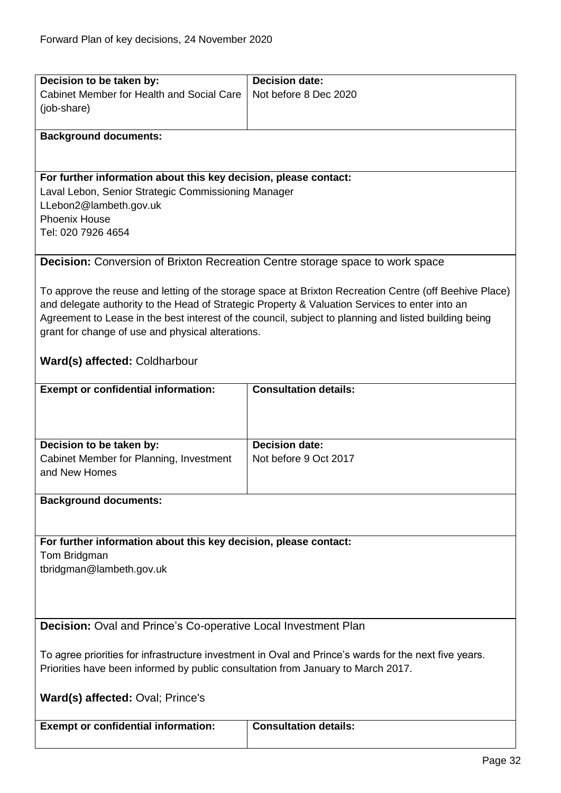<span id="page-31-1"></span><span id="page-31-0"></span>

| Decision to be taken by:                                                                              | <b>Decision date:</b>                                                                                  |  |
|-------------------------------------------------------------------------------------------------------|--------------------------------------------------------------------------------------------------------|--|
| Cabinet Member for Health and Social Care                                                             | Not before 8 Dec 2020                                                                                  |  |
| (job-share)                                                                                           |                                                                                                        |  |
|                                                                                                       |                                                                                                        |  |
| <b>Background documents:</b>                                                                          |                                                                                                        |  |
|                                                                                                       |                                                                                                        |  |
|                                                                                                       |                                                                                                        |  |
| For further information about this key decision, please contact:                                      |                                                                                                        |  |
| Laval Lebon, Senior Strategic Commissioning Manager                                                   |                                                                                                        |  |
| LLebon2@lambeth.gov.uk                                                                                |                                                                                                        |  |
| <b>Phoenix House</b>                                                                                  |                                                                                                        |  |
| Tel: 020 7926 4654                                                                                    |                                                                                                        |  |
|                                                                                                       |                                                                                                        |  |
| <b>Decision:</b> Conversion of Brixton Recreation Centre storage space to work space                  |                                                                                                        |  |
|                                                                                                       |                                                                                                        |  |
|                                                                                                       | To approve the reuse and letting of the storage space at Brixton Recreation Centre (off Beehive Place) |  |
|                                                                                                       | and delegate authority to the Head of Strategic Property & Valuation Services to enter into an         |  |
|                                                                                                       | Agreement to Lease in the best interest of the council, subject to planning and listed building being  |  |
| grant for change of use and physical alterations.                                                     |                                                                                                        |  |
|                                                                                                       |                                                                                                        |  |
| Ward(s) affected: Coldharbour                                                                         |                                                                                                        |  |
|                                                                                                       |                                                                                                        |  |
| <b>Exempt or confidential information:</b>                                                            | <b>Consultation details:</b>                                                                           |  |
|                                                                                                       |                                                                                                        |  |
|                                                                                                       |                                                                                                        |  |
| Decision to be taken by:                                                                              | <b>Decision date:</b>                                                                                  |  |
| Cabinet Member for Planning, Investment                                                               | Not before 9 Oct 2017                                                                                  |  |
| and New Homes                                                                                         |                                                                                                        |  |
|                                                                                                       |                                                                                                        |  |
| <b>Background documents:</b>                                                                          |                                                                                                        |  |
|                                                                                                       |                                                                                                        |  |
|                                                                                                       |                                                                                                        |  |
| For further information about this key decision, please contact:                                      |                                                                                                        |  |
| Tom Bridgman                                                                                          |                                                                                                        |  |
| tbridgman@lambeth.gov.uk                                                                              |                                                                                                        |  |
|                                                                                                       |                                                                                                        |  |
|                                                                                                       |                                                                                                        |  |
|                                                                                                       |                                                                                                        |  |
| <b>Decision:</b> Oval and Prince's Co-operative Local Investment Plan                                 |                                                                                                        |  |
|                                                                                                       |                                                                                                        |  |
| To agree priorities for infrastructure investment in Oval and Prince's wards for the next five years. |                                                                                                        |  |
| Priorities have been informed by public consultation from January to March 2017.                      |                                                                                                        |  |
|                                                                                                       |                                                                                                        |  |
| <b>Ward(s) affected: Oval; Prince's</b>                                                               |                                                                                                        |  |
|                                                                                                       |                                                                                                        |  |
| <b>Exempt or confidential information:</b>                                                            | <b>Consultation details:</b>                                                                           |  |
|                                                                                                       |                                                                                                        |  |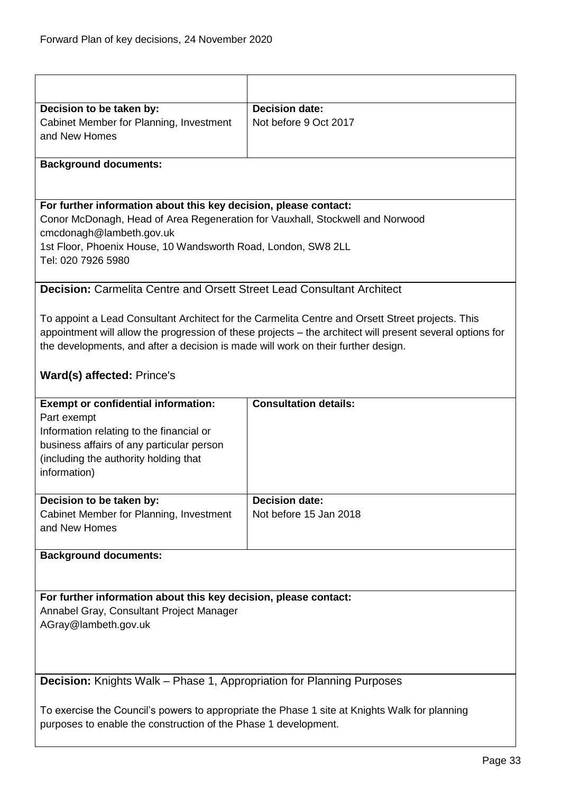<span id="page-32-1"></span><span id="page-32-0"></span>

| Decision to be taken by:                                                          | <b>Decision date:</b>                                                                                     |
|-----------------------------------------------------------------------------------|-----------------------------------------------------------------------------------------------------------|
| Cabinet Member for Planning, Investment                                           | Not before 9 Oct 2017                                                                                     |
| and New Homes                                                                     |                                                                                                           |
|                                                                                   |                                                                                                           |
| <b>Background documents:</b>                                                      |                                                                                                           |
|                                                                                   |                                                                                                           |
|                                                                                   |                                                                                                           |
| For further information about this key decision, please contact:                  |                                                                                                           |
| Conor McDonagh, Head of Area Regeneration for Vauxhall, Stockwell and Norwood     |                                                                                                           |
| cmcdonagh@lambeth.gov.uk                                                          |                                                                                                           |
| 1st Floor, Phoenix House, 10 Wandsworth Road, London, SW8 2LL                     |                                                                                                           |
| Tel: 020 7926 5980                                                                |                                                                                                           |
|                                                                                   |                                                                                                           |
| <b>Decision: Carmelita Centre and Orsett Street Lead Consultant Architect</b>     |                                                                                                           |
|                                                                                   |                                                                                                           |
|                                                                                   | To appoint a Lead Consultant Architect for the Carmelita Centre and Orsett Street projects. This          |
|                                                                                   | appointment will allow the progression of these projects – the architect will present several options for |
| the developments, and after a decision is made will work on their further design. |                                                                                                           |
| Ward(s) affected: Prince's                                                        |                                                                                                           |
|                                                                                   |                                                                                                           |
| <b>Exempt or confidential information:</b>                                        | <b>Consultation details:</b>                                                                              |
| Part exempt                                                                       |                                                                                                           |
| Information relating to the financial or                                          |                                                                                                           |
| business affairs of any particular person                                         |                                                                                                           |
| (including the authority holding that                                             |                                                                                                           |
| information)                                                                      |                                                                                                           |
|                                                                                   |                                                                                                           |
| Decision to be taken by:                                                          | <b>Decision date:</b>                                                                                     |
| Cabinet Member for Planning, Investment                                           | Not before 15 Jan 2018                                                                                    |
| and New Homes                                                                     |                                                                                                           |
|                                                                                   |                                                                                                           |
| <b>Background documents:</b>                                                      |                                                                                                           |
|                                                                                   |                                                                                                           |
| For further information about this key decision, please contact:                  |                                                                                                           |
| Annabel Gray, Consultant Project Manager                                          |                                                                                                           |
| AGray@lambeth.gov.uk                                                              |                                                                                                           |
|                                                                                   |                                                                                                           |
|                                                                                   |                                                                                                           |
|                                                                                   |                                                                                                           |
| Decision: Knights Walk - Phase 1, Appropriation for Planning Purposes             |                                                                                                           |
|                                                                                   |                                                                                                           |
|                                                                                   |                                                                                                           |
|                                                                                   | To exercise the Council's powers to appropriate the Phase 1 site at Knights Walk for planning             |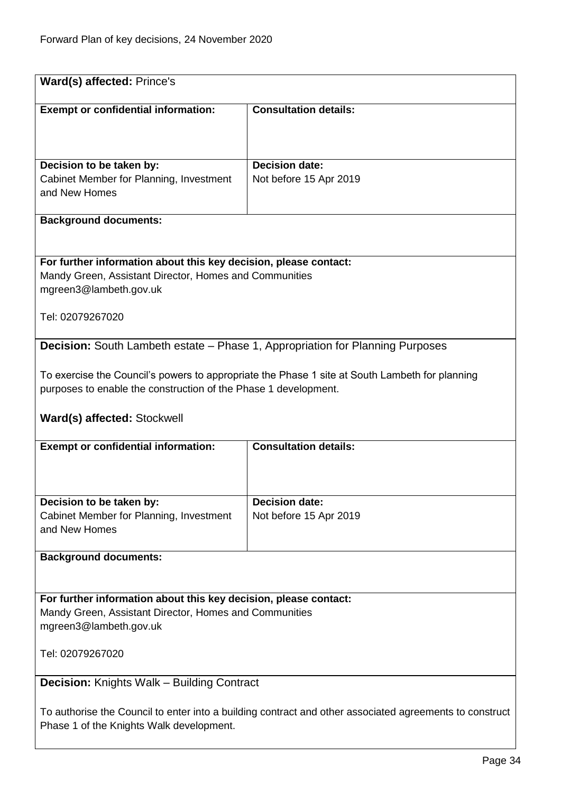<span id="page-33-1"></span><span id="page-33-0"></span>

| Ward(s) affected: Prince's                                                                              |                                                                                                |
|---------------------------------------------------------------------------------------------------------|------------------------------------------------------------------------------------------------|
|                                                                                                         |                                                                                                |
| <b>Exempt or confidential information:</b>                                                              | <b>Consultation details:</b>                                                                   |
|                                                                                                         |                                                                                                |
|                                                                                                         |                                                                                                |
|                                                                                                         |                                                                                                |
| Decision to be taken by:                                                                                | <b>Decision date:</b>                                                                          |
| Cabinet Member for Planning, Investment                                                                 | Not before 15 Apr 2019                                                                         |
| and New Homes                                                                                           |                                                                                                |
|                                                                                                         |                                                                                                |
| <b>Background documents:</b>                                                                            |                                                                                                |
|                                                                                                         |                                                                                                |
|                                                                                                         |                                                                                                |
| For further information about this key decision, please contact:                                        |                                                                                                |
| Mandy Green, Assistant Director, Homes and Communities                                                  |                                                                                                |
| mgreen3@lambeth.gov.uk                                                                                  |                                                                                                |
|                                                                                                         |                                                                                                |
| Tel: 02079267020                                                                                        |                                                                                                |
|                                                                                                         |                                                                                                |
| <b>Decision:</b> South Lambeth estate - Phase 1, Appropriation for Planning Purposes                    |                                                                                                |
|                                                                                                         |                                                                                                |
|                                                                                                         | To exercise the Council's powers to appropriate the Phase 1 site at South Lambeth for planning |
| purposes to enable the construction of the Phase 1 development.                                         |                                                                                                |
|                                                                                                         |                                                                                                |
|                                                                                                         |                                                                                                |
| Ward(s) affected: Stockwell                                                                             |                                                                                                |
| <b>Exempt or confidential information:</b>                                                              | <b>Consultation details:</b>                                                                   |
|                                                                                                         |                                                                                                |
|                                                                                                         |                                                                                                |
|                                                                                                         |                                                                                                |
| Decision to be taken by:                                                                                | <b>Decision date:</b>                                                                          |
| Cabinet Member for Planning, Investment                                                                 | Not before 15 Apr 2019                                                                         |
| and New Homes                                                                                           |                                                                                                |
|                                                                                                         |                                                                                                |
| <b>Background documents:</b>                                                                            |                                                                                                |
|                                                                                                         |                                                                                                |
|                                                                                                         |                                                                                                |
|                                                                                                         |                                                                                                |
| For further information about this key decision, please contact:                                        |                                                                                                |
| Mandy Green, Assistant Director, Homes and Communities<br>mgreen3@lambeth.gov.uk                        |                                                                                                |
|                                                                                                         |                                                                                                |
| Tel: 02079267020                                                                                        |                                                                                                |
|                                                                                                         |                                                                                                |
|                                                                                                         |                                                                                                |
| <b>Decision: Knights Walk - Building Contract</b>                                                       |                                                                                                |
|                                                                                                         |                                                                                                |
| To authorise the Council to enter into a building contract and other associated agreements to construct |                                                                                                |
| Phase 1 of the Knights Walk development.                                                                |                                                                                                |
|                                                                                                         |                                                                                                |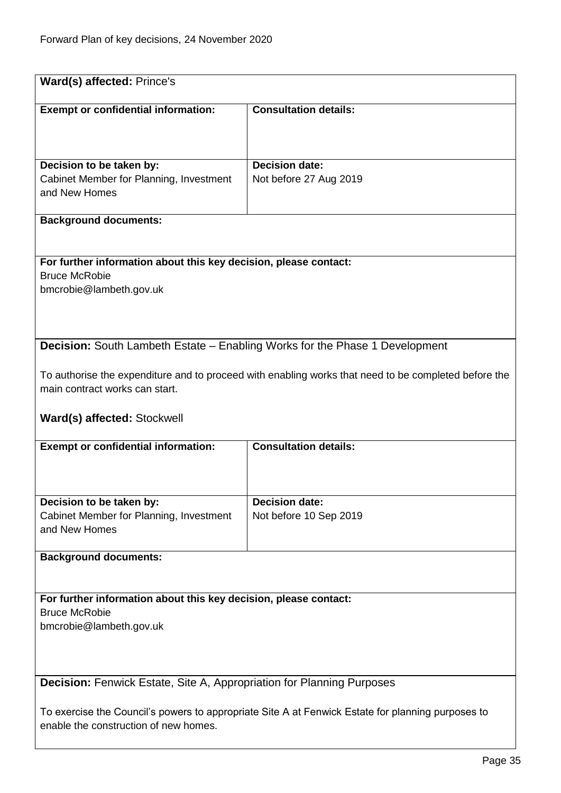<span id="page-34-1"></span><span id="page-34-0"></span>

| Ward(s) affected: Prince's                                                   |                                                                                                      |  |
|------------------------------------------------------------------------------|------------------------------------------------------------------------------------------------------|--|
| <b>Exempt or confidential information:</b>                                   | <b>Consultation details:</b>                                                                         |  |
|                                                                              |                                                                                                      |  |
|                                                                              |                                                                                                      |  |
| Decision to be taken by:                                                     | <b>Decision date:</b>                                                                                |  |
| Cabinet Member for Planning, Investment<br>and New Homes                     | Not before 27 Aug 2019                                                                               |  |
|                                                                              |                                                                                                      |  |
| <b>Background documents:</b>                                                 |                                                                                                      |  |
|                                                                              |                                                                                                      |  |
| For further information about this key decision, please contact:             |                                                                                                      |  |
| <b>Bruce McRobie</b>                                                         |                                                                                                      |  |
| bmcrobie@lambeth.gov.uk                                                      |                                                                                                      |  |
|                                                                              |                                                                                                      |  |
|                                                                              |                                                                                                      |  |
|                                                                              | <b>Decision:</b> South Lambeth Estate – Enabling Works for the Phase 1 Development                   |  |
|                                                                              |                                                                                                      |  |
|                                                                              | To authorise the expenditure and to proceed with enabling works that need to be completed before the |  |
| main contract works can start.                                               |                                                                                                      |  |
| Ward(s) affected: Stockwell                                                  |                                                                                                      |  |
| <b>Exempt or confidential information:</b>                                   | <b>Consultation details:</b>                                                                         |  |
|                                                                              |                                                                                                      |  |
| Decision to be taken by:                                                     | <b>Decision date:</b>                                                                                |  |
| Cabinet Member for Planning, Investment                                      | Not before 10 Sep 2019                                                                               |  |
| and New Homes                                                                |                                                                                                      |  |
| <b>Background documents:</b>                                                 |                                                                                                      |  |
|                                                                              |                                                                                                      |  |
| For further information about this key decision, please contact:             |                                                                                                      |  |
| <b>Bruce McRobie</b>                                                         |                                                                                                      |  |
| bmcrobie@lambeth.gov.uk                                                      |                                                                                                      |  |
|                                                                              |                                                                                                      |  |
|                                                                              |                                                                                                      |  |
| <b>Decision:</b> Fenwick Estate, Site A, Appropriation for Planning Purposes |                                                                                                      |  |
|                                                                              | To exercise the Council's powers to appropriate Site A at Fenwick Estate for planning purposes to    |  |
| enable the construction of new homes.                                        |                                                                                                      |  |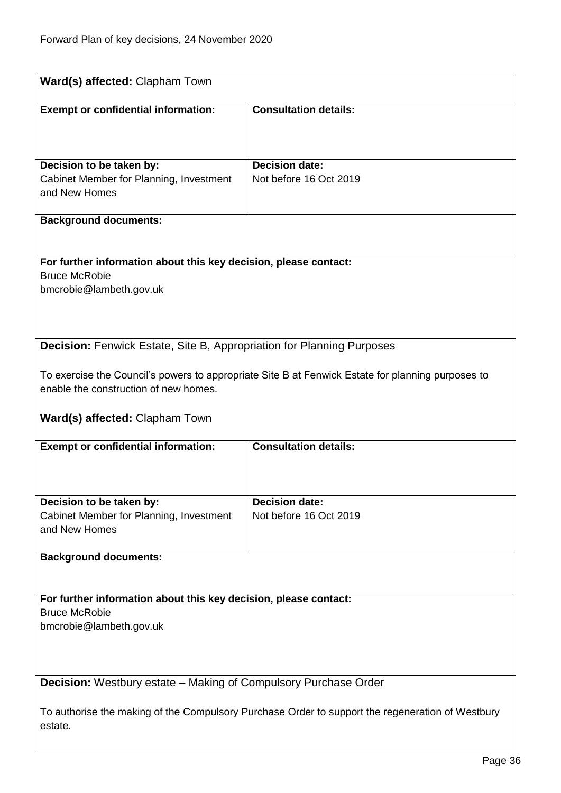<span id="page-35-1"></span> $\mathbf{I}$ 

<span id="page-35-0"></span>

| Ward(s) affected: Clapham Town                                                           |                                                                                                   |  |
|------------------------------------------------------------------------------------------|---------------------------------------------------------------------------------------------------|--|
| <b>Exempt or confidential information:</b>                                               | <b>Consultation details:</b>                                                                      |  |
|                                                                                          |                                                                                                   |  |
|                                                                                          |                                                                                                   |  |
| Decision to be taken by:                                                                 | Decision date:                                                                                    |  |
| Cabinet Member for Planning, Investment                                                  | Not before 16 Oct 2019                                                                            |  |
| and New Homes                                                                            |                                                                                                   |  |
| <b>Background documents:</b>                                                             |                                                                                                   |  |
|                                                                                          |                                                                                                   |  |
|                                                                                          |                                                                                                   |  |
| For further information about this key decision, please contact:<br><b>Bruce McRobie</b> |                                                                                                   |  |
| bmcrobie@lambeth.gov.uk                                                                  |                                                                                                   |  |
|                                                                                          |                                                                                                   |  |
|                                                                                          |                                                                                                   |  |
| <b>Decision:</b> Fenwick Estate, Site B, Appropriation for Planning Purposes             |                                                                                                   |  |
|                                                                                          |                                                                                                   |  |
|                                                                                          | To exercise the Council's powers to appropriate Site B at Fenwick Estate for planning purposes to |  |
| enable the construction of new homes.                                                    |                                                                                                   |  |
| Ward(s) affected: Clapham Town                                                           |                                                                                                   |  |
| <b>Exempt or confidential information:</b>                                               | <b>Consultation details:</b>                                                                      |  |
|                                                                                          |                                                                                                   |  |
|                                                                                          |                                                                                                   |  |
| Decision to be taken by:                                                                 | <b>Decision date:</b>                                                                             |  |
| Cabinet Member for Planning, Investment                                                  | Not before 16 Oct 2019                                                                            |  |
| and New Homes                                                                            |                                                                                                   |  |
| <b>Background documents:</b>                                                             |                                                                                                   |  |
|                                                                                          |                                                                                                   |  |
| For further information about this key decision, please contact:                         |                                                                                                   |  |
| <b>Bruce McRobie</b>                                                                     |                                                                                                   |  |
| bmcrobie@lambeth.gov.uk                                                                  |                                                                                                   |  |
|                                                                                          |                                                                                                   |  |
|                                                                                          |                                                                                                   |  |
| <b>Decision:</b> Westbury estate - Making of Compulsory Purchase Order                   |                                                                                                   |  |
|                                                                                          | To authorise the making of the Compulsory Purchase Order to support the regeneration of Westbury  |  |
| estate.                                                                                  |                                                                                                   |  |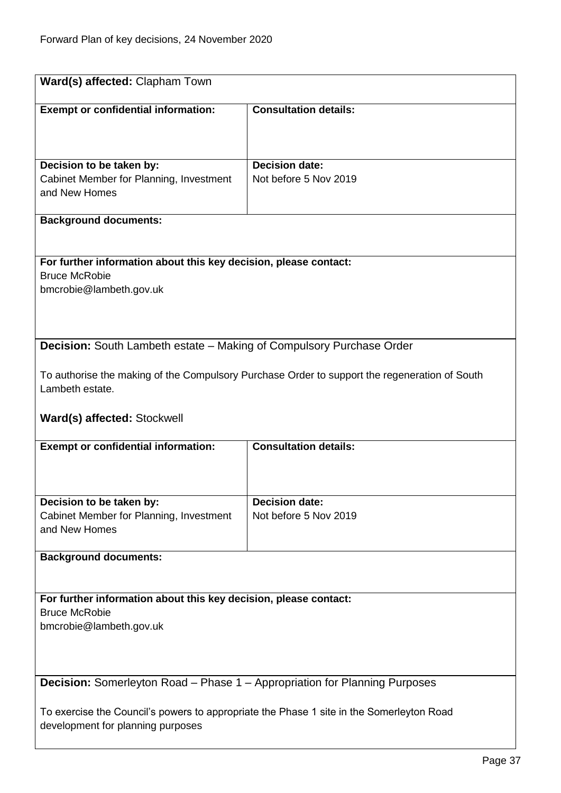<span id="page-36-1"></span><span id="page-36-0"></span>

| Ward(s) affected: Clapham Town                                                                                                |                                                |  |
|-------------------------------------------------------------------------------------------------------------------------------|------------------------------------------------|--|
| <b>Exempt or confidential information:</b>                                                                                    | <b>Consultation details:</b>                   |  |
| Decision to be taken by:<br>Cabinet Member for Planning, Investment<br>and New Homes                                          | <b>Decision date:</b><br>Not before 5 Nov 2019 |  |
| <b>Background documents:</b>                                                                                                  |                                                |  |
| For further information about this key decision, please contact:<br><b>Bruce McRobie</b><br>bmcrobie@lambeth.gov.uk           |                                                |  |
| Decision: South Lambeth estate - Making of Compulsory Purchase Order                                                          |                                                |  |
| To authorise the making of the Compulsory Purchase Order to support the regeneration of South<br>Lambeth estate.              |                                                |  |
| Ward(s) affected: Stockwell                                                                                                   |                                                |  |
| <b>Exempt or confidential information:</b>                                                                                    | <b>Consultation details:</b>                   |  |
| Decision to be taken by:<br>Cabinet Member for Planning, Investment<br>and New Homes                                          | <b>Decision date:</b><br>Not before 5 Nov 2019 |  |
| <b>Background documents:</b>                                                                                                  |                                                |  |
| For further information about this key decision, please contact:<br><b>Bruce McRobie</b><br>bmcrobie@lambeth.gov.uk           |                                                |  |
| <b>Decision:</b> Somerleyton Road - Phase 1 - Appropriation for Planning Purposes                                             |                                                |  |
| To exercise the Council's powers to appropriate the Phase 1 site in the Somerleyton Road<br>development for planning purposes |                                                |  |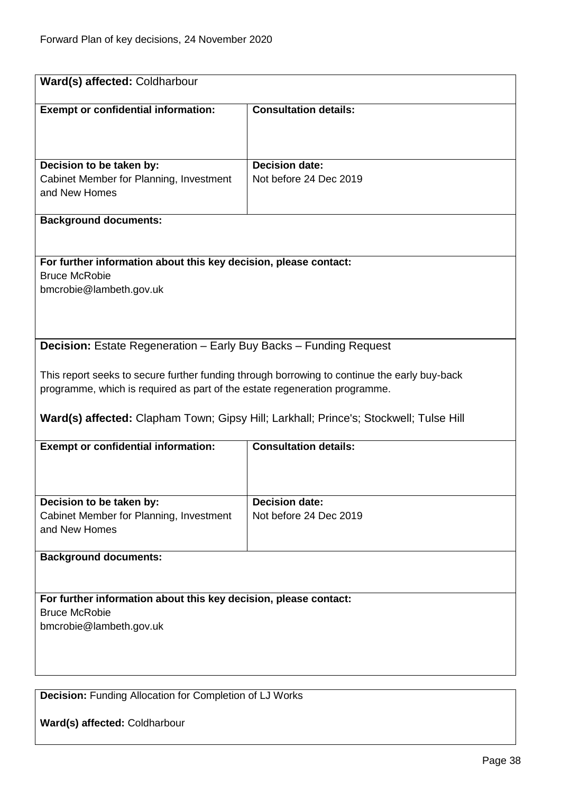<span id="page-37-0"></span>

| Ward(s) affected: Coldharbour                                                            |                                                                                              |
|------------------------------------------------------------------------------------------|----------------------------------------------------------------------------------------------|
| <b>Exempt or confidential information:</b>                                               | <b>Consultation details:</b>                                                                 |
|                                                                                          |                                                                                              |
|                                                                                          | <b>Decision date:</b>                                                                        |
| Decision to be taken by:<br>Cabinet Member for Planning, Investment                      | Not before 24 Dec 2019                                                                       |
| and New Homes                                                                            |                                                                                              |
| <b>Background documents:</b>                                                             |                                                                                              |
|                                                                                          |                                                                                              |
| For further information about this key decision, please contact:<br><b>Bruce McRobie</b> |                                                                                              |
| bmcrobie@lambeth.gov.uk                                                                  |                                                                                              |
|                                                                                          |                                                                                              |
|                                                                                          |                                                                                              |
| <b>Decision:</b> Estate Regeneration – Early Buy Backs – Funding Request                 |                                                                                              |
|                                                                                          | This report seeks to secure further funding through borrowing to continue the early buy-back |
| programme, which is required as part of the estate regeneration programme.               |                                                                                              |
|                                                                                          | Ward(s) affected: Clapham Town; Gipsy Hill; Larkhall; Prince's; Stockwell; Tulse Hill        |
| <b>Exempt or confidential information:</b>                                               | <b>Consultation details:</b>                                                                 |
|                                                                                          |                                                                                              |
|                                                                                          |                                                                                              |
| Decision to be taken by:<br>Cabinet Member for Planning, Investment                      | <b>Decision date:</b><br>Not before 24 Dec 2019                                              |
| and New Homes                                                                            |                                                                                              |
| <b>Background documents:</b>                                                             |                                                                                              |
|                                                                                          |                                                                                              |
| For further information about this key decision, please contact:                         |                                                                                              |
| <b>Bruce McRobie</b><br>bmcrobie@lambeth.gov.uk                                          |                                                                                              |
|                                                                                          |                                                                                              |
|                                                                                          |                                                                                              |
| <b>Decision:</b> Funding Allocation for Completion of LJ Works                           |                                                                                              |

<span id="page-37-1"></span>**Ward(s) affected:** Coldharbour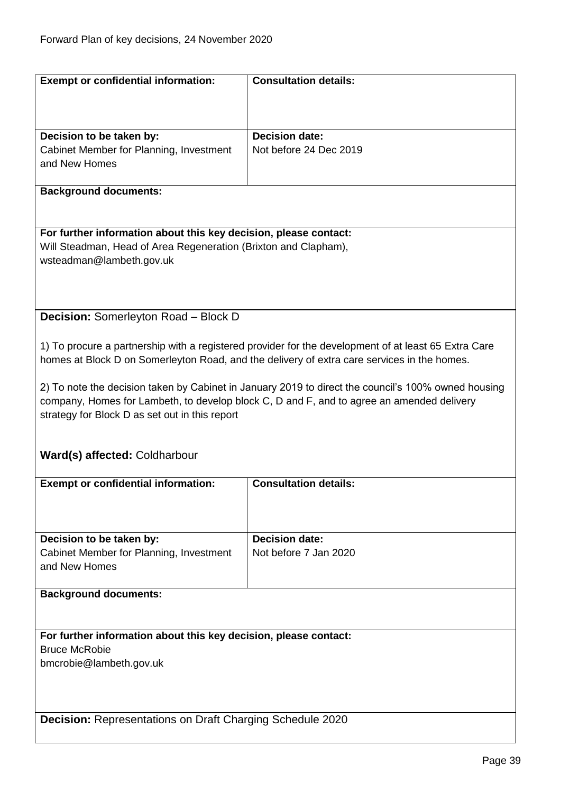<span id="page-38-1"></span><span id="page-38-0"></span>

| <b>Exempt or confidential information:</b>                       | <b>Consultation details:</b>                                                                         |
|------------------------------------------------------------------|------------------------------------------------------------------------------------------------------|
|                                                                  |                                                                                                      |
|                                                                  |                                                                                                      |
|                                                                  |                                                                                                      |
| Decision to be taken by:                                         | <b>Decision date:</b>                                                                                |
| Cabinet Member for Planning, Investment                          | Not before 24 Dec 2019                                                                               |
| and New Homes                                                    |                                                                                                      |
|                                                                  |                                                                                                      |
| <b>Background documents:</b>                                     |                                                                                                      |
|                                                                  |                                                                                                      |
|                                                                  |                                                                                                      |
| For further information about this key decision, please contact: |                                                                                                      |
| Will Steadman, Head of Area Regeneration (Brixton and Clapham),  |                                                                                                      |
| wsteadman@lambeth.gov.uk                                         |                                                                                                      |
|                                                                  |                                                                                                      |
|                                                                  |                                                                                                      |
|                                                                  |                                                                                                      |
| <b>Decision:</b> Somerleyton Road - Block D                      |                                                                                                      |
|                                                                  |                                                                                                      |
|                                                                  | 1) To procure a partnership with a registered provider for the development of at least 65 Extra Care |
|                                                                  | homes at Block D on Somerleyton Road, and the delivery of extra care services in the homes.          |
|                                                                  |                                                                                                      |
|                                                                  | 2) To note the decision taken by Cabinet in January 2019 to direct the council's 100% owned housing  |
|                                                                  | company, Homes for Lambeth, to develop block C, D and F, and to agree an amended delivery            |
| strategy for Block D as set out in this report                   |                                                                                                      |
|                                                                  |                                                                                                      |
|                                                                  |                                                                                                      |
| Ward(s) affected: Coldharbour                                    |                                                                                                      |
|                                                                  |                                                                                                      |
| <b>Exempt or confidential information:</b>                       | <b>Consultation details:</b>                                                                         |
|                                                                  |                                                                                                      |
|                                                                  |                                                                                                      |
|                                                                  |                                                                                                      |
| Decision to be taken by:                                         | <b>Decision date:</b>                                                                                |
| Cabinet Member for Planning, Investment                          | Not before 7 Jan 2020                                                                                |
| and New Homes                                                    |                                                                                                      |
|                                                                  |                                                                                                      |
| <b>Background documents:</b>                                     |                                                                                                      |
|                                                                  |                                                                                                      |
|                                                                  |                                                                                                      |
| For further information about this key decision, please contact: |                                                                                                      |
| <b>Bruce McRobie</b>                                             |                                                                                                      |
| bmcrobie@lambeth.gov.uk                                          |                                                                                                      |
|                                                                  |                                                                                                      |
|                                                                  |                                                                                                      |
|                                                                  |                                                                                                      |
| <b>Decision: Representations on Draft Charging Schedule 2020</b> |                                                                                                      |
|                                                                  |                                                                                                      |
|                                                                  |                                                                                                      |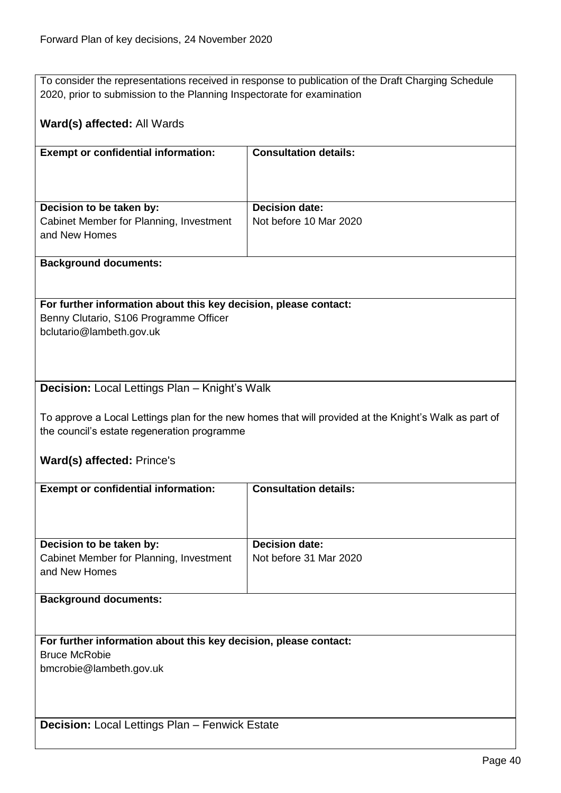To consider the representations received in response to publication of the Draft Charging Schedule 2020, prior to submission to the Planning Inspectorate for examination

## **Ward(s) affected:** All Wards

| <b>Exempt or confidential information:</b> | <b>Consultation details:</b> |
|--------------------------------------------|------------------------------|
|                                            |                              |
|                                            |                              |
|                                            |                              |
|                                            |                              |
|                                            |                              |
| Decision to be taken by:                   | <b>Decision date:</b>        |
| Cabinet Member for Planning, Investment    | Not before 10 Mar 2020       |
| and New Homes                              |                              |
|                                            |                              |
|                                            |                              |

#### **Background documents:**

## **For further information about this key decision, please contact:**

Benny Clutario, S106 Programme Officer bclutario@lambeth.gov.uk

## <span id="page-39-0"></span>**Decision:** Local Lettings Plan – Knight's Walk

To approve a Local Lettings plan for the new homes that will provided at the Knight's Walk as part of the council's estate regeneration programme

## **Ward(s) affected:** Prince's

<span id="page-39-1"></span>

| <b>Exempt or confidential information:</b>                       | <b>Consultation details:</b> |
|------------------------------------------------------------------|------------------------------|
|                                                                  |                              |
|                                                                  |                              |
|                                                                  |                              |
|                                                                  |                              |
| Decision to be taken by:                                         | <b>Decision date:</b>        |
| Cabinet Member for Planning, Investment                          | Not before 31 Mar 2020       |
| and New Homes                                                    |                              |
|                                                                  |                              |
| <b>Background documents:</b>                                     |                              |
|                                                                  |                              |
|                                                                  |                              |
|                                                                  |                              |
| For further information about this key decision, please contact: |                              |
| <b>Bruce McRobie</b>                                             |                              |
| bmcrobie@lambeth.gov.uk                                          |                              |
|                                                                  |                              |
|                                                                  |                              |
|                                                                  |                              |
|                                                                  |                              |
| <b>Decision:</b> Local Lettings Plan - Fenwick Estate            |                              |
|                                                                  |                              |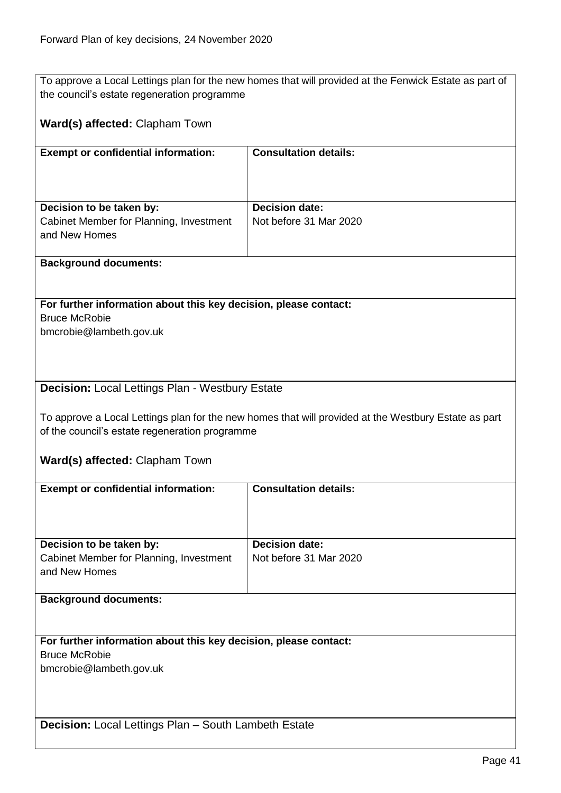To approve a Local Lettings plan for the new homes that will provided at the Fenwick Estate as part of the council's estate regeneration programme

## **Ward(s) affected:** Clapham Town

| <b>Exempt or confidential information:</b> | <b>Consultation details:</b> |
|--------------------------------------------|------------------------------|
|                                            |                              |
|                                            |                              |
| Decision to be taken by:                   | <b>Decision date:</b>        |
| Cabinet Member for Planning, Investment    | Not before 31 Mar 2020       |
| and New Homes                              |                              |
|                                            |                              |

#### **Background documents:**

**For further information about this key decision, please contact:** Bruce McRobie bmcrobie@lambeth.gov.uk

## <span id="page-40-0"></span>**Decision:** Local Lettings Plan - Westbury Estate

To approve a Local Lettings plan for the new homes that will provided at the Westbury Estate as part of the council's estate regeneration programme

**Ward(s) affected:** Clapham Town

<span id="page-40-1"></span>

| <b>Exempt or confidential information:</b>                       | <b>Consultation details:</b> |  |
|------------------------------------------------------------------|------------------------------|--|
|                                                                  |                              |  |
|                                                                  |                              |  |
|                                                                  |                              |  |
| Decision to be taken by:                                         | <b>Decision date:</b>        |  |
| Cabinet Member for Planning, Investment                          | Not before 31 Mar 2020       |  |
| and New Homes                                                    |                              |  |
|                                                                  |                              |  |
| <b>Background documents:</b>                                     |                              |  |
|                                                                  |                              |  |
|                                                                  |                              |  |
| For further information about this key decision, please contact: |                              |  |
| <b>Bruce McRobie</b>                                             |                              |  |
| bmcrobie@lambeth.gov.uk                                          |                              |  |
|                                                                  |                              |  |
|                                                                  |                              |  |
|                                                                  |                              |  |
| <b>Decision:</b> Local Lettings Plan - South Lambeth Estate      |                              |  |
|                                                                  |                              |  |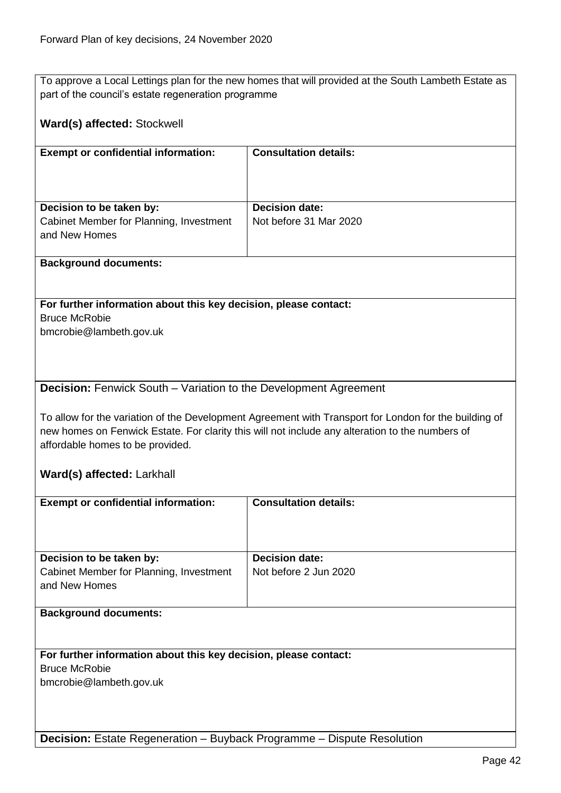To approve a Local Lettings plan for the new homes that will provided at the South Lambeth Estate as part of the council's estate regeneration programme

## **Ward(s) affected:** Stockwell

| <b>Consultation details:</b>                    |
|-------------------------------------------------|
| <b>Decision date:</b><br>Not before 31 Mar 2020 |
|                                                 |

#### **Background documents:**

**For further information about this key decision, please contact:** Bruce McRobie bmcrobie@lambeth.gov.uk

#### <span id="page-41-0"></span>**Decision:** Fenwick South – Variation to the Development Agreement

To allow for the variation of the Development Agreement with Transport for London for the building of new homes on Fenwick Estate. For clarity this will not include any alteration to the numbers of affordable homes to be provided.

#### **Ward(s) affected:** Larkhall

<span id="page-41-1"></span>

| <b>Exempt or confidential information:</b>                       | <b>Consultation details:</b> |
|------------------------------------------------------------------|------------------------------|
|                                                                  |                              |
|                                                                  |                              |
|                                                                  |                              |
| Decision to be taken by:                                         | <b>Decision date:</b>        |
| Cabinet Member for Planning, Investment                          | Not before 2 Jun 2020        |
| and New Homes                                                    |                              |
|                                                                  |                              |
| <b>Background documents:</b>                                     |                              |
|                                                                  |                              |
|                                                                  |                              |
| For further information about this key decision, please contact: |                              |
| <b>Bruce McRobie</b>                                             |                              |
| bmcrobie@lambeth.gov.uk                                          |                              |
|                                                                  |                              |
|                                                                  |                              |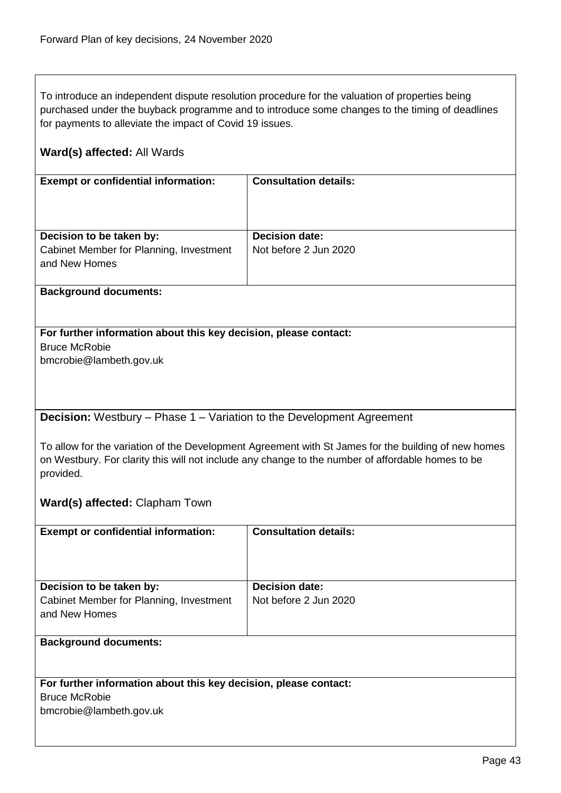To introduce an independent dispute resolution procedure for the valuation of properties being purchased under the buyback programme and to introduce some changes to the timing of deadlines for payments to alleviate the impact of Covid 19 issues.

## **Ward(s) affected:** All Wards

| <b>Exempt or confidential information:</b>               | <b>Consultation details:</b> |
|----------------------------------------------------------|------------------------------|
|                                                          |                              |
| Decision to be taken by:                                 | <b>Decision date:</b>        |
| Cabinet Member for Planning, Investment<br>and New Homes | Not before 2 Jun 2020        |

#### **Background documents:**

## **For further information about this key decision, please contact:**

Bruce McRobie bmcrobie@lambeth.gov.uk

## <span id="page-42-0"></span>**Decision:** Westbury – Phase 1 – Variation to the Development Agreement

To allow for the variation of the Development Agreement with St James for the building of new homes on Westbury. For clarity this will not include any change to the number of affordable homes to be provided.

## **Ward(s) affected:** Clapham Town

| <b>Exempt or confidential information:</b> | <b>Consultation details:</b> |
|--------------------------------------------|------------------------------|
|                                            |                              |
| Decision to be taken by:                   | <b>Decision date:</b>        |
| Cabinet Member for Planning, Investment    | Not before 2 Jun 2020        |
| and New Homes                              |                              |
|                                            |                              |
|                                            |                              |
| <b>Background documents:</b>               |                              |

## **For further information about this key decision, please contact:**

Bruce McRobie

bmcrobie@lambeth.gov.uk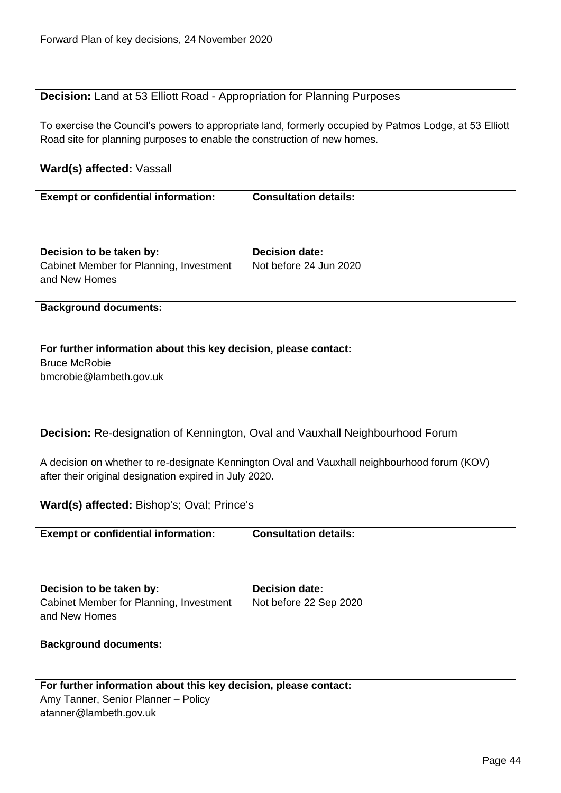## <span id="page-43-0"></span>**Decision:** Land at 53 Elliott Road - Appropriation for Planning Purposes

To exercise the Council's powers to appropriate land, formerly occupied by Patmos Lodge, at 53 Elliott Road site for planning purposes to enable the construction of new homes.

## **Ward(s) affected:** Vassall

| <b>Exempt or confidential information:</b> | <b>Consultation details:</b> |
|--------------------------------------------|------------------------------|
|                                            |                              |
|                                            |                              |
|                                            |                              |
|                                            |                              |
|                                            |                              |
| Decision to be taken by:                   | <b>Decision date:</b>        |
|                                            |                              |
| Cabinet Member for Planning, Investment    | Not before 24 Jun 2020       |
|                                            |                              |
| and New Homes                              |                              |
|                                            |                              |

## **Background documents:**

## **For further information about this key decision, please contact:** Bruce McRobie

bmcrobie@lambeth.gov.uk

## <span id="page-43-1"></span>**Decision:** Re-designation of Kennington, Oval and Vauxhall Neighbourhood Forum

A decision on whether to re-designate Kennington Oval and Vauxhall neighbourhood forum (KOV) after their original designation expired in July 2020.

**Ward(s) affected:** Bishop's; Oval; Prince's

| <b>Exempt or confidential information:</b> | <b>Consultation details:</b> |
|--------------------------------------------|------------------------------|
| Decision to be taken by:                   | <b>Decision date:</b>        |
| Cabinet Member for Planning, Investment    | Not before 22 Sep 2020       |
| and New Homes                              |                              |
|                                            |                              |
| <b>Background documents:</b>               |                              |

## **For further information about this key decision, please contact:**

Amy Tanner, Senior Planner – Policy atanner@lambeth.gov.uk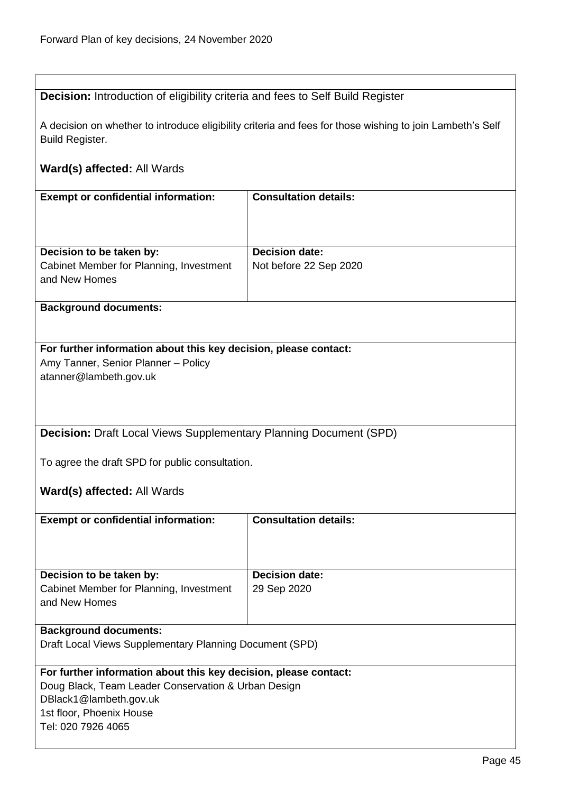<span id="page-44-1"></span><span id="page-44-0"></span>

| <b>Decision:</b> Introduction of eligibility criteria and fees to Self Build Register |                                                                                                           |
|---------------------------------------------------------------------------------------|-----------------------------------------------------------------------------------------------------------|
|                                                                                       |                                                                                                           |
|                                                                                       | A decision on whether to introduce eligibility criteria and fees for those wishing to join Lambeth's Self |
| <b>Build Register.</b>                                                                |                                                                                                           |
|                                                                                       |                                                                                                           |
| Ward(s) affected: All Wards                                                           |                                                                                                           |
|                                                                                       |                                                                                                           |
| <b>Exempt or confidential information:</b>                                            | <b>Consultation details:</b>                                                                              |
|                                                                                       |                                                                                                           |
|                                                                                       |                                                                                                           |
|                                                                                       |                                                                                                           |
|                                                                                       |                                                                                                           |
| Decision to be taken by:                                                              | <b>Decision date:</b>                                                                                     |
| Cabinet Member for Planning, Investment                                               | Not before 22 Sep 2020                                                                                    |
| and New Homes                                                                         |                                                                                                           |
|                                                                                       |                                                                                                           |
| <b>Background documents:</b>                                                          |                                                                                                           |
|                                                                                       |                                                                                                           |
|                                                                                       |                                                                                                           |
| For further information about this key decision, please contact:                      |                                                                                                           |
| Amy Tanner, Senior Planner - Policy                                                   |                                                                                                           |
|                                                                                       |                                                                                                           |
| atanner@lambeth.gov.uk                                                                |                                                                                                           |
|                                                                                       |                                                                                                           |
|                                                                                       |                                                                                                           |
|                                                                                       |                                                                                                           |
| <b>Decision:</b> Draft Local Views Supplementary Planning Document (SPD)              |                                                                                                           |
|                                                                                       |                                                                                                           |
| To agree the draft SPD for public consultation.                                       |                                                                                                           |
|                                                                                       |                                                                                                           |
|                                                                                       |                                                                                                           |
| Ward(s) affected: All Wards                                                           |                                                                                                           |
|                                                                                       |                                                                                                           |
| <b>Exempt or confidential information:</b>                                            | <b>Consultation details:</b>                                                                              |
|                                                                                       |                                                                                                           |
|                                                                                       |                                                                                                           |
|                                                                                       |                                                                                                           |
| Decision to be taken by:                                                              | <b>Decision date:</b>                                                                                     |
| Cabinet Member for Planning, Investment                                               | 29 Sep 2020                                                                                               |
| and New Homes                                                                         |                                                                                                           |
|                                                                                       |                                                                                                           |
| <b>Background documents:</b>                                                          |                                                                                                           |
| Draft Local Views Supplementary Planning Document (SPD)                               |                                                                                                           |
|                                                                                       |                                                                                                           |
| For further information about this key decision, please contact:                      |                                                                                                           |
|                                                                                       |                                                                                                           |
| Doug Black, Team Leader Conservation & Urban Design                                   |                                                                                                           |
| DBlack1@lambeth.gov.uk                                                                |                                                                                                           |
| 1st floor, Phoenix House                                                              |                                                                                                           |
| Tel: 020 7926 4065                                                                    |                                                                                                           |
|                                                                                       |                                                                                                           |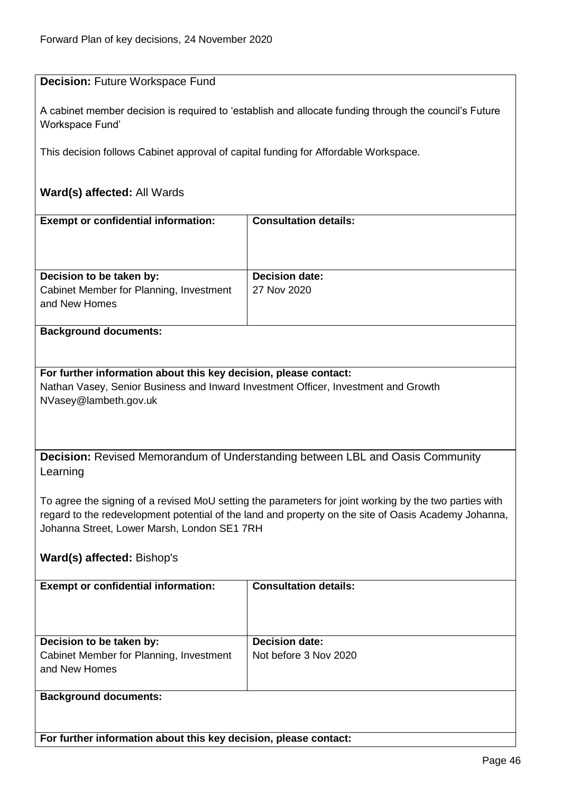<span id="page-45-1"></span><span id="page-45-0"></span>

| <b>Decision: Future Workspace Fund</b>                                                                                                                                                                                                                                    |                                                                                                       |  |
|---------------------------------------------------------------------------------------------------------------------------------------------------------------------------------------------------------------------------------------------------------------------------|-------------------------------------------------------------------------------------------------------|--|
| Workspace Fund'                                                                                                                                                                                                                                                           | A cabinet member decision is required to 'establish and allocate funding through the council's Future |  |
| This decision follows Cabinet approval of capital funding for Affordable Workspace.                                                                                                                                                                                       |                                                                                                       |  |
| Ward(s) affected: All Wards                                                                                                                                                                                                                                               |                                                                                                       |  |
| <b>Exempt or confidential information:</b>                                                                                                                                                                                                                                | <b>Consultation details:</b>                                                                          |  |
|                                                                                                                                                                                                                                                                           |                                                                                                       |  |
| Decision to be taken by:                                                                                                                                                                                                                                                  | <b>Decision date:</b>                                                                                 |  |
| Cabinet Member for Planning, Investment<br>and New Homes                                                                                                                                                                                                                  | 27 Nov 2020                                                                                           |  |
| <b>Background documents:</b>                                                                                                                                                                                                                                              |                                                                                                       |  |
| <b>Decision:</b> Revised Memorandum of Understanding between LBL and Oasis Community                                                                                                                                                                                      |                                                                                                       |  |
| Learning<br>To agree the signing of a revised MoU setting the parameters for joint working by the two parties with<br>regard to the redevelopment potential of the land and property on the site of Oasis Academy Johanna,<br>Johanna Street, Lower Marsh, London SE1 7RH |                                                                                                       |  |
| Ward(s) affected: Bishop's                                                                                                                                                                                                                                                |                                                                                                       |  |
| <b>Exempt or confidential information:</b>                                                                                                                                                                                                                                | <b>Consultation details:</b>                                                                          |  |
|                                                                                                                                                                                                                                                                           |                                                                                                       |  |
| Decision to be taken by:                                                                                                                                                                                                                                                  | <b>Decision date:</b>                                                                                 |  |
| Cabinet Member for Planning, Investment<br>and New Homes                                                                                                                                                                                                                  | Not before 3 Nov 2020                                                                                 |  |
| <b>Background documents:</b>                                                                                                                                                                                                                                              |                                                                                                       |  |
| For further information about this key decision, please contact:                                                                                                                                                                                                          |                                                                                                       |  |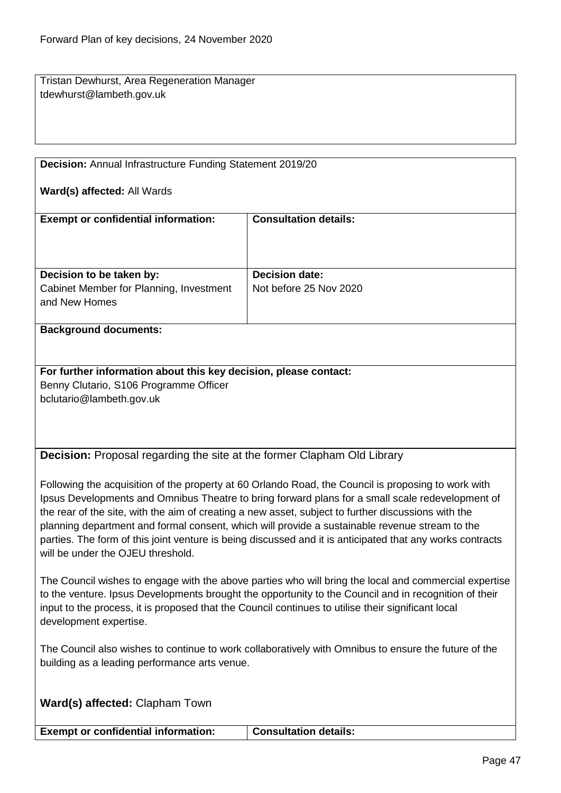Tristan Dewhurst, Area Regeneration Manager tdewhurst@lambeth.gov.uk

<span id="page-46-0"></span>**Decision:** Annual Infrastructure Funding Statement 2019/20

#### **Ward(s) affected:** All Wards

| <b>Exempt or confidential information:</b>                                           | <b>Consultation details:</b>                    |
|--------------------------------------------------------------------------------------|-------------------------------------------------|
| Decision to be taken by:<br>Cabinet Member for Planning, Investment<br>and New Homes | <b>Decision date:</b><br>Not before 25 Nov 2020 |

#### **Background documents:**

**For further information about this key decision, please contact:** Benny Clutario, S106 Programme Officer bclutario@lambeth.gov.uk

<span id="page-46-1"></span>**Decision:** Proposal regarding the site at the former Clapham Old Library

Following the acquisition of the property at 60 Orlando Road, the Council is proposing to work with Ipsus Developments and Omnibus Theatre to bring forward plans for a small scale redevelopment of the rear of the site, with the aim of creating a new asset, subject to further discussions with the planning department and formal consent, which will provide a sustainable revenue stream to the parties. The form of this joint venture is being discussed and it is anticipated that any works contracts will be under the OJFU threshold.

The Council wishes to engage with the above parties who will bring the local and commercial expertise to the venture. Ipsus Developments brought the opportunity to the Council and in recognition of their input to the process, it is proposed that the Council continues to utilise their significant local development expertise.

The Council also wishes to continue to work collaboratively with Omnibus to ensure the future of the building as a leading performance arts venue.

**Ward(s) affected:** Clapham Town

**Exempt or confidential information: Consultation details:**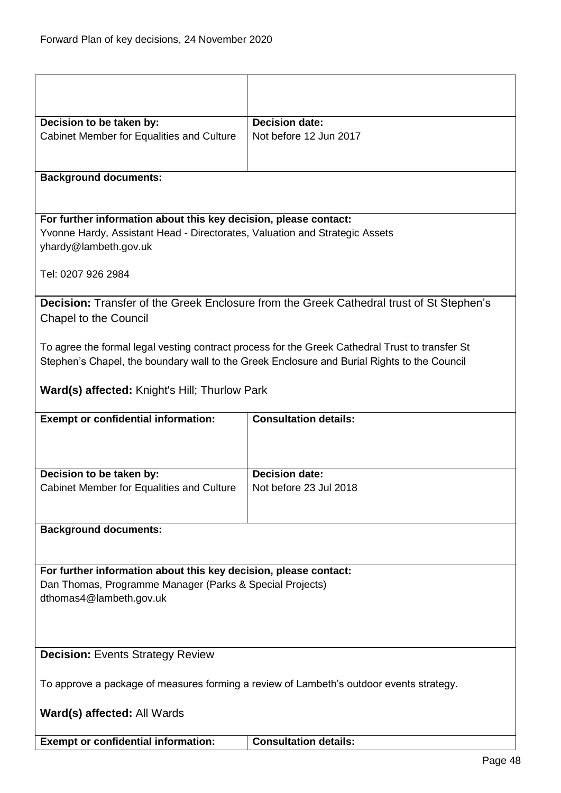<span id="page-47-1"></span><span id="page-47-0"></span>

| Decision to be taken by:                                                                             | <b>Decision date:</b>                                                                           |  |
|------------------------------------------------------------------------------------------------------|-------------------------------------------------------------------------------------------------|--|
| <b>Cabinet Member for Equalities and Culture</b>                                                     | Not before 12 Jun 2017                                                                          |  |
|                                                                                                      |                                                                                                 |  |
| <b>Background documents:</b>                                                                         |                                                                                                 |  |
|                                                                                                      |                                                                                                 |  |
| For further information about this key decision, please contact:                                     |                                                                                                 |  |
| Yvonne Hardy, Assistant Head - Directorates, Valuation and Strategic Assets<br>yhardy@lambeth.gov.uk |                                                                                                 |  |
| Tel: 0207 926 2984                                                                                   |                                                                                                 |  |
|                                                                                                      | Decision: Transfer of the Greek Enclosure from the Greek Cathedral trust of St Stephen's        |  |
| <b>Chapel to the Council</b>                                                                         |                                                                                                 |  |
|                                                                                                      | To agree the formal legal vesting contract process for the Greek Cathedral Trust to transfer St |  |
|                                                                                                      | Stephen's Chapel, the boundary wall to the Greek Enclosure and Burial Rights to the Council     |  |
|                                                                                                      |                                                                                                 |  |
| Ward(s) affected: Knight's Hill; Thurlow Park                                                        |                                                                                                 |  |
| <b>Exempt or confidential information:</b>                                                           | <b>Consultation details:</b>                                                                    |  |
|                                                                                                      |                                                                                                 |  |
| Decision to be taken by:                                                                             | <b>Decision date:</b>                                                                           |  |
| <b>Cabinet Member for Equalities and Culture</b>                                                     | Not before 23 Jul 2018                                                                          |  |
|                                                                                                      |                                                                                                 |  |
| <b>Background documents:</b>                                                                         |                                                                                                 |  |
|                                                                                                      |                                                                                                 |  |
| For further information about this key decision, please contact:                                     |                                                                                                 |  |
| Dan Thomas, Programme Manager (Parks & Special Projects)                                             |                                                                                                 |  |
| dthomas4@lambeth.gov.uk                                                                              |                                                                                                 |  |
|                                                                                                      |                                                                                                 |  |
|                                                                                                      |                                                                                                 |  |
| <b>Decision:</b> Events Strategy Review                                                              |                                                                                                 |  |
|                                                                                                      |                                                                                                 |  |
| To approve a package of measures forming a review of Lambeth's outdoor events strategy.              |                                                                                                 |  |
| <b>Ward(s) affected: All Wards</b>                                                                   |                                                                                                 |  |
|                                                                                                      |                                                                                                 |  |
| <b>Exempt or confidential information:</b>                                                           | <b>Consultation details:</b>                                                                    |  |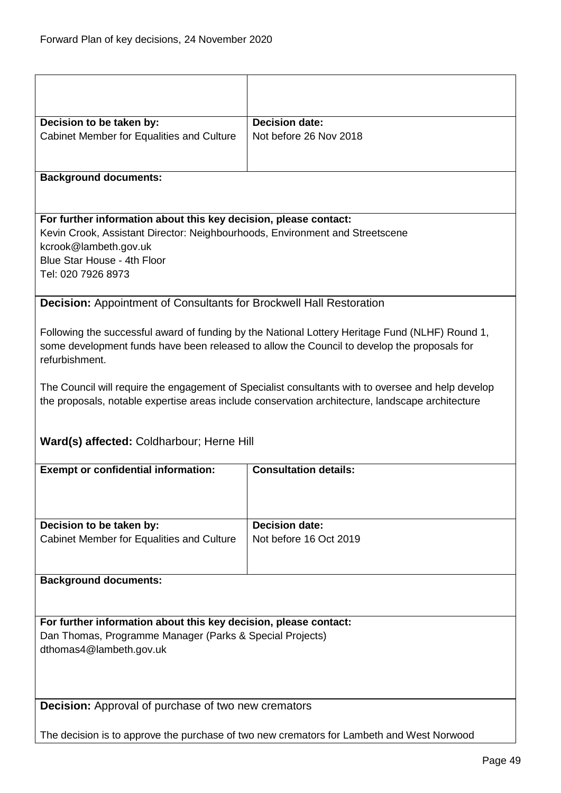<span id="page-48-1"></span><span id="page-48-0"></span>

| Decision to be taken by:                                                                                                                                                                                                       | <b>Decision date:</b>        |  |
|--------------------------------------------------------------------------------------------------------------------------------------------------------------------------------------------------------------------------------|------------------------------|--|
| Cabinet Member for Equalities and Culture                                                                                                                                                                                      | Not before 26 Nov 2018       |  |
|                                                                                                                                                                                                                                |                              |  |
| <b>Background documents:</b>                                                                                                                                                                                                   |                              |  |
| For further information about this key decision, please contact:<br>Kevin Crook, Assistant Director: Neighbourhoods, Environment and Streetscene<br>kcrook@lambeth.gov.uk<br>Blue Star House - 4th Floor<br>Tel: 020 7926 8973 |                              |  |
| <b>Decision: Appointment of Consultants for Brockwell Hall Restoration</b>                                                                                                                                                     |                              |  |
| Following the successful award of funding by the National Lottery Heritage Fund (NLHF) Round 1,<br>some development funds have been released to allow the Council to develop the proposals for<br>refurbishment.               |                              |  |
| The Council will require the engagement of Specialist consultants with to oversee and help develop<br>the proposals, notable expertise areas include conservation architecture, landscape architecture                         |                              |  |
| Ward(s) affected: Coldharbour; Herne Hill                                                                                                                                                                                      |                              |  |
| <b>Exempt or confidential information:</b>                                                                                                                                                                                     | <b>Consultation details:</b> |  |
| Decision to be taken by:                                                                                                                                                                                                       | <b>Decision date:</b>        |  |
| Cabinet Member for Equalities and Culture                                                                                                                                                                                      | Not before 16 Oct 2019       |  |
| <b>Background documents:</b>                                                                                                                                                                                                   |                              |  |
| For further information about this key decision, please contact:<br>Dan Thomas, Programme Manager (Parks & Special Projects)<br>dthomas4@lambeth.gov.uk                                                                        |                              |  |
| <b>Decision:</b> Approval of purchase of two new cremators                                                                                                                                                                     |                              |  |
|                                                                                                                                                                                                                                |                              |  |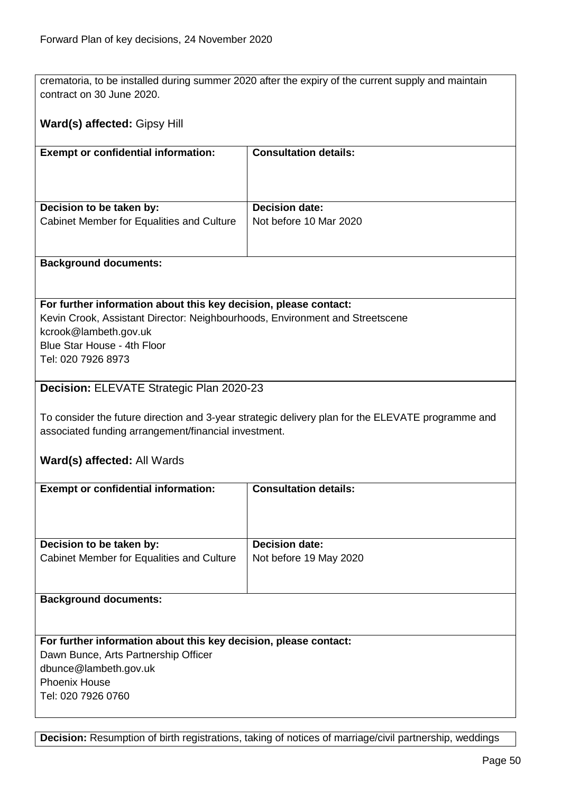crematoria, to be installed during summer 2020 after the expiry of the current supply and maintain contract on 30 June 2020.

## **Ward(s) affected:** Gipsy Hill

| <b>Consultation details:</b>                    |
|-------------------------------------------------|
| <b>Decision date:</b><br>Not before 10 Mar 2020 |
|                                                 |

#### **Background documents:**

#### **For further information about this key decision, please contact:**

Kevin Crook, Assistant Director: Neighbourhoods, Environment and Streetscene kcrook@lambeth.gov.uk Blue Star House - 4th Floor Tel: 020 7926 8973

### <span id="page-49-0"></span>**Decision:** ELEVATE Strategic Plan 2020-23

To consider the future direction and 3-year strategic delivery plan for the ELEVATE programme and associated funding arrangement/financial investment.

#### **Ward(s) affected:** All Wards

| <b>Exempt or confidential information:</b>                       | <b>Consultation details:</b> |
|------------------------------------------------------------------|------------------------------|
|                                                                  |                              |
|                                                                  |                              |
| Decision to be taken by:                                         | <b>Decision date:</b>        |
| Cabinet Member for Equalities and Culture                        | Not before 19 May 2020       |
|                                                                  |                              |
|                                                                  |                              |
| <b>Background documents:</b>                                     |                              |
|                                                                  |                              |
|                                                                  |                              |
| For further information about this key decision, please contact: |                              |
| Dawn Bunce, Arts Partnership Officer                             |                              |
| dbunce@lambeth.gov.uk                                            |                              |
| <b>Phoenix House</b>                                             |                              |
| Tel: 020 7926 0760                                               |                              |
|                                                                  |                              |

**Decision:** Resumption of birth registrations, taking of notices of marriage/civil partnership, weddings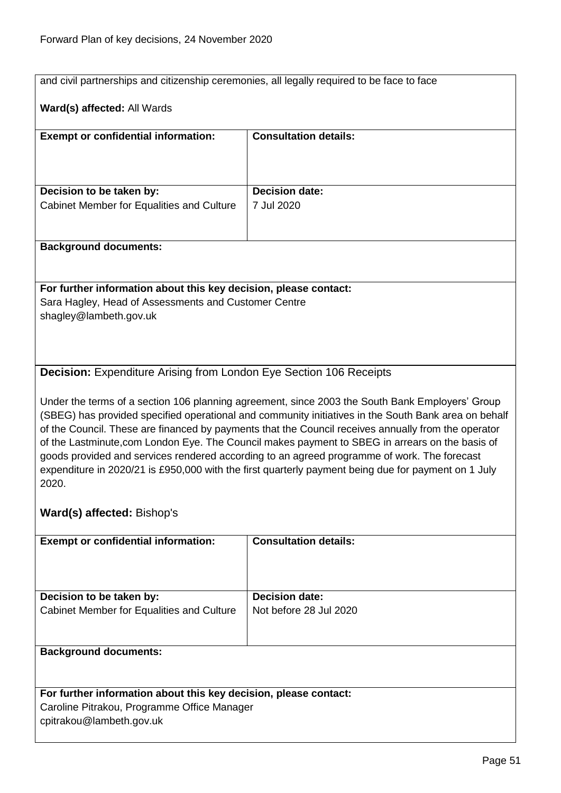<span id="page-50-1"></span><span id="page-50-0"></span>

|                                                                                                                                                                                                                                                                                                                                                                                                                                                                                                                                                                                                                                                                | and civil partnerships and citizenship ceremonies, all legally required to be face to face |  |
|----------------------------------------------------------------------------------------------------------------------------------------------------------------------------------------------------------------------------------------------------------------------------------------------------------------------------------------------------------------------------------------------------------------------------------------------------------------------------------------------------------------------------------------------------------------------------------------------------------------------------------------------------------------|--------------------------------------------------------------------------------------------|--|
| Ward(s) affected: All Wards                                                                                                                                                                                                                                                                                                                                                                                                                                                                                                                                                                                                                                    |                                                                                            |  |
| <b>Exempt or confidential information:</b>                                                                                                                                                                                                                                                                                                                                                                                                                                                                                                                                                                                                                     | <b>Consultation details:</b>                                                               |  |
|                                                                                                                                                                                                                                                                                                                                                                                                                                                                                                                                                                                                                                                                |                                                                                            |  |
| Decision to be taken by:                                                                                                                                                                                                                                                                                                                                                                                                                                                                                                                                                                                                                                       | <b>Decision date:</b>                                                                      |  |
| Cabinet Member for Equalities and Culture                                                                                                                                                                                                                                                                                                                                                                                                                                                                                                                                                                                                                      | 7 Jul 2020                                                                                 |  |
| <b>Background documents:</b>                                                                                                                                                                                                                                                                                                                                                                                                                                                                                                                                                                                                                                   |                                                                                            |  |
| For further information about this key decision, please contact:                                                                                                                                                                                                                                                                                                                                                                                                                                                                                                                                                                                               |                                                                                            |  |
| Sara Hagley, Head of Assessments and Customer Centre                                                                                                                                                                                                                                                                                                                                                                                                                                                                                                                                                                                                           |                                                                                            |  |
| shagley@lambeth.gov.uk                                                                                                                                                                                                                                                                                                                                                                                                                                                                                                                                                                                                                                         |                                                                                            |  |
|                                                                                                                                                                                                                                                                                                                                                                                                                                                                                                                                                                                                                                                                |                                                                                            |  |
|                                                                                                                                                                                                                                                                                                                                                                                                                                                                                                                                                                                                                                                                |                                                                                            |  |
| <b>Decision:</b> Expenditure Arising from London Eye Section 106 Receipts                                                                                                                                                                                                                                                                                                                                                                                                                                                                                                                                                                                      |                                                                                            |  |
| Under the terms of a section 106 planning agreement, since 2003 the South Bank Employers' Group<br>(SBEG) has provided specified operational and community initiatives in the South Bank area on behalf<br>of the Council. These are financed by payments that the Council receives annually from the operator<br>of the Lastminute, com London Eye. The Council makes payment to SBEG in arrears on the basis of<br>goods provided and services rendered according to an agreed programme of work. The forecast<br>expenditure in 2020/21 is £950,000 with the first quarterly payment being due for payment on 1 July<br>2020.<br>Ward(s) affected: Bishop's |                                                                                            |  |
|                                                                                                                                                                                                                                                                                                                                                                                                                                                                                                                                                                                                                                                                |                                                                                            |  |
| <b>Exempt or confidential information:</b>                                                                                                                                                                                                                                                                                                                                                                                                                                                                                                                                                                                                                     | <b>Consultation details:</b>                                                               |  |
|                                                                                                                                                                                                                                                                                                                                                                                                                                                                                                                                                                                                                                                                |                                                                                            |  |
| Decision to be taken by:                                                                                                                                                                                                                                                                                                                                                                                                                                                                                                                                                                                                                                       | <b>Decision date:</b>                                                                      |  |
| Cabinet Member for Equalities and Culture                                                                                                                                                                                                                                                                                                                                                                                                                                                                                                                                                                                                                      | Not before 28 Jul 2020                                                                     |  |
| <b>Background documents:</b>                                                                                                                                                                                                                                                                                                                                                                                                                                                                                                                                                                                                                                   |                                                                                            |  |
|                                                                                                                                                                                                                                                                                                                                                                                                                                                                                                                                                                                                                                                                |                                                                                            |  |
| For further information about this key decision, please contact:                                                                                                                                                                                                                                                                                                                                                                                                                                                                                                                                                                                               |                                                                                            |  |
| Caroline Pitrakou, Programme Office Manager<br>cpitrakou@lambeth.gov.uk                                                                                                                                                                                                                                                                                                                                                                                                                                                                                                                                                                                        |                                                                                            |  |
|                                                                                                                                                                                                                                                                                                                                                                                                                                                                                                                                                                                                                                                                |                                                                                            |  |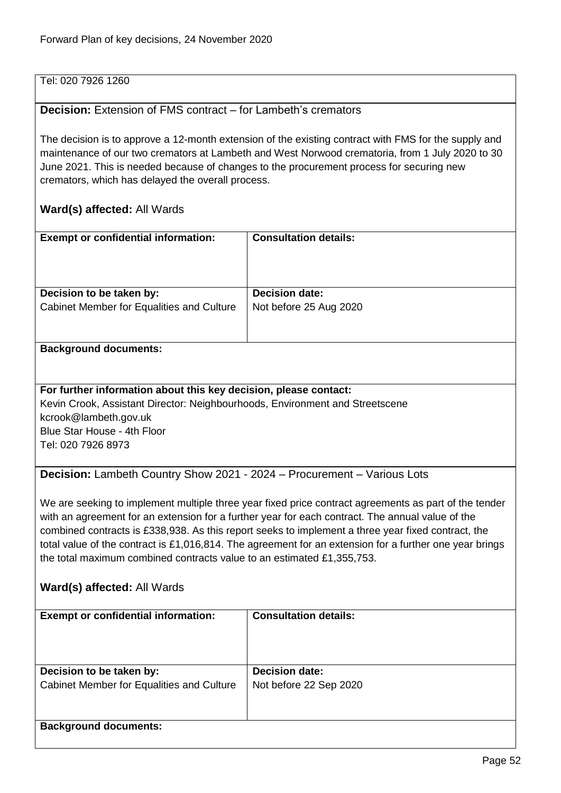## Tel: 020 7926 1260

## <span id="page-51-0"></span>**Decision:** Extension of FMS contract – for Lambeth's cremators

The decision is to approve a 12-month extension of the existing contract with FMS for the supply and maintenance of our two cremators at Lambeth and West Norwood crematoria, from 1 July 2020 to 30 June 2021. This is needed because of changes to the procurement process for securing new cremators, which has delayed the overall process.

## **Ward(s) affected:** All Wards

| <b>Exempt or confidential information:</b> | <b>Consultation details:</b> |
|--------------------------------------------|------------------------------|
| Decision to be taken by:                   | <b>Decision date:</b>        |
| Cabinet Member for Equalities and Culture  | Not before 25 Aug 2020       |

#### **Background documents:**

**For further information about this key decision, please contact:** Kevin Crook, Assistant Director: Neighbourhoods, Environment and Streetscene kcrook@lambeth.gov.uk Blue Star House - 4th Floor Tel: 020 7926 8973

<span id="page-51-1"></span>**Decision:** Lambeth Country Show 2021 - 2024 – Procurement – Various Lots

We are seeking to implement multiple three year fixed price contract agreements as part of the tender with an agreement for an extension for a further year for each contract. The annual value of the combined contracts is £338,938. As this report seeks to implement a three year fixed contract, the total value of the contract is £1,016,814. The agreement for an extension for a further one year brings the total maximum combined contracts value to an estimated £1,355,753.

## **Ward(s) affected:** All Wards

| <b>Exempt or confidential information:</b>                            | <b>Consultation details:</b>                    |
|-----------------------------------------------------------------------|-------------------------------------------------|
| Decision to be taken by:<br>Cabinet Member for Equalities and Culture | <b>Decision date:</b><br>Not before 22 Sep 2020 |
| <b>Background documents:</b>                                          |                                                 |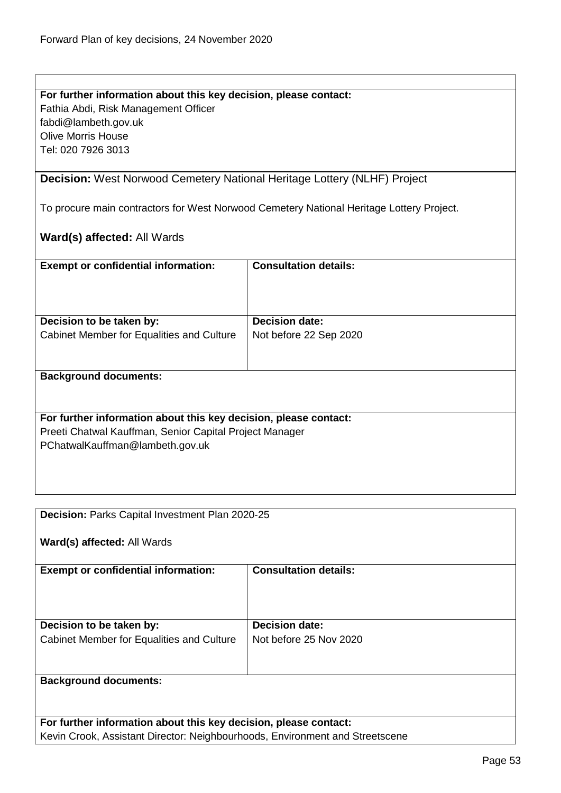<span id="page-52-0"></span>

| For further information about this key decision, please contact:                |                                                                                          |  |
|---------------------------------------------------------------------------------|------------------------------------------------------------------------------------------|--|
| Fathia Abdi, Risk Management Officer                                            |                                                                                          |  |
| fabdi@lambeth.gov.uk                                                            |                                                                                          |  |
| <b>Olive Morris House</b>                                                       |                                                                                          |  |
| Tel: 020 7926 3013                                                              |                                                                                          |  |
|                                                                                 |                                                                                          |  |
| <b>Decision:</b> West Norwood Cemetery National Heritage Lottery (NLHF) Project |                                                                                          |  |
|                                                                                 |                                                                                          |  |
|                                                                                 |                                                                                          |  |
|                                                                                 | To procure main contractors for West Norwood Cemetery National Heritage Lottery Project. |  |
|                                                                                 |                                                                                          |  |
| <b>Ward(s) affected: All Wards</b>                                              |                                                                                          |  |
|                                                                                 |                                                                                          |  |
| <b>Exempt or confidential information:</b>                                      | <b>Consultation details:</b>                                                             |  |
|                                                                                 |                                                                                          |  |
|                                                                                 |                                                                                          |  |
|                                                                                 |                                                                                          |  |
| Decision to be taken by:                                                        | <b>Decision date:</b>                                                                    |  |
| Cabinet Member for Equalities and Culture                                       | Not before 22 Sep 2020                                                                   |  |
|                                                                                 |                                                                                          |  |
|                                                                                 |                                                                                          |  |
| <b>Background documents:</b>                                                    |                                                                                          |  |
|                                                                                 |                                                                                          |  |
|                                                                                 |                                                                                          |  |
| For further information about this key decision, please contact:                |                                                                                          |  |
|                                                                                 |                                                                                          |  |
| Preeti Chatwal Kauffman, Senior Capital Project Manager                         |                                                                                          |  |
| PChatwalKauffman@lambeth.gov.uk                                                 |                                                                                          |  |
|                                                                                 |                                                                                          |  |
|                                                                                 |                                                                                          |  |
|                                                                                 |                                                                                          |  |
|                                                                                 |                                                                                          |  |
| Decision: Parks Capital Investment Plan 2020-25                                 |                                                                                          |  |
|                                                                                 |                                                                                          |  |
| Ward(s) affected: All Wards                                                     |                                                                                          |  |
|                                                                                 |                                                                                          |  |
| <b>Exempt or confidential information:</b>                                      | <b>Consultation details:</b>                                                             |  |
|                                                                                 |                                                                                          |  |
|                                                                                 |                                                                                          |  |
|                                                                                 |                                                                                          |  |
|                                                                                 | <b>Decision date:</b>                                                                    |  |
| Decision to be taken by:                                                        |                                                                                          |  |
| Cabinet Member for Equalities and Culture                                       | Not before 25 Nov 2020                                                                   |  |

## <span id="page-52-1"></span>**Background documents:**

**For further information about this key decision, please contact:** Kevin Crook, Assistant Director: Neighbourhoods, Environment and Streetscene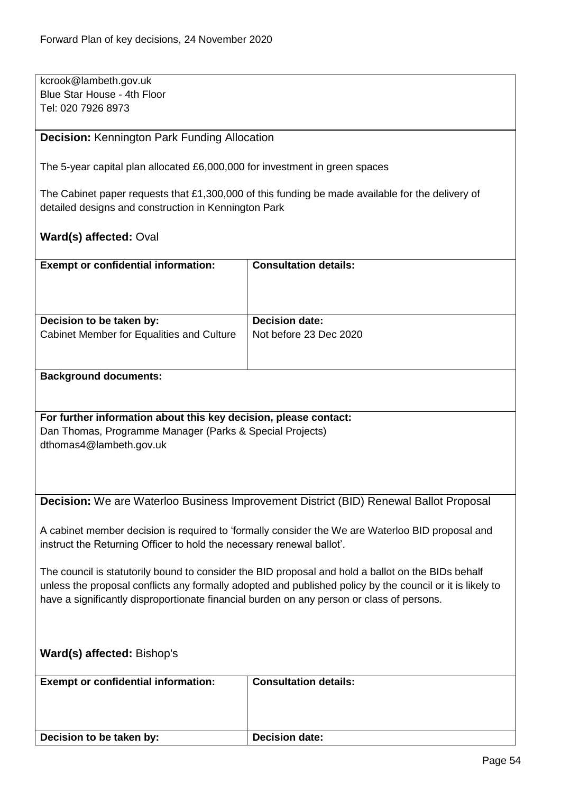| kcrook@lambeth.gov.uk       |  |
|-----------------------------|--|
| Blue Star House - 4th Floor |  |
| Tel: 020 7926 8973          |  |

<span id="page-53-0"></span>**Decision:** Kennington Park Funding Allocation

The 5-year capital plan allocated £6,000,000 for investment in green spaces

The Cabinet paper requests that £1,300,000 of this funding be made available for the delivery of detailed designs and construction in Kennington Park

## **Ward(s) affected:** Oval

| <b>Exempt or confidential information:</b> | <b>Consultation details:</b> |
|--------------------------------------------|------------------------------|
| Decision to be taken by:                   | <b>Decision date:</b>        |
| Cabinet Member for Equalities and Culture  | Not before 23 Dec 2020       |
|                                            |                              |

#### **Background documents:**

## **For further information about this key decision, please contact:**

Dan Thomas, Programme Manager (Parks & Special Projects) dthomas4@lambeth.gov.uk

<span id="page-53-1"></span>**Decision:** We are Waterloo Business Improvement District (BID) Renewal Ballot Proposal

A cabinet member decision is required to 'formally consider the We are Waterloo BID proposal and instruct the Returning Officer to hold the necessary renewal ballot'.

The council is statutorily bound to consider the BID proposal and hold a ballot on the BIDs behalf unless the proposal conflicts any formally adopted and published policy by the council or it is likely to have a significantly disproportionate financial burden on any person or class of persons.

## **Ward(s) affected:** Bishop's

| <b>Exempt or confidential information:</b> | <b>Consultation details:</b> |
|--------------------------------------------|------------------------------|
| Decision to be taken by:                   | <b>Decision date:</b>        |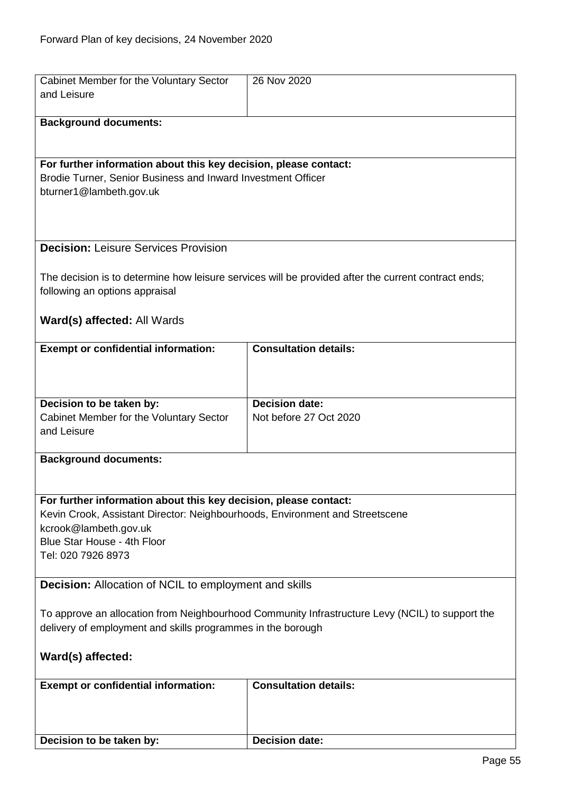<span id="page-54-1"></span><span id="page-54-0"></span>

| Cabinet Member for the Voluntary Sector                                                         | 26 Nov 2020                                                                                         |
|-------------------------------------------------------------------------------------------------|-----------------------------------------------------------------------------------------------------|
| and Leisure                                                                                     |                                                                                                     |
|                                                                                                 |                                                                                                     |
| <b>Background documents:</b>                                                                    |                                                                                                     |
|                                                                                                 |                                                                                                     |
|                                                                                                 |                                                                                                     |
| For further information about this key decision, please contact:                                |                                                                                                     |
| Brodie Turner, Senior Business and Inward Investment Officer                                    |                                                                                                     |
| bturner1@lambeth.gov.uk                                                                         |                                                                                                     |
|                                                                                                 |                                                                                                     |
|                                                                                                 |                                                                                                     |
|                                                                                                 |                                                                                                     |
| <b>Decision: Leisure Services Provision</b>                                                     |                                                                                                     |
|                                                                                                 |                                                                                                     |
|                                                                                                 | The decision is to determine how leisure services will be provided after the current contract ends; |
| following an options appraisal                                                                  |                                                                                                     |
|                                                                                                 |                                                                                                     |
| Ward(s) affected: All Wards                                                                     |                                                                                                     |
|                                                                                                 |                                                                                                     |
| <b>Exempt or confidential information:</b>                                                      | <b>Consultation details:</b>                                                                        |
|                                                                                                 |                                                                                                     |
|                                                                                                 |                                                                                                     |
|                                                                                                 |                                                                                                     |
| Decision to be taken by:                                                                        | <b>Decision date:</b>                                                                               |
| Cabinet Member for the Voluntary Sector                                                         | Not before 27 Oct 2020                                                                              |
| and Leisure                                                                                     |                                                                                                     |
|                                                                                                 |                                                                                                     |
| <b>Background documents:</b>                                                                    |                                                                                                     |
|                                                                                                 |                                                                                                     |
|                                                                                                 |                                                                                                     |
| For further information about this key decision, please contact:                                |                                                                                                     |
| Kevin Crook, Assistant Director: Neighbourhoods, Environment and Streetscene                    |                                                                                                     |
| kcrook@lambeth.gov.uk                                                                           |                                                                                                     |
| Blue Star House - 4th Floor                                                                     |                                                                                                     |
| Tel: 020 7926 8973                                                                              |                                                                                                     |
|                                                                                                 |                                                                                                     |
| <b>Decision:</b> Allocation of NCIL to employment and skills                                    |                                                                                                     |
|                                                                                                 |                                                                                                     |
| To approve an allocation from Neighbourhood Community Infrastructure Levy (NCIL) to support the |                                                                                                     |
| delivery of employment and skills programmes in the borough                                     |                                                                                                     |
|                                                                                                 |                                                                                                     |
| Ward(s) affected:                                                                               |                                                                                                     |
|                                                                                                 |                                                                                                     |
| <b>Exempt or confidential information:</b>                                                      | <b>Consultation details:</b>                                                                        |
|                                                                                                 |                                                                                                     |
|                                                                                                 |                                                                                                     |
|                                                                                                 |                                                                                                     |
| Decision to be taken by:                                                                        | <b>Decision date:</b>                                                                               |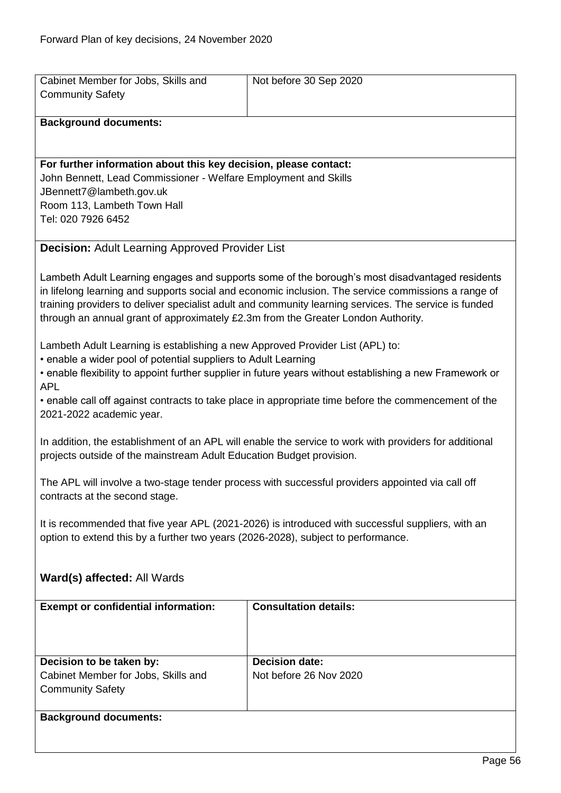<span id="page-55-0"></span>

| Cabinet Member for Jobs, Skills and<br><b>Community Safety</b>                                                                                                                                                                                              | Not before 30 Sep 2020                                                                                                                                                                                                                                                                                         |  |
|-------------------------------------------------------------------------------------------------------------------------------------------------------------------------------------------------------------------------------------------------------------|----------------------------------------------------------------------------------------------------------------------------------------------------------------------------------------------------------------------------------------------------------------------------------------------------------------|--|
| <b>Background documents:</b>                                                                                                                                                                                                                                |                                                                                                                                                                                                                                                                                                                |  |
| For further information about this key decision, please contact:<br>John Bennett, Lead Commissioner - Welfare Employment and Skills                                                                                                                         |                                                                                                                                                                                                                                                                                                                |  |
| JBennett7@lambeth.gov.uk<br>Room 113, Lambeth Town Hall<br>Tel: 020 7926 6452                                                                                                                                                                               |                                                                                                                                                                                                                                                                                                                |  |
| <b>Decision: Adult Learning Approved Provider List</b>                                                                                                                                                                                                      |                                                                                                                                                                                                                                                                                                                |  |
| through an annual grant of approximately £2.3m from the Greater London Authority.                                                                                                                                                                           | Lambeth Adult Learning engages and supports some of the borough's most disadvantaged residents<br>in lifelong learning and supports social and economic inclusion. The service commissions a range of<br>training providers to deliver specialist adult and community learning services. The service is funded |  |
| Lambeth Adult Learning is establishing a new Approved Provider List (APL) to:<br>• enable a wider pool of potential suppliers to Adult Learning<br>• enable flexibility to appoint further supplier in future years without establishing a new Framework or |                                                                                                                                                                                                                                                                                                                |  |
| <b>APL</b><br>• enable call off against contracts to take place in appropriate time before the commencement of the<br>2021-2022 academic year.                                                                                                              |                                                                                                                                                                                                                                                                                                                |  |
| In addition, the establishment of an APL will enable the service to work with providers for additional<br>projects outside of the mainstream Adult Education Budget provision.                                                                              |                                                                                                                                                                                                                                                                                                                |  |
| The APL will involve a two-stage tender process with successful providers appointed via call off<br>contracts at the second stage.                                                                                                                          |                                                                                                                                                                                                                                                                                                                |  |
| It is recommended that five year APL (2021-2026) is introduced with successful suppliers, with an<br>option to extend this by a further two years (2026-2028), subject to performance.                                                                      |                                                                                                                                                                                                                                                                                                                |  |
| Ward(s) affected: All Wards                                                                                                                                                                                                                                 |                                                                                                                                                                                                                                                                                                                |  |
| <b>Exempt or confidential information:</b>                                                                                                                                                                                                                  | <b>Consultation details:</b>                                                                                                                                                                                                                                                                                   |  |
| Decision to be taken by:                                                                                                                                                                                                                                    | <b>Decision date:</b>                                                                                                                                                                                                                                                                                          |  |
| Cabinet Member for Jobs, Skills and<br><b>Community Safety</b>                                                                                                                                                                                              | Not before 26 Nov 2020                                                                                                                                                                                                                                                                                         |  |
| <b>Background documents:</b>                                                                                                                                                                                                                                |                                                                                                                                                                                                                                                                                                                |  |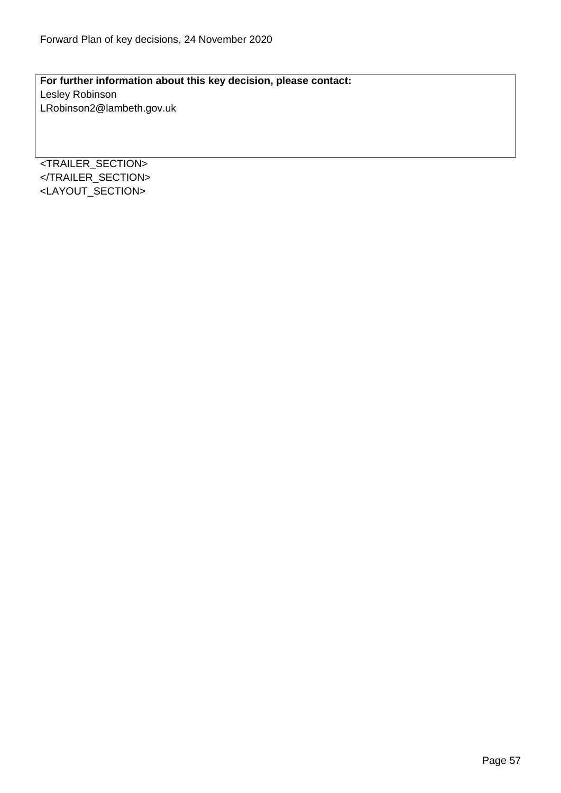**For further information about this key decision, please contact:** Lesley Robinson LRobinson2@lambeth.gov.uk

<TRAILER\_SECTION> </TRAILER\_SECTION> <LAYOUT\_SECTION>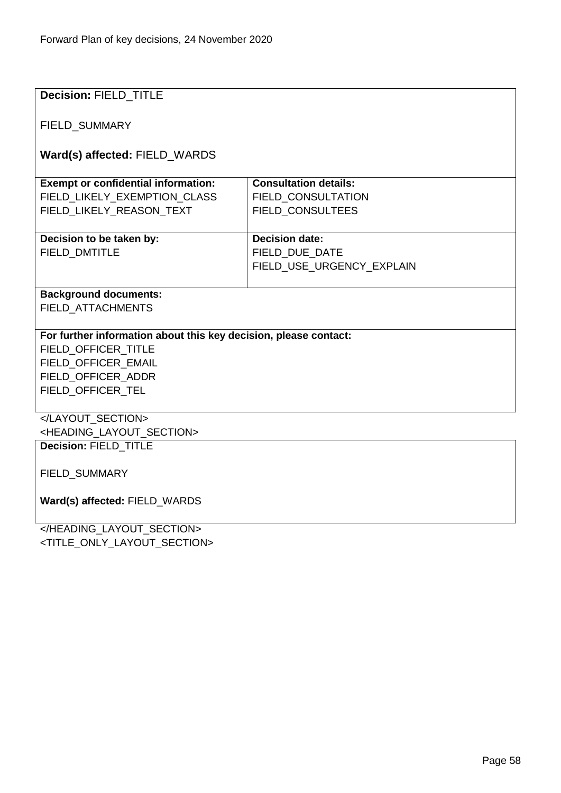| Decision: FIELD_TITLE                                            |                              |
|------------------------------------------------------------------|------------------------------|
|                                                                  |                              |
| FIELD_SUMMARY                                                    |                              |
|                                                                  |                              |
| Ward(s) affected: FIELD_WARDS                                    |                              |
|                                                                  |                              |
| <b>Exempt or confidential information:</b>                       | <b>Consultation details:</b> |
| FIELD LIKELY EXEMPTION CLASS                                     | <b>FIELD CONSULTATION</b>    |
| FIELD LIKELY REASON TEXT                                         | <b>FIELD CONSULTEES</b>      |
|                                                                  |                              |
| Decision to be taken by:                                         | <b>Decision date:</b>        |
| <b>FIELD DMTITLE</b>                                             | FIELD DUE DATE               |
|                                                                  | FIELD USE URGENCY EXPLAIN    |
|                                                                  |                              |
| <b>Background documents:</b>                                     |                              |
| <b>FIELD ATTACHMENTS</b>                                         |                              |
| For further information about this key decision, please contact: |                              |
| FIELD_OFFICER_TITLE                                              |                              |
| FIELD_OFFICER_EMAIL                                              |                              |
| FIELD_OFFICER_ADDR                                               |                              |
| FIELD OFFICER TEL                                                |                              |
|                                                                  |                              |
|                                                                  |                              |
| <heading_layout_section></heading_layout_section>                |                              |
| Decision: FIELD_TITLE                                            |                              |
|                                                                  |                              |
| FIELD_SUMMARY                                                    |                              |
|                                                                  |                              |
| Ward(s) affected: FIELD WARDS                                    |                              |
|                                                                  |                              |
|                                                                  |                              |
| <title_only_layout_section></title_only_layout_section>          |                              |